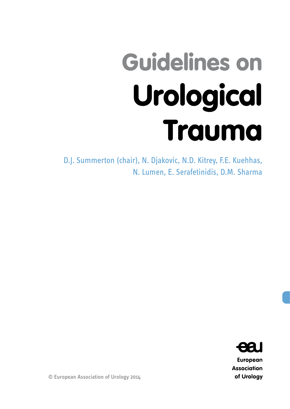# Guidelines on Urological Trauma

D.J. Summerton (chair), N. Djakovic, N.D. Kitrey, F.E. Kuehhas, N. Lumen, E. Serafetinidis, D.M. Sharma



**European Association** of Urology

© European Association of Urology 2014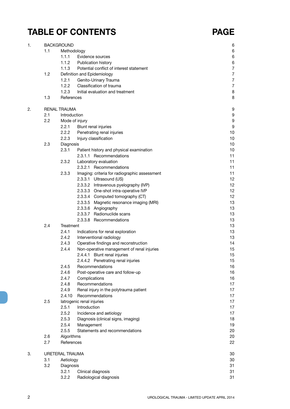## **TABLE OF CONTENTS PAGE**

| 1. | <b>BACKGROUND</b> |                     |                                               |                  |  |
|----|-------------------|---------------------|-----------------------------------------------|------------------|--|
|    | 1.1               | Methodology         |                                               | 6                |  |
|    |                   | 1.1.1               | Evidence sources                              | 6                |  |
|    |                   | 1.1.2               | Publication history                           | 6                |  |
|    |                   | 1.1.3               | Potential conflict of interest statement      | $\overline{7}$   |  |
|    | 1.2               |                     | Definition and Epidemiology                   | $\overline{7}$   |  |
|    |                   | 1.2.1               | Genito-Urinary Trauma                         | $\overline{7}$   |  |
|    |                   | 1.2.2               | Classification of trauma                      | $\overline{7}$   |  |
|    |                   | 1.2.3               | Initial evaluation and treatment              | 8                |  |
|    | 1.3               | References          |                                               | 8                |  |
| 2. |                   | <b>RENAL TRAUMA</b> |                                               | 9                |  |
|    | 2.1               | Introduction        |                                               | 9                |  |
|    | 2.2               |                     | Mode of injury                                | $\boldsymbol{9}$ |  |
|    |                   | 2.2.1               | Blunt renal injuries                          | $\boldsymbol{9}$ |  |
|    |                   | 2.2.2               | Penetrating renal injuries                    | 10               |  |
|    |                   | 2.2.3               | Injury classification                         | 10               |  |
|    | 2.3               | Diagnosis           |                                               | 10               |  |
|    |                   | 2.3.1               | Patient history and physical examination      | 10               |  |
|    |                   |                     | 2.3.1.1 Recommendations                       | 11               |  |
|    |                   | 2.3.2               | Laboratory evaluation                         | 11               |  |
|    |                   |                     | 2.3.2.1 Recommendations                       | 11               |  |
|    |                   | 2.3.3               | Imaging: criteria for radiographic assessment | 11               |  |
|    |                   |                     | 2.3.3.1 Ultrasound (US)                       | 12               |  |
|    |                   |                     | 2.3.3.2 Intravenous pyelography (IVP)         | 12               |  |
|    |                   |                     | 2.3.3.3 One-shot intra-operative IVP          | 12               |  |
|    |                   |                     | 2.3.3.4 Computed tomography (CT)              | 12               |  |
|    |                   |                     | 2.3.3.5 Magnetic resonance imaging (MRI)      | 13               |  |
|    |                   |                     | 2.3.3.6 Angiography                           | 13               |  |
|    |                   |                     | 2.3.3.7 Radionuclide scans                    | 13               |  |
|    |                   |                     | 2.3.3.8 Recommendations                       | 13               |  |
|    | 2.4               | Treatment           |                                               | 13               |  |
|    |                   | 2.4.1               | Indications for renal exploration             | 13               |  |
|    |                   | 2.4.2               | Interventional radiology                      | 13               |  |
|    |                   | 2.4.3               | Operative findings and reconstruction         | 14               |  |
|    |                   | 2.4.4               | Non-operative management of renal injuries    | 15               |  |
|    |                   |                     | 2.4.4.1 Blunt renal injuries                  | 15               |  |
|    |                   |                     | 2.4.4.2 Penetrating renal injuries            | 15               |  |
|    |                   | 2.4.5               | Recommendations                               | 16               |  |
|    |                   | 2.4.6               | Post-operative care and follow-up             | 16               |  |
|    |                   | 2.4.7               | Complications                                 | 16               |  |
|    |                   | 2.4.8               | Recommendations                               | 17               |  |
|    |                   | 2.4.9               | Renal injury in the polytrauma patient        | 17               |  |
|    |                   | 2.4.10              | Recommendations                               | 17               |  |
|    | 2.5               |                     | latrogenic renal injuries                     | 17               |  |
|    |                   | 2.5.1               | Introduction                                  | 17               |  |
|    |                   | 2.5.2               |                                               | 17               |  |
|    |                   |                     | Incidence and aetiology                       |                  |  |
|    |                   | 2.5.3               | Diagnosis (clinical signs, imaging)           | 18               |  |
|    |                   | 2.5.4               | Management                                    | 19               |  |
|    |                   | 2.5.5               | Statements and recommendations                | 20<br>20         |  |
|    | 2.6               | Algorithms          |                                               |                  |  |
|    | 2.7               | References          |                                               | 22               |  |
| 3. |                   | URETERAL TRAUMA     |                                               | 30               |  |
|    | 3.1               | Aetiology           |                                               | 30               |  |
|    | 3.2               | Diagnosis           |                                               | 31               |  |
|    |                   | 3.2.1               | Clinical diagnosis                            | 31               |  |
|    |                   | 3.2.2               | Radiological diagnosis                        | 31               |  |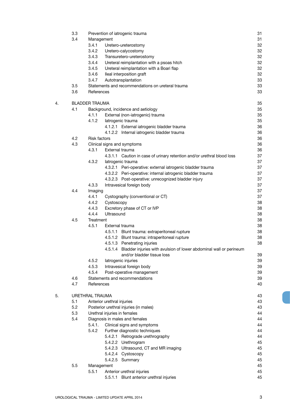|    | 3.3 |                       |                              | Prevention of iatrogenic trauma                                            | 31 |
|----|-----|-----------------------|------------------------------|----------------------------------------------------------------------------|----|
|    | 3.4 | Management            |                              |                                                                            | 31 |
|    |     | 3.4.1                 |                              | Uretero-ureterostomy                                                       | 32 |
|    |     | 3.4.2                 |                              | Uretero-calycostomy                                                        | 32 |
|    |     | 3.4.3                 |                              | Transuretero-ureterostomy                                                  | 32 |
|    |     | 3.4.4                 |                              | Ureteral reimplantation with a psoas hitch                                 | 32 |
|    |     | 3.4.5                 |                              | Ureteral reimplantation with a Boari flap                                  | 32 |
|    |     | 3.4.6                 |                              | Ileal interposition graft                                                  | 32 |
|    |     | 3.4.7                 |                              | Autotransplantation                                                        | 33 |
|    | 3.5 |                       |                              | Statements and recommendations on ureteral trauma                          | 33 |
|    | 3.6 | References            |                              |                                                                            | 33 |
| 4. |     | <b>BLADDER TRAUMA</b> |                              |                                                                            | 35 |
|    | 4.1 |                       |                              | Background, incidence and aetiology                                        | 35 |
|    |     | 4.1.1                 |                              | External (non-iatrogenic) trauma                                           | 35 |
|    |     | 4.1.2                 | latrogenic trauma            |                                                                            | 35 |
|    |     |                       |                              | 4.1.2.1 External iatrogenic bladder trauma                                 | 36 |
|    |     |                       |                              | 4.1.2.2 Internal iatrogenic bladder trauma                                 | 36 |
|    | 4.2 | <b>Risk factors</b>   |                              |                                                                            | 36 |
|    | 4.3 |                       |                              | Clinical signs and symptoms                                                | 36 |
|    |     | 4.3.1                 | External trauma              |                                                                            | 36 |
|    |     |                       |                              | 4.3.1.1 Caution in case of urinary retention and/or urethral blood loss    | 37 |
|    |     | 4.3.2                 | latrogenic trauma            |                                                                            | 37 |
|    |     |                       |                              | 4.3.2.1 Peri-operative: external iatrogenic bladder trauma                 | 37 |
|    |     |                       |                              | 4.3.2.2 Peri-operative: internal iatrogenic bladder trauma                 | 37 |
|    |     |                       |                              | 4.3.2.3 Post-operative: unrecognized bladder injury                        | 37 |
|    |     | 4.3.3                 |                              | Intravesical foreign body                                                  | 37 |
|    | 4.4 | Imaging               |                              |                                                                            | 37 |
|    |     | 4.4.1                 |                              | Cystography (conventional or CT)                                           | 37 |
|    |     | 4.4.2                 | Cystoscopy                   |                                                                            | 38 |
|    |     | 4.4.3                 |                              | Excretory phase of CT or IVP                                               | 38 |
|    |     | 4.4.4                 | Ultrasound                   |                                                                            | 38 |
|    | 4.5 | Treatment             |                              |                                                                            | 38 |
|    |     | 4.5.1                 | External trauma              |                                                                            | 38 |
|    |     |                       |                              | 4.5.1.1 Blunt trauma: extraperitoneal rupture                              | 38 |
|    |     |                       |                              | 4.5.1.2 Blunt trauma: intraperitoneal rupture                              | 38 |
|    |     |                       |                              | 4.5.1.3 Penetrating injuries                                               | 38 |
|    |     |                       |                              | 4.5.1.4 Bladder injuries with avulsion of lower abdominal wall or perineum |    |
|    |     |                       |                              | and/or bladder tissue loss                                                 | 39 |
|    |     | 4.5.2                 | latrogenic injuries          |                                                                            | 39 |
|    |     | 4.5.3                 |                              | Intravesical foreign body                                                  | 39 |
|    |     | 4.5.4                 |                              | Post-operative management                                                  | 39 |
|    | 4.6 |                       |                              | Statements and recommendations                                             | 39 |
|    | 4.7 | References            |                              |                                                                            | 40 |
|    |     |                       |                              |                                                                            |    |
| 5. |     | URETHRAL TRAUMA       |                              |                                                                            | 43 |
|    | 5.1 |                       | Anterior urethral injuries   |                                                                            | 43 |
|    | 5.2 |                       |                              | Posterior urethral injuries (in males)                                     | 43 |
|    | 5.3 |                       | Urethral injuries in females |                                                                            | 44 |
|    | 5.4 |                       |                              | Diagnosis in males and females                                             | 44 |
|    |     | 5.4.1.                |                              | Clinical signs and symptoms                                                | 44 |
|    |     | 5.4.2                 |                              | Further diagnostic techniques                                              | 44 |
|    |     |                       |                              | 5.4.2.1 Retrograde urethrography                                           | 44 |
|    |     |                       |                              | 5.4.2.2 Urethrogram                                                        | 45 |
|    |     |                       |                              | 5.4.2.3 Ultrasound, CT and MR imaging                                      | 45 |
|    |     |                       |                              | 5.4.2.4 Cystoscopy                                                         | 45 |
|    |     |                       |                              | 5.4.2.5 Summary                                                            | 45 |
|    | 5.5 | Management            |                              |                                                                            | 45 |
|    |     | 5.5.1                 |                              | Anterior urethral injuries                                                 | 45 |
|    |     |                       |                              | 5.5.1.1 Blunt anterior urethral injuries                                   | 45 |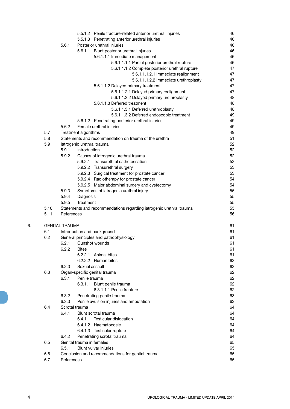|    |      | 5.5.1.2 Penile fracture-related anterior urethral injuries          | 46 |
|----|------|---------------------------------------------------------------------|----|
|    |      | 5.5.1.3 Penetrating anterior urethral injuries                      | 46 |
|    |      | 5.6.1<br>Posterior urethral injuries                                | 46 |
|    |      | 5.6.1.1 Blunt posterior urethral injuries                           | 46 |
|    |      | 5.6.1.1.1 Immediate management                                      | 46 |
|    |      | 5.6.1.1.1.1 Partial posterior urethral rupture                      | 46 |
|    |      | 5.6.1.1.1.2 Complete posterior urethral rupture                     | 47 |
|    |      | 5.6.1.1.1.2.1 Immediate realignment                                 | 47 |
|    |      | 5.6.1.1.1.2.2 Immediate urethroplasty                               | 47 |
|    |      | 5.6.1.1.2 Delayed primary treatment                                 | 47 |
|    |      | 5.6.1.1.2.1 Delayed primary realignment                             | 47 |
|    |      | 5.6.1.1.2.2 Delayed primary urethroplasty                           | 48 |
|    |      | 5.6.1.1.3 Deferred treatment                                        | 48 |
|    |      | 5.6.1.1.3.1 Deferred urethroplasty                                  | 48 |
|    |      | 5.6.1.1.3.2 Deferred endoscopic treatment                           | 49 |
|    |      | 5.6.1.2 Penetrating posterior urethral injuries                     | 49 |
|    |      | 5.6.2<br>Female urethral injuries                                   | 49 |
|    | 5.7  | Treatment algorithms                                                | 49 |
|    | 5.8  | Statements and recommendation on trauma of the urethra              | 51 |
|    | 5.9  | latrogenic urethral trauma                                          | 52 |
|    |      | 5.9.1<br>Introduction                                               | 52 |
|    |      | 5.9.2<br>Causes of iatrogenic urethral trauma                       | 52 |
|    |      | 5.9.2.1 Transurethral catheterisation                               | 52 |
|    |      | 5.9.2.2 Transurethral surgery                                       | 53 |
|    |      | 5.9.2.3 Surgical treatment for prostate cancer                      | 53 |
|    |      | 5.9.2.4 Radiotherapy for prostate cancer                            | 54 |
|    |      | 5.9.2.5 Major abdominal surgery and cystectomy                      | 54 |
|    |      | 5.9.3<br>Symptoms of iatrogenic urethral injury                     | 55 |
|    |      | 5.9.4<br>Diagnosis                                                  | 55 |
|    |      | 5.9.5<br>Treatment                                                  | 55 |
|    | 5.10 | Statements and recommendations regarding iatrogenic urethral trauma | 55 |
|    | 5.11 | References                                                          | 56 |
| 6. |      | <b>GENITAL TRAUMA</b>                                               | 61 |
|    | 6.1  | Introduction and background                                         | 61 |
|    | 6.2  | General principles and pathophysiology                              | 61 |
|    |      | Gunshot wounds<br>6.2.1                                             | 61 |
|    |      | 6.2.2<br><b>Bites</b>                                               | 61 |
|    |      | 6.2.2.1 Animal bites                                                | 61 |
|    |      | 6.2.2.2 Human bites                                                 | 62 |
|    |      | 6.2.3<br>Sexual assault                                             | 62 |
|    | 6.3  | Organ-specific genital trauma                                       | 62 |
|    |      | 6.3.1<br>Penile trauma                                              | 62 |
|    |      | 6.3.1.1 Blunt penile trauma                                         | 62 |
|    |      | 6.3.1.1.1 Penile fracture                                           | 62 |
|    |      | 6.3.2<br>Penetrating penile trauma                                  | 63 |
|    |      | 6.3.3<br>Penile avulsion injuries and amputation                    | 63 |
|    | 6.4  |                                                                     |    |
|    |      | Scrotal trauma                                                      | 64 |
|    |      | 6.4.1<br>Blunt scrotal trauma                                       | 64 |
|    |      | 6.4.1.1 Testicular dislocation                                      | 64 |
|    |      | 6.4.1.2 Haematocoele                                                | 64 |
|    |      | 6.4.1.3 Testicular rupture                                          | 64 |
|    |      | Penetrating scrotal trauma<br>6.4.2                                 | 64 |
|    | 6.5  | Genital trauma in females                                           | 65 |
|    |      | 6.5.1<br>Blunt vulvar injuries                                      | 65 |
|    | 6.6  | Conclusion and recommendations for genital trauma                   | 65 |
|    | 6.7  | References                                                          | 65 |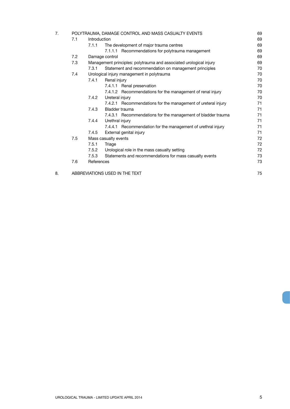|     |            |                                                               | 69                                                                                                                                                                                                                                                                                    |  |
|-----|------------|---------------------------------------------------------------|---------------------------------------------------------------------------------------------------------------------------------------------------------------------------------------------------------------------------------------------------------------------------------------|--|
| 7.1 |            |                                                               | 69                                                                                                                                                                                                                                                                                    |  |
|     |            | The development of major trauma centres                       | 69                                                                                                                                                                                                                                                                                    |  |
|     |            | 7.1.1.1 Recommendations for polytrauma management             | 69                                                                                                                                                                                                                                                                                    |  |
| 7.2 |            |                                                               | 69                                                                                                                                                                                                                                                                                    |  |
| 7.3 |            |                                                               | 69                                                                                                                                                                                                                                                                                    |  |
|     | 7.3.1      | Statement and recommendation on management principles         | 70                                                                                                                                                                                                                                                                                    |  |
| 7.4 |            |                                                               | 70                                                                                                                                                                                                                                                                                    |  |
|     | 7.4.1      | Renal injury                                                  | 70                                                                                                                                                                                                                                                                                    |  |
|     |            | 7.4.1.1 Renal preservation                                    | 70                                                                                                                                                                                                                                                                                    |  |
|     |            | 7.4.1.2 Recommendations for the management of renal injury    | 70                                                                                                                                                                                                                                                                                    |  |
|     | 7.4.2      | Ureteral injury                                               | 70                                                                                                                                                                                                                                                                                    |  |
|     |            | 7.4.2.1 Recommendations for the management of ureteral injury | 71                                                                                                                                                                                                                                                                                    |  |
|     | 7.4.3      | Bladder trauma                                                | 71                                                                                                                                                                                                                                                                                    |  |
|     |            | 7.4.3.1 Recommendations for the management of bladder trauma  | 71                                                                                                                                                                                                                                                                                    |  |
|     | 7.4.4      | Urethral injury                                               | 71                                                                                                                                                                                                                                                                                    |  |
|     |            | 7.4.4.1 Recommendation for the management of urethral injury  | 71                                                                                                                                                                                                                                                                                    |  |
|     | 7.4.5      | External genital injury                                       | 71                                                                                                                                                                                                                                                                                    |  |
| 7.5 |            |                                                               | 72                                                                                                                                                                                                                                                                                    |  |
|     | 7.5.1      | Triage                                                        | 72                                                                                                                                                                                                                                                                                    |  |
|     |            | Urological role in the mass casualty setting                  | 72                                                                                                                                                                                                                                                                                    |  |
|     | 7.5.3      | Statements and recommendations for mass casualty events       | 73                                                                                                                                                                                                                                                                                    |  |
| 7.6 | References |                                                               |                                                                                                                                                                                                                                                                                       |  |
|     |            |                                                               | 75                                                                                                                                                                                                                                                                                    |  |
|     |            |                                                               | POLYTRAUMA, DAMAGE CONTROL AND MASS CASUALTY EVENTS<br>Introduction<br>7.1.1<br>Damage control<br>Management principles: polytrauma and associated urological injury<br>Urological injury management in polytrauma<br>Mass casualty events<br>7.5.2<br>ABBREVIATIONS USED IN THE TEXT |  |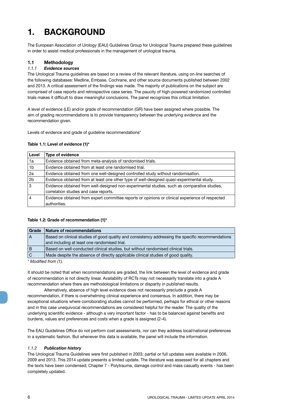## **1. BACKGROUND**

The European Association of Urology (EAU) Guidelines Group for Urological Trauma prepared these guidelines in order to assist medical professionals in the management of urological trauma.

#### **1.1 Methodology**

#### *1.1.1 Evidence sources*

The Urological Trauma guidelines are based on a review of the relevant literature, using on-line searches of the following databases: Medline, Embase, Cochrane, and other source documents published between 2002 and 2013. A critical assessment of the findings was made. The majority of publications on the subject are comprised of case reports and retrospective case series. The paucity of high-powered randomized controlled trials makes it difficult to draw meaningful conclusions. The panel recognizes this critical limitation.

A level of evidence (LE) and/or grade of recommendation (GR) have been assigned where possible. The aim of grading recommendations is to provide transparency between the underlying evidence and the recommendation given.

Levels of evidence and grade of guideline recommendations\*

#### **Table 1.1: Level of evidence (1)\***

| Level          | <b>Type of evidence</b>                                                                         |
|----------------|-------------------------------------------------------------------------------------------------|
| 1a             | Evidence obtained from meta-analysis of randomised trials.                                      |
| 1b             | Evidence obtained from at least one randomised trial.                                           |
| 2a             | Evidence obtained from one well-designed controlled study without randomisation.                |
| 2 <sub>b</sub> | Evidence obtained from at least one other type of well-designed quasi-experimental study.       |
| 3              | Evidence obtained from well-designed non-experimental studies, such as comparative studies,     |
|                | correlation studies and case reports.                                                           |
|                | Evidence obtained from expert committee reports or opinions or clinical experience of respected |
|                | authorities.                                                                                    |

#### **Table 1.2: Grade of recommendation (1)\***

| Grade                                  | Nature of recommendations                                                                         |  |
|----------------------------------------|---------------------------------------------------------------------------------------------------|--|
| $\Lambda$                              | Based on clinical studies of good quality and consistency addressing the specific recommendations |  |
|                                        | and including at least one randomised trial.                                                      |  |
| B                                      | Based on well-conducted clinical studies, but without randomised clinical trials.                 |  |
| $\overline{C}$                         | Made despite the absence of directly applicable clinical studies of good quality.                 |  |
| $*$ $M = -115$ $-15$ $-15$ $-15$ $-15$ |                                                                                                   |  |

*\* Modified from (1).*

It should be noted that when recommendations are graded, the link between the level of evidence and grade of recommendation is not directly linear. Availability of RCTs may not necessarily translate into a grade A recommendation where there are methodological limitations or disparity in published results.

Alternatively, absence of high level evidence does not necessarily preclude a grade A recommendation, if there is overwhelming clinical experience and consensus. In addition, there may be exceptional situations where corroborating studies cannot be performed, perhaps for ethical or other reasons and in this case unequivocal recommendations are considered helpful for the reader. The quality of the underlying scientific evidence - although a very important factor - has to be balanced against benefits and burdens, values and preferences and costs when a grade is assigned (2-4).

The EAU Guidelines Office do not perform cost assessments, nor can they address local/national preferences in a systematic fashion. But whenever this data is available, the panel will include the information.

#### *1.1.2 Publication history*

The Urological Trauma Guidelines were first published in 2003; partial or full updates were available in 2006, 2009 and 2013. This 2014 update presents a limited update. The literature was assessed for all chapters and the texts have been condensed; Chapter 7 - Polytrauma, damage control and mass casualty events - has been completely updated.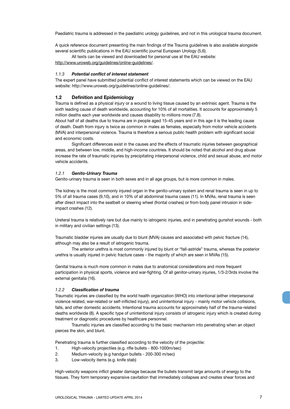Paediatric trauma is addressed in the paediatric urology guidelines, and not in this urological trauma document.

A quick reference document presenting the main findings of the Trauma guidelines is also available alongside several scientific publications in the EAU scientific journal European Urology (5,6).

All texts can be viewed and downloaded for personal use at the EAU website: http://www.uroweb.org/guidelines/online-guidelines/.

#### *1.1.3 Potential conflict of interest statement*

The expert panel have submitted potential conflict of interest statements which can be viewed on the EAU website: http://www.uroweb.org/guidelines/online-guidelines/.

#### **1.2 Definition and Epidemiology**

Trauma is defined as a physical injury or a wound to living tissue caused by an extrinsic agent. Trauma is the sixth leading cause of death worldwide, accounting for 10% of all mortalities. It accounts for approximately 5 million deaths each year worldwide and causes disability to millions more (7,8).

About half of all deaths due to trauma are in people aged 15-45 years and in this age it is the leading cause of death. Death from injury is twice as common in males as females, especially from motor vehicle accidents (MVA) and interpersonal violence. Trauma is therefore a serious public health problem with significant social and economic costs.

Significant differences exist in the causes and the effects of traumatic injuries between geographical areas, and between low, middle, and high-income countries. It should be noted that alcohol and drug abuse increase the rate of traumatic injuries by precipitating interpersonal violence, child and sexual abuse, and motor vehicle accidents.

#### *1.2.1 Genito-Urinary Trauma*

Genito-urinary trauma is seen in both sexes and in all age groups, but is more common in males.

The kidney is the most commonly injured organ in the genito-urinary system and renal trauma is seen in up to 5% of all trauma cases (9,10), and in 10% of all abdominal trauma cases (11). In MVAs, renal trauma is seen after direct impact into the seatbelt or steering wheel (frontal crashes) or from body panel intrusion in sideimpact crashes (12).

Ureteral trauma is relatively rare but due mainly to iatrogenic injuries, and in penetrating gunshot wounds - both in military and civilian settings (13).

Traumatic bladder injuries are usually due to blunt (MVA) causes and associated with pelvic fracture (14), although may also be a result of iatrogenic trauma.

The anterior urethra is most commonly injured by blunt or "fall-astride" trauma, whereas the posterior urethra is usually injured in pelvic fracture cases - the majority of which are seen in MVAs (15).

Genital trauma is much more common in males due to anatomical considerations and more frequent participation in physical sports, violence and war-fighting. Of all genitor-urinary injuries, 1/3-2/3rds involve the external genitalia (16).

#### *1.2.2 Classification of trauma*

Traumatic injuries are classified by the world health organization (WHO) into intentional (either interpersonal violence related, war-related or self-inflicted injury), and unintentional injury - mainly motor vehicle collisions, falls, and other domestic accidents. Intentional trauma accounts for approximately half of the trauma-related deaths worldwide (8). A specific type of unintentional injury consists of iatrogenic injury which is created during treatment or diagnostic procedures by healthcare personnel.

Traumatic injuries are classified according to the basic mechanism into penetrating when an object pierces the skin, and blunt.

Penetrating trauma is further classified according to the velocity of the projectile:

- 1. High-velocity projectiles (e.g. rifle bullets 800-1000m/sec)
- 2. Medium-velocity (e.g handgun bullets 200-300 m/sec)
- 3. Low-velocity items (e.g. knife stab)

High-velocity weapons inflict greater damage because the bullets transmit large amounts of energy to the tissues. They form temporary expansive cavitation that immediately collapses and creates shear forces and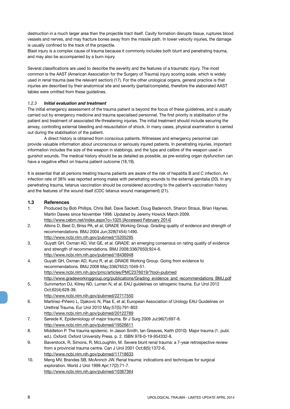destruction in a much larger area then the projectile tract itself. Cavity formation disrupts tissue, ruptures blood vessels and nerves, and may fracture bones away from the missile path. In lower velocity injuries, the damage is usually confined to the track of the projectile.

Blast injury is a complex cause of trauma because it commonly includes both blunt and penetrating trauma, and may also be accompanied by a burn injury.

Several classifications are used to describe the severity and the features of a traumatic injury. The most common is the AAST (American Association for the Surgery of Trauma) injury scoring scale, which is widely used in renal trauma (see the relevant section) (17). For the other urological organs, general practice is that injuries are described by their anatomical site and severity (partial/complete), therefore the elaborated AAST tables were omitted from these guidelines.

#### *1.2.3 Initial evaluation and treatment*

The initial emergency assessment of the trauma patient is beyond the focus of these guidelines, and is usually carried out by emergency medicine and trauma specialised personnel. The first priority is stabilisation of the patient and treatment of associated life-threatening injuries. The initial treatment should include securing the airway, controlling external bleeding and resuscitation of shock. In many cases, physical examination is carried out during the stabilisation of the patient.

A direct history is obtained from conscious patients. Witnesses and emergency personnel can provide valuable information about unconscious or seriously injured patients. In penetrating injuries, important information includes the size of the weapon in stabbings, and the type and calibre of the weapon used in gunshot wounds. The medical history should be as detailed as possible, as pre-existing organ dysfunction can have a negative effect on trauma patient outcome (18,19).

It is essential that all persons treating trauma patients are aware of the risk of hepatitis B and C infection. An infection rate of 38% was reported among males with penetrating wounds to the external genitalia (20). In any penetrating trauma, tetanus vaccination should be considered according to the patient's vaccination history and the features of the wound itself (CDC tetanus wound management) (21).

#### **1.3 References**

- 1. Produced by Bob Phillips, Chris Ball, Dave Sackett, Doug Badenoch, Sharon Straus, Brian Haynes, Martin Dawes since November 1998. Updated by Jeremy Howick March 2009. http://www.cebm.net/index.aspx?o=1025 [Accessed February 2014]
- 2. Atkins D, Best D, Briss PA, et al; GRADE Working Group. Grading quality of evidence and strength of recommendations. BMJ 2004 Jun;328(7454):1490. http://www.ncbi.nlm.nih.gov/pubmed/15205295
- 3. Guyatt GH, Oxman AD, Vist GE, et al. GRADE: an emerging consensus on rating quality of evidence and strength of recommendations. BMJ 2008;336(7650):924-6. http://www.ncbi.nlm.nih.gov/pubmed/18436948
- 4. Guyatt GH, Oxman AD, Kunz R, et al; GRADE Working Group. Going from evidence to recommendations. BMJ 2008 May;336(7652):1049-51. http://www.ncbi.nlm.nih.gov/pmc/articles/PMC2376019/?tool=pubmed http://www.gradeworkinggroup.org/publications/Grading\_evidence\_and\_recommendations\_BMJ.pdf
- 5. Summerton DJ, Kitrey ND, Lumen N, et al. EAU guidelines on iatrogenic trauma. Eur Urol 2012 Oct;62(4):628-39.
	- http://www.ncbi.nlm.nih.gov/pubmed/22717550
- 6. Martínez-Piñeiro L, Djakovic N, Plas E, et al; European Association of Urology EAU Guidelines on Urethral Trauma. Eur Urol 2010 May;57(5):791-803 http://www.ncbi.nlm.nih.gov/pubmed/20122789
- 7. Søreide K. Epidemiology of major trauma. Br J Surg 2009 Jul;96(7):697-8. http://www.ncbi.nlm.nih.gov/pubmed/19526611
- 8. Middleton P. The trauma epidemic. In Jason Smith, Ian Greaves, Keith (2010). Major trauma (1. publ. ed.). Oxford: Oxford University Press. p. 2. ISBN 978-0-19-954332-8.
- 9. Baverstock, R, Simons, R, McLoughlin, M. Severe blunt renal trauma: a 7-year retrospective review from a provincial trauma centre. Can J Urol 2001 Oct;8(5):1372-6. http://www.ncbi.nlm.nih.gov/pubmed/11718633
- 10. Meng MV, Brandes SB, McAninch JW. Renal trauma: indications and techniques for surgical exploration. World J Urol 1999 Apr;17(2):71-7. http://www.ncbi.nlm.nih.gov/pubmed/10367364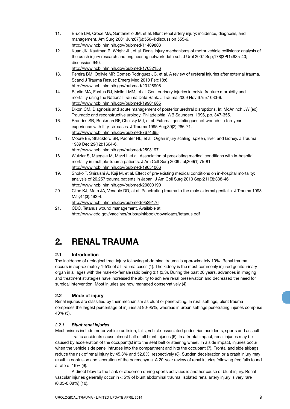- 11. Bruce LM, Croce MA, Santaniello JM, et al. Blunt renal artery injury: incidence, diagnosis, and management. Am Surg 2001 Jun;67(6):550-4;discussion 555-6. http://www.ncbi.nlm.nih.gov/pubmed/11409803
- 12. Kuan JK, Kaufman R, Wright JL, et al. Renal injury mechanisms of motor vehicle collisions: analysis of the crash injury research and engineering network data set. J Urol 2007 Sep;178(3Pt1):935-40; discussion 940.

http://www.ncbi.nlm.nih.gov/pubmed/17632156

- 13. Pereira BM, Ogilvie MP, Gomez-Rodriguez JC, et al. A review of ureteral injuries after external trauma. Scand J Trauma Resusc Emerg Med 2010 Feb;18:6. http://www.ncbi.nlm.nih.gov/pubmed/20128905
- 14. Bjurlin MA, Fantus RJ, Mellett MM, et al. Genitourinary injuries in pelvic fracture morbidity and mortality using the National Trauma Data Bank. J Trauma 2009 Nov;67(5):1033-9. http://www.ncbi.nlm.nih.gov/pubmed/19901665
- 15. Dixon CM. Diagnosis and acute management of posterior urethral disruptions, In: McAninch JW (ed). Traumatic and reconstructive urology. Philadelphia: WB Saunders, 1996, pp. 347-355.
- 16. Brandes SB, Buckman RF, Chelsky MJ, et al. External genitalia gunshot wounds: a ten-year experience with fifty-six cases. J Trauma 1995 Aug;39(2):266-71. http://www.ncbi.nlm.nih.gov/pubmed/7674395
- 17. Moore EE, Shackford SR, Pachter HL, et al. Organ injury scaling: spleen, liver, and kidney. J Trauma 1989 Dec;29(12):1664-6.
- http://www.ncbi.nlm.nih.gov/pubmed/2593197 18. Wutzler S, Maegele M, Marzi I, et al. Association of preexisting medical conditions with in-hospital mortality in multiple-trauma patients. J Am Coll Surg 2009 Jul;209(1):75-81. http://www.ncbi.nlm.nih.gov/pubmed/19651066
- 19. Shoko T, Shiraishi A, Kaji M, et al. Effect of pre-existing medical conditions on in-hospital mortality: analysis of 20,257 trauma patients in Japan. J Am Coll Surg 2010 Sep;211(3):338-46. http://www.ncbi.nlm.nih.gov/pubmed/20800190
- 20. Cline KJ, Mata JA, Venable DD, et al. Penetrating trauma to the male external genitalia. J Trauma 1998 Mar;44(3):492-4.

http://www.ncbi.nlm.nih.gov/pubmed/9529176

21. CDC. Tetanus wound management. Available at: http://www.cdc.gov/vaccines/pubs/pinkbook/downloads/tetanus.pdf

## **2. RENAL TRAUMA**

#### **2.1 Introduction**

The incidence of urological tract injury following abdominal trauma is approximately 10%. Renal trauma occurs in approximately 1-5% of all trauma cases (1). The kidney is the most commonly injured genitourinary organ in all ages with the male-to-female ratio being 3:1 (2,3). During the past 20 years, advances in imaging and treatment strategies have increased the ability to achieve renal preservation and decreased the need for surgical intervention. Most injuries are now managed conservatively (4).

#### **2.2 Mode of injury**

Renal injuries are classified by their mechanism as blunt or penetrating. In rural settings, blunt trauma comprises the largest percentage of injuries at 90-95%, whereas in urban settings penetrating injuries comprise 40% (5).

#### *2.2.1 Blunt renal injuries*

Mechanisms include motor vehicle collision, falls, vehicle-associated pedestrian accidents, sports and assault.

Traffic accidents cause almost half of all blunt injuries (6). In a frontal impact, renal injuries may be caused by acceleration of the occupant(s) into the seat belt or steering wheel. In a side impact, injuries occur when the vehicle side panel intrudes into the compartment and hits the occupant (7). Frontal and side airbags reduce the risk of renal injury by 45.3% and 52.8%, respectively (8). Sudden deceleration or a crash injury may result in contusion and laceration of the parenchyma. A 20-year review of renal injuries following free falls found a rate of 16% (9).

A direct blow to the flank or abdomen during sports activities is another cause of blunt injury. Renal vascular injuries generally occur in < 5% of blunt abdominal trauma; isolated renal artery injury is very rare (0.05-0.08%) (10).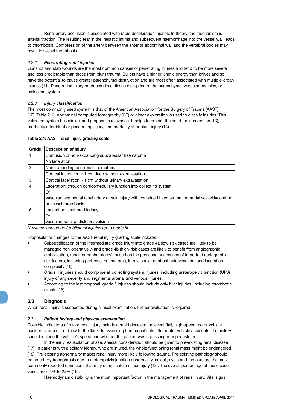Renal artery occlusion is associated with rapid deceleration injuries. In theory, the mechanism is arterial traction. The resulting tear in the inelastic intima and subsequent haemorrhage into the vessel wall leads to thrombosis. Compression of the artery between the anterior abdominal wall and the vertebral bodies may result in vessel thrombosis.

#### *2.2.2 Penetrating renal injuries*

Gunshot and stab wounds are the most common causes of penetrating injuries and tend to be more severe and less predictable than those from blunt trauma. Bullets have a higher kinetic energy than knives and so have the potential to cause greater parenchymal destruction and are most often associated with multiple-organ injuries (11). Penetrating injury produces direct tissue disruption of the parenchyma, vascular pedicles, or collecting system.

#### *2.2.3 Injury classification*

The most commonly used system is that of the American Association for the Surgery of Trauma (AAST) (12) (Table 2.1). Abdominal computed tomography (CT) or direct exploration is used to classify injuries. This validated system has clinical and prognostic relevance. It helps to predict the need for intervention (13), morbidity after blunt or penetrating injury, and mortality after blunt injury (14).

#### **Table 2.1: AAST renal injury grading scale**

| Grade*         | <b>Description of injury</b>                                                                            |
|----------------|---------------------------------------------------------------------------------------------------------|
|                | Contusion or non-expanding subcapsular haematoma                                                        |
|                | No laceration                                                                                           |
| $\overline{2}$ | Non-expanding peri-renal haematoma                                                                      |
|                | Cortical laceration $<$ 1 cm deep without extravasation                                                 |
| 3              | Cortical laceration > 1 cm without urinary extravasation                                                |
| 4              | Laceration: through corticomedullary junction into collecting system                                    |
|                | Or                                                                                                      |
|                | Vascular: segmental renal artery or vein injury with contained haematoma, or partial vessel laceration, |
|                | or vessel thrombosis                                                                                    |
| 5              | Laceration: shattered kidney                                                                            |
|                | Or                                                                                                      |
|                | Vascular: renal pedicle or avulsion                                                                     |

*\*Advance one grade for bilateral injuries up to grade III.*

Proposals for changes to the AAST renal injury grading scale include:

- Substratification of the intermediate-grade injury into grade 4a (low-risk cases are likely to be managed non-operatively) and grade 4b (high-risk cases are likely to benefit from angiographic embolization, repair or nephrectomy), based on the presence or absence of important radiographic risk factors, including peri-renal haematoma, intravascular contrast extravasation, and laceration complexity (15);
- Grade 4 injuries should comprise all collecting system injuries, including ureteropelvic junction (UPJ) injury of any severity and segmental arterial and venous injuries:
- According to the last proposal, grade 5 injuries should include only hilar injuries, including thrombotic events (16).

#### **2.3 Diagnosis**

When renal injury is suspected during clinical examination, further evaluation is required.

#### *2.3.1 Patient history and physical examination*

Possible indicators of major renal injury include a rapid deceleration event (fall, high-speed motor vehicle accidents) or a direct blow to the flank. In assessing trauma patients after motor vehicle accidents, the history should include the vehicle's speed and whether the patient was a passenger or pedestrian.

In the early resuscitation phase, special consideration should be given to pre-existing renal disease (17). In patients with a solitary kidney, who are injured, the whole functioning renal mass might be endangered (18). Pre-existing abnormality makes renal injury more likely following trauma. Pre-existing pathology should be noted. Hydronephrosis due to ureteropelvic junction abnormality, calculi, cysts and tumours are the most commonly reported conditions that may complicate a minor injury (18). The overall percentage of these cases varies from 4% to 22% (19).

Haemodynamic stability is the most important factor in the management of renal injury. Vital signs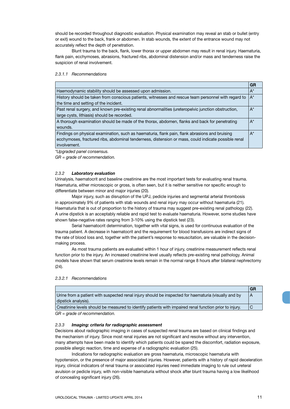should be recorded throughout diagnostic evaluation. Physical examination may reveal an stab or bullet (entry or exit) wound to the back, frank or abdomen. In stab wounds, the extent of the entrance wound may not accurately reflect the depth of penetration.

Blunt trauma to the back, flank, lower thorax or upper abdomen may result in renal injury. Haematuria, flank pain, ecchymoses, abrasions, fractured ribs, abdominal distension and/or mass and tenderness raise the suspicion of renal involvement.

#### *2.3.1.1 Recommendations*

|                                                                                                     | <b>GR</b> |
|-----------------------------------------------------------------------------------------------------|-----------|
| Haemodynamic stability should be assessed upon admission.                                           | $A^*$     |
| History should be taken from conscious patients, witnesses and rescue team personnel with regard to | $A^*$     |
| the time and setting of the incident.                                                               |           |
| Past renal surgery, and known pre-existing renal abnormalities (ureteropelvic junction obstruction, | $A^*$     |
| large cysts, lithiasis) should be recorded.                                                         |           |
| A thorough examination should be made of the thorax, abdomen, flanks and back for penetrating       | $A^*$     |
| wounds.                                                                                             |           |
| Findings on physical examination, such as haematuria, flank pain, flank abrasions and bruising      | $A^*$     |
| ecchymoses, fractured ribs, abdominal tenderness, distension or mass, could indicate possible renal |           |
| involvement.                                                                                        |           |
|                                                                                                     |           |

*\*Upgraded panel consensus.*

*GR = grade of recommendation.*

#### *2.3.2 Laboratory evaluation*

Urinalysis, haematocrit and baseline creatinine are the most important tests for evaluating renal trauma. Haematuria, either microscopic or gross, is often seen, but it is neither sensitive nor specific enough to differentiate between minor and major injuries (20).

Major injury, such as disruption of the UPJ, pedicle injuries and segmental arterial thrombosis in approximately 9% of patients with stab wounds and renal injury may occur without haematuria (21). Haematuria that is out of proportion to the history of trauma may suggest pre-existing renal pathology (22). A urine dipstick is an acceptably reliable and rapid test to evaluate haematuria. However, some studies have shown false-negative rates ranging from 3-10% using the dipstick test (23).

Serial haematocrit determination, together with vital signs, is used for continuous evaluation of the trauma patient. A decrease in haematocrit and the requirement for blood transfusions are indirect signs of the rate of blood loss and, together with the patient's response to resuscitation, are valuable in the decisionmaking process.

As most trauma patients are evaluated within 1 hour of injury, creatinine measurement reflects renal function prior to the injury. An increased creatinine level usually reflects pre-existing renal pathology. Animal models have shown that serum creatinine levels remain in the normal range 8 hours after bilateral nephrectomy (24).

#### *2.3.2.1 Recommendations*

|                                                                                                         | GR |
|---------------------------------------------------------------------------------------------------------|----|
| Urine from a patient with suspected renal injury should be inspected for haematuria (visually and by    |    |
| dipstick analysis).                                                                                     |    |
| Creatinine levels should be measured to identify patients with impaired renal function prior to injury. |    |

*GR = grade of recommendation.*

#### *2.3.3 Imaging: criteria for radiographic assessment*

Decisions about radiographic imaging in cases of suspected renal trauma are based on clinical findings and the mechanism of injury. Since most renal injuries are not significant and resolve without any intervention, many attempts have been made to identify which patients could be spared the discomfort, radiation exposure, possible allergic reaction, time and expense of a radiographic evaluation (25).

Indications for radiographic evaluation are gross haematuria, microscopic haematuria with hypotension, or the presence of major associated injuries. However, patients with a history of rapid deceleration injury, clinical indicators of renal trauma or associated injuries need immediate imaging to rule out ureteral avulsion or pedicle injury, with non-visible haematuria without shock after blunt trauma having a low likelihood of concealing significant injury (26).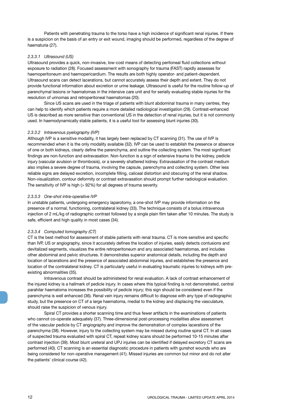Patients with penetrating trauma to the torso have a high incidence of significant renal injuries. If there is a suspicion on the basis of an entry or exit wound, imaging should be performed, regardless of the degree of haematuria (27).

#### *2.3.3.1 Ultrasound (US)*

Ultrasound provides a quick, non-invasive, low-cost means of detecting peritoneal fluid collections without exposure to radiation (28). Focused assessment with sonography for trauma (FAST) rapidly assesses for haemoperitoneum and haemopericardium. The results are both highly operator- and patient-dependent. Ultrasound scans can detect lacerations, but cannot accurately assess their depth and extent. They do not provide functional information about excretion or urine leakage. Ultrasound is useful for the routine follow-up of parenchymal lesions or haematomas in the intensive care unit and for serially evaluating stable injuries for the resolution of urinomas and retroperitoneal haematomas (20).

Since US scans are used in the triage of patients with blunt abdominal trauma in many centres, they can help to identify which patients require a more detailed radiological investigation (29). Contrast-enhanced US is described as more sensitive than conventional US in the detection of renal injuries, but it is not commonly used. In haemodynamically stable patients, it is a useful tool for assessing blunt injuries (30).

#### *2.3.3.2 Intravenous pyelography (IVP)*

Although IVP is a sensitive modality, it has largely been replaced by CT scanning (31). The use of IVP is recommended when it is the only modality available (32). IVP can be used to establish the presence or absence of one or both kidneys, clearly define the parenchyma, and outline the collecting system. The most significant findings are non-function and extravasation. Non-function is a sign of extensive trauma to the kidney, pedicle injury (vascular avulsion or thrombosis), or a severely shattered kidney. Extravasation of the contrast medium also implies a severe degree of trauma, involving the capsule, parenchyma and collecting system. Other less reliable signs are delayed excretion, incomplete filling, caliceal distortion and obscuring of the renal shadow. Non-visualization, contour deformity or contrast extravasation should prompt further radiological evaluation. The sensitivity of IVP is high (> 92%) for all degrees of trauma severity.

#### *2.3.3.3 One-shot intra-operative IVP*

In unstable patients, undergoing emergency laparotomy, a one-shot IVP may provide information on the presence of a normal, functioning, contralateral kidney (33). The technique consists of a bolus intravenous injection of 2 mL/kg of radiographic contrast followed by a single plain film taken after 10 minutes. The study is safe, efficient and high quality in most cases (34).

#### *2.3.3.4 Computed tomography (CT)*

CT is the best method for assessment of stable patients with renal trauma. CT is more sensitive and specific than IVP, US or angiography, since it accurately defines the location of injuries, easily detects contusions and devitalized segments, visualizes the entire retroperitoneum and any associated haematomas, and includes other abdominal and pelvic structures. It demonstrates superior anatomical details, including the depth and location of lacerations and the presence of associated abdominal injuries, and establishes the presence and location of the contralateral kidney. CT is particularly useful in evaluating traumatic injuries to kidneys with preexisting abnormalities (35).

Intravenous contrast should be administered for renal evaluation. A lack of contrast enhancement of the injured kidney is a hallmark of pedicle injury. In cases where this typical finding is not demonstrated, central parahilar haematoma increases the possibility of pedicle injury; this sign should be considered even if the parenchyma is well enhanced (36). Renal vein injury remains difficult to diagnose with any type of radiographic study, but the presence on CT of a large haematoma, medial to the kidney and displacing the vasculature, should raise the suspicion of venous injury.

Spiral CT provides a shorter scanning time and thus fewer artifacts in the examinations of patients who cannot co-operate adequately (37). Three-dimensional post-processing modalities allow assessment of the vascular pedicle by CT angiography and improve the demonstration of complex lacerations of the parenchyma (38). However, injury to the collecting system may be missed during routine spiral CT. In all cases of suspected trauma evaluated with spiral CT, repeat kidney scans should be performed 10-15 minutes after contrast injection (39). Most blunt ureteral and UPJ injuries can be identified if delayed excretory CT scans are performed (40). CT scanning is an essential diagnostic procedure in patients with gunshot wounds who are being considered for non-operative management (41). Missed injuries are common but minor and do not alter the patients' clinical course (42).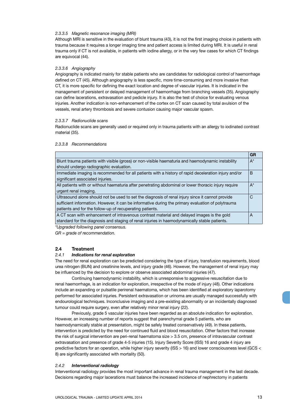#### *2.3.3.5 Magnetic resonance imaging (MRI)*

Although MRI is sensitive in the evaluation of blunt trauma (43), it is not the first imaging choice in patients with trauma because it requires a longer imaging time and patient access is limited during MRI. It is useful in renal trauma only if CT is not available, in patients with iodine allergy, or in the very few cases for which CT findings are equivocal (44).

#### *2.3.3.6 Angiography*

Angiography is indicated mainly for stable patients who are candidates for radiological control of haemorrhage defined on CT (45). Although angiography is less specific, more time-consuming and more invasive than CT, it is more specific for defining the exact location and degree of vascular injuries. It is indicated in the management of persistent or delayed management of haemorrhage from branching vessels (35). Angiography can define lacerations, extravasation and pedicle injury. It is also the test of choice for evaluating venous injuries. Another indication is non-enhancement of the cortex on CT scan caused by total avulsion of the vessels, renal artery thrombosis and severe contusion causing major vascular spasm.

#### *2.3.3.7 Radionuclide scans*

Radionuclide scans are generally used or required only in trauma patients with an allergy to iodinated contrast material (35).

#### *2.3.3.8 Recommendations*

|                                                                                                      | GR    |
|------------------------------------------------------------------------------------------------------|-------|
| Blunt trauma patients with visible (gross) or non-visible haematuria and haemodynamic instability    | $A^*$ |
| should undergo radiographic evaluation.                                                              |       |
| Immediate imaging is recommended for all patients with a history of rapid deceleration injury and/or | B     |
| significant associated injuries.                                                                     |       |
| All patients with or without haematuria after penetrating abdominal or lower thoracic injury require | $A^*$ |
| urgent renal imaging.                                                                                |       |
| Ultrasound alone should not be used to set the diagnosis of renal injury since it cannot provide     | C     |
| sufficient information. However, it can be informative during the primary evaluation of polytrauma   |       |
| patients and for the follow-up of recuperating patients.                                             |       |
| A CT scan with enhancement of intravenous contrast material and delayed images is the gold           | A     |
| standard for the diagnosis and staging of renal injuries in haemodynamically stable patients.        |       |

*\*Upgraded following panel consensus.*

*GR = grade of recommendation.*

#### **2.4 Treatment**

#### *2.4.1 Indications for renal exploration*

The need for renal exploration can be predicted considering the type of injury, transfusion requirements, blood urea nitrogen (BUN) and creatinine levels, and injury grade (46). However, the management of renal injury may be influenced by the decision to explore or observe associated abdominal injuries (47).

Continuing haemodynamic instability, which is unresponsive to aggressive resuscitation due to renal haemorrhage, is an indication for exploration, irrespective of the mode of injury (48). Other indications include an expanding or pulsatile perirenal haematoma, which has been identified at exploratory laparotomy performed for associated injuries. Persistent extravasation or urinoma are usually managed successfully with endourological techniques. Inconclusive imaging and a pre-existing abnormality or an incidentally diagnosed tumour could require surgery, even after relatively minor renal injury (22).

Previously, grade 5 vascular injuries have been regarded as an absolute indication for exploration. However, an increasing number of reports suggest that parenchymal grade 5 patients, who are haemodynamically stable at presentation, might be safely treated conservatively (49). In these patients, intervention is predicted by the need for continued fluid and blood resuscitation. Other factors that increase the risk of surgical intervention are peri-renal haematoma size > 3.5 cm, presence of intravascular contrast extravasation and presence of grade 4-5 injuries (15). Injury Severity Score (ISS) 16 and grade 4 injury are predictive factors for an operation, while higher injury severity (ISS > 16) and lower consciousness level (GCS < 8) are significantly associated with mortality (50).

#### *2.4.2 Interventional radiology*

Interventional radiology provides the most important advance in renal trauma management in the last decade. Decisions regarding major lacerations must balance the increased incidence of nephrectomy in patients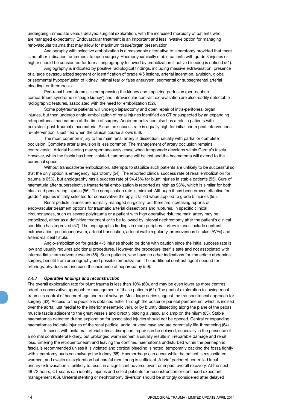undergoing immediate versus delayed surgical exploration, with the increased morbidity of patients who are managed expectantly. Endovascular treatment is an important and less invasive option for managing renovascular trauma that may allow for maximum tissue/organ preservation.

Angiography with selective embolization is a reasonable alternative to laparotomy provided that there is no other indication for immediate open surgery. Haemodynamically stable patients with grade 3 injuries or higher should be considered for formal angiography followed by embolization if active bleeding is noticed (51).

Angiography is indicated by positive radiological findings, including massive extravasation, presence of a large devascularized segment or identification of grade 4/5 lesions, arterial laceration, avulsion, global or segmental hypoperfusion of kidney, intimal tear or false aneurysm, segmental or subsegmental arterial bleeding, or thrombosis.

Peri-renal haematoma size compressing the kidney and impairing perfusion (peri-nephric compartment syndrome or 'page kidney') and intravascular contrast extravasation are also readily detectable radiographic features, associated with the need for embolization (52).

Some polytrauma patients will undergo laparotomy and open repair of intra-peritoneal organ injuries, but then undergo angio-embolization of renal injuries identified on CT or suspected by an expanding retroperitoneal haematoma at the time of surgery. Angio-embolization also has a role in patients with persistent post-traumatic haematuria. Since the success rate is equally high for initial and repeat interventions, re-intervention is justified when the clinical course allows (53).

The most common injury to the main renal artery is dissection, usually with partial or complete occlusion. Complete arterial avulsion is less common. The management of artery occlusion remains controversial. Arterial bleeding may spontaneously cease when tamponade develops within Gerota's fascia. However, when the fascia has been violated, tamponade will be lost and the haematoma will extend to the pararenal space.

Without transcatheter embolization, attempts to stabilize such patients are unlikely to be successful so that the only option is emergency laparotomy (54). The reported clinical success rate of renal embolization for trauma is 65%, but angiography has a success rate of 94.45% for blunt injuries in stable patients (55). Cure of haematuria after superselective transarterial embolization is reported as high as 98%, which is similar for both blunt and penetrating injuries (56). The complication rate is minimal. Although it has been proven effective for grade 4 injuries initially selected for conservative therapy, it failed when applied to grade 5 injuries (55).

Renal pedicle injuries are normally managed surgically, but there are increasing reports of endovascular treatment options for traumatic arterial dissections and ruptures. In specific clinical circumstances, such as severe polytrauma or a patient with high operative risk, the main artery may be embolized, either as a definitive treatment or to be followed by interval nephrectomy after the patient's clinical condition has improved (57). The angiographic findings in more peripheral artery injuries include contrast extravasation, pseudoaneurysm, arterial transection, arterial wall irregularity, arteriovenous fistulas (AVFs) and arterio-caliceal fistula.

Angio-embolization for grade 4-5 injuries should be done with caution since the initial success rate is low and usually requires additional procedures. However, the procedure itself is safe and not associated with intermediate-term adverse events (58). Such patients, who have no other indications for immediate abdominal surgery, benefit from arteriography and possible embolization. The additional contrast agent needed for arteriography does not increase the incidence of nephropathy (59).

#### *2.4.3 Operative findings and reconstruction*

The overall exploration rate for blunt trauma is less than 10% (60), and may be even lower as more centres adopt a conservative approach to management of these patients (61). The goal of exploration following renal trauma is control of haemorrhage and renal salvage. Most large series suggest the transperitoneal approach for surgery (62). Access to the pedicle is obtained either through the posterior parietal peritoneum, which is incised over the aorta, just medial to the inferior mesenteric vein, or by bluntly dissecting along the plane of the psoas muscle fascia adjacent to the great vessels and directly placing a vascular clamp on the hilum (63). Stable haematomas detected during exploration for associated injuries should not be opened. Central or expanding haematomas indicate injuries of the renal pedicle, aorta, or vena cava and are potentially life-threatening (64).

In cases with unilateral arterial intimal disruption, repair can be delayed, especially in the presence of a normal contralateral kidney, but prolonged warm ischemia usually results in irreparable damage and renal loss. Entering the retroperitoneum and leaving the confined haematoma undisturbed within the perinephric fascia is recommended unless it is violated and cortical bleeding is noted; temporarily packing the fossa tightly with laparotomy pads can salvage the kidney (65). Haemorrhage can occur while the patient is resuscitated, warmed, and awaits re-exploration but careful monitoring is sufficient. A brief period of controlled local urinary extravasation is unlikely to result in a significant adverse event or impact overall recovery. At the next 48-72 hours, CT scans can identify injuries and select patients for reconstruction or continued expectant management (66). Ureteral stenting or nephrostomy diversion should be strongly considered after delayed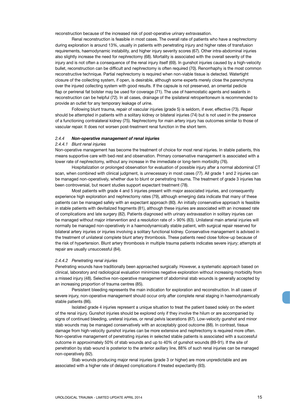reconstruction because of the increased risk of post-operative urinary extravasation.

Renal reconstruction is feasible in most cases. The overall rate of patients who have a nephrectomy during exploration is around 13%, usually in patients with penetrating injury and higher rates of transfusion requirements, haemodynamic instability, and higher injury severity scores (67). Other intra-abdominal injuries also slightly increase the need for nephrectomy (68). Mortality is associated with the overall severity of the injury and is not often a consequence of the renal injury itself (69). In gunshot injuries caused by a high-velocity bullet, reconstruction can be difficult and nephrectomy is often required (70). Renorrhaphy is the most common reconstructive technique. Partial nephrectomy is required when non-viable tissue is detected. Watertight closure of the collecting system, if open, is desirable, although some experts merely close the parenchyma over the injured collecting system with good results. If the capsule is not preserved, an omental pedicle flap or perirenal fat bolster may be used for coverage (71). The use of haemostatic agents and sealants in reconstruction can be helpful (72). In all cases, drainage of the ipsilateral retroperitoneum is recommended to provide an outlet for any temporary leakage of urine.

Following blunt trauma, repair of vascular injuries (grade 5) is seldom, if ever, effective (73). Repair should be attempted in patients with a solitary kidney or bilateral injuries (74) but is not used in the presence of a functioning contralateral kidney (75). Nephrectomy for main artery injury has outcomes similar to those of vascular repair. It does not worsen post-treatment renal function in the short term.

#### *2.4.4 Non-operative management of renal injuries*

#### *2.4.4.1 Blunt renal injuries*

Non-operative management has become the treatment of choice for most renal injuries. In stable patients, this means supportive care with bed-rest and observation. Primary conservative management is associated with a lower rate of nephrectomy, without any increase in the immediate or long-term morbidity (76).

Hospitalization or prolonged observation for evaluation of possible injury after a normal abdominal CT scan, when combined with clinical judgment, is unnecessary in most cases (77). All grade 1 and 2 injuries can be managed non-operatively, whether due to blunt or penetrating trauma. The treatment of grade 3 injuries has been controversial, but recent studies support expectant treatment (78).

Most patients with grade 4 and 5 injuries present with major associated injuries, and consequently experience high exploration and nephrectomy rates (79), although emerging data indicate that many of these patients can be managed safely with an expectant approach (80). An initially conservative approach is feasible in stable patients with devitalized fragments (81), although these injuries are associated with an increased rate of complications and late surgery (82). Patients diagnosed with urinary extravasation in solitary injuries can be managed without major intervention and a resolution rate of > 90% (83). Unilateral main arterial injuries will normally be managed non-operatively in a haemodynamically stable patient, with surgical repair reserved for bilateral artery injuries or injuries involving a solitary functional kidney. Conservative management is advised in the treatment of unilateral complete blunt artery thrombosis. These patients need close follow-up because of the risk of hypertension. Blunt artery thrombosis in multiple trauma patients indicates severe injury; attempts at repair are usually unsuccessful (84).

#### *2.4.4.2 Penetrating renal injuries*

Penetrating wounds have traditionally been approached surgically. However, a systematic approach based on clinical, laboratory and radiological evaluation minimizes negative exploration without increasing morbidity from a missed injury (48). Selective non-operative management of abdominal stab wounds is generally accepted by an increasing proportion of trauma centres (85).

Persistent bleeding represents the main indication for exploration and reconstruction. In all cases of severe injury, non-operative management should occur only after complete renal staging in haemodynamically stable patients (86).

Isolated grade 4 injuries represent a unique situation to treat the patient based solely on the extent of the renal injury. Gunshot injuries should be explored only if they involve the hilum or are accompanied by signs of continued bleeding, ureteral injuries, or renal pelvis lacerations (87). Low-velocity gunshot and minor stab wounds may be managed conservatively with an acceptably good outcome (88). In contrast, tissue damage from high-velocity gunshot injuries can be more extensive and nephrectomy is required more often. Non-operative management of penetrating injuries in selected stable patients is associated with a successful outcome in approximately 50% of stab wounds and up to 40% of gunshot wounds (89-91). If the site of penetration by stab wound is posterior to the anterior axillary line, 88% of such renal injuries can be managed non-operatively (92).

Stab wounds producing major renal injuries (grade 3 or higher) are more unpredictable and are associated with a higher rate of delayed complications if treated expectantly (93).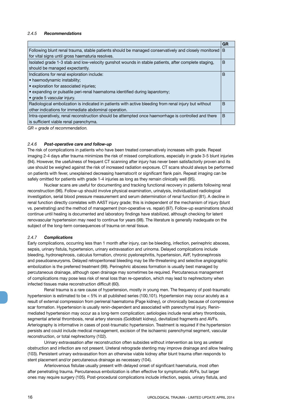#### *2.4.5 Recommendations*

|                                                                                                       | GR           |
|-------------------------------------------------------------------------------------------------------|--------------|
| Following blunt renal trauma, stable patients should be managed conservatively and closely monitored  | <sub>B</sub> |
| for vital signs until gross haematuria resolves.                                                      |              |
| Isolated grade 1-3 stab and low-velocity gunshot wounds in stable patients, after complete staging,   | B            |
| should be managed expectantly.                                                                        |              |
| Indications for renal exploration include:                                                            | B            |
| • haemodynamic instability;                                                                           |              |
| • exploration for associated injuries;                                                                |              |
| • expanding or pulsatile peri-renal haematoma identified during laparotomy;                           |              |
| • grade 5 vascular injury.                                                                            |              |
| Radiological embolization is indicated in patients with active bleeding from renal injury but without | B            |
| other indications for immediate abdominal operation.                                                  |              |
| Intra-operatively, renal reconstruction should be attempted once haemorrhage is controlled and there  | B            |
| is sufficient viable renal parenchyma.                                                                |              |
|                                                                                                       |              |

*GR = grade of recommendation.*

#### *2.4.6 Post-operative care and follow-up*

The risk of complications in patients who have been treated conservatively increases with grade. Repeat imaging 2-4 days after trauma minimizes the risk of missed complications, especially in grade 3-5 blunt injuries (94). However, the usefulness of frequent CT scanning after injury has never been satisfactorily proven and its use should be weighed against the risk of increased radiation exposure. CT scans should always be performed on patients with fever, unexplained decreasing haematocrit or significant flank pain. Repeat imaging can be safely omitted for patients with grade 1-4 injuries as long as they remain clinically well (95).

Nuclear scans are useful for documenting and tracking functional recovery in patients following renal reconstruction (96). Follow-up should involve physical examination, urinalysis, individualized radiological investigation, serial blood pressure measurement and serum determination of renal function (81). A decline in renal function directly correlates with AAST injury grade; this is independent of the mechanism of injury (blunt vs. penetrating) and the method of management (non-operative vs. repair) (97). Follow-up examinations should continue until healing is documented and laboratory findings have stabilized, although checking for latent renovascular hypertension may need to continue for years (98). The literature is generally inadequate on the subject of the long-term consequences of trauma on renal tissue.

#### *2.4.7 Complications*

Early complications, occurring less than 1 month after injury, can be bleeding, infection, perinephric abscess, sepsis, urinary fistula, hypertension, urinary extravasation and urinoma. Delayed complications include bleeding, hydronephrosis, calculus formation, chronic pyelonephritis, hypertension, AVF, hydronephrosis and pseudoaneurysms. Delayed retroperitoneal bleeding may be life-threatening and selective angiographic embolization is the preferred treatment (99). Perinephric abscess formation is usually best managed by percutaneous drainage, although open drainage may sometimes be required. Percutaneous management of complications may pose less risk of renal loss than re-operation, which may lead to nephrectomy when infected tissues make reconstruction difficult (60).

Renal trauma is a rare cause of hypertension, mostly in young men. The frequency of post-traumatic hypertension is estimated to be < 5% in all published series (100,101). Hypertension may occur acutely as a result of external compression from perirenal haematoma (Page kidney), or chronically because of compressive scar formation. Hypertension is usually renin-dependent and associated with parenchymal injury. Reninmediated hypertension may occur as a long-term complication; aetiologies include renal artery thrombosis, segmental arterial thrombosis, renal artery stenosis (Goldblatt kidney), devitalized fragments and AVFs. Arteriography is informative in cases of post-traumatic hypertension. Treatment is required if the hypertension persists and could include medical management, excision of the ischaemic parenchymal segment, vascular reconstruction, or total nephrectomy (102).

Urinary extravasation after reconstruction often subsides without intervention as long as ureteral obstruction and infection are not present. Ureteral retrograde stenting may improve drainage and allow healing (103). Persistent urinary extravasation from an otherwise viable kidney after blunt trauma often responds to stent placement and/or percutaneous drainage as necessary (104).

Arteriovenous fistulae usually present with delayed onset of significant haematuria, most often after penetrating trauma. Percutaneous embolization is often effective for symptomatic AVFs, but larger ones may require surgery (105). Post-procedural complications include infection, sepsis, urinary fistula, and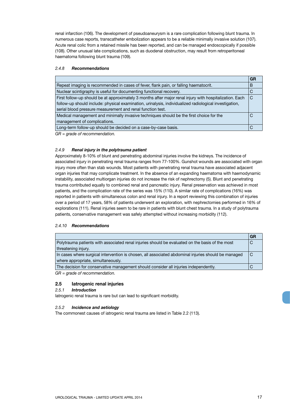renal infarction (106). The development of pseudoaneurysm is a rare complication following blunt trauma. In numerous case reports, transcatheter embolization appears to be a reliable minimally invasive solution (107). Acute renal colic from a retained missile has been reported, and can be managed endoscopically if possible (108). Other unusual late complications, such as duodenal obstruction, may result from retroperitoneal haematoma following blunt trauma (109).

#### *2.4.8 Recommendations*

|                                                                                                         | GR |
|---------------------------------------------------------------------------------------------------------|----|
| Repeat imaging is recommended in cases of fever, flank pain, or falling haematocrit.                    | В  |
| Nuclear scintigraphy is useful for documenting functional recovery.                                     | C  |
| First follow-up should be at approximately 3 months after major renal injury with hospitalization. Each | C  |
| follow-up should include: physical examination, urinalysis, individualized radiological investigation,  |    |
| serial blood pressure measurement and renal function test.                                              |    |
| Medical management and minimally invasive techniques should be the first choice for the                 | C  |
| management of complications.                                                                            |    |
| Long-term follow-up should be decided on a case-by-case basis.                                          |    |
| $GR = grade$ of recommendation.                                                                         |    |

#### *2.4.9 Renal injury in the polytrauma patient*

Approximately 8-10% of blunt and penetrating abdominal injuries involve the kidneys. The incidence of associated injury in penetrating renal trauma ranges from 77-100%. Gunshot wounds are associated with organ injury more often than stab wounds. Most patients with penetrating renal trauma have associated adjacent organ injuries that may complicate treatment. In the absence of an expanding haematoma with haemodynamic instability, associated multiorgan injuries do not increase the risk of nephrectomy (5). Blunt and penetrating trauma contributed equally to combined renal and pancreatic injury. Renal preservation was achieved in most patients, and the complication rate of the series was 15% (110). A similar rate of complications (16%) was reported in patients with simultaneous colon and renal injury. In a report reviewing this combination of injuries over a period of 17 years, 58% of patients underwent an exploration, with nephrectomies performed in 16% of explorations (111). Renal injuries seem to be rare in patients with blunt chest trauma. In a study of polytrauma patients, conservative management was safely attempted without increasing morbidity (112).

#### *2.4.10 Recommendations*

|                                                                                                     | GR  |
|-----------------------------------------------------------------------------------------------------|-----|
| Polytrauma patients with associated renal injuries should be evaluated on the basis of the most     |     |
| threatening injury.                                                                                 |     |
| In cases where surgical intervention is chosen, all associated abdominal injuries should be managed | l C |
| where appropriate, simultaneously.                                                                  |     |
| The decision for conservative management should consider all injuries independently.                |     |

*GR = grade of recommendation.*

#### **2.5 Iatrogenic renal injuries**

#### *2.5.1 Introduction*

Iatrogenic renal trauma is rare but can lead to significant morbidity.

#### *2.5.2 Incidence and aetiology*

The commonest causes of iatrogenic renal trauma are listed in Table 2.2 (113).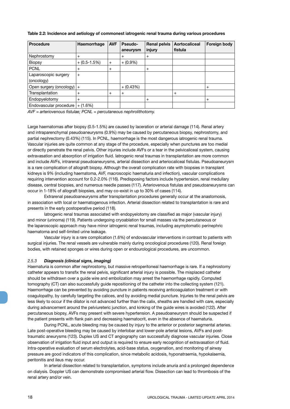| <b>Procedure</b>             | Haemorrhage   | <b>AVF</b> | Pseudo-        | <b>Renal pelvis</b> | Aortocaliceal | Foreign body |
|------------------------------|---------------|------------|----------------|---------------------|---------------|--------------|
|                              |               |            | aneurysm       | injury              | fistula       |              |
| Nephrostomy                  | $\ddot{}$     |            | $\ddot{}$      | $+$                 |               |              |
| <b>Biopsy</b>                | $+(0.5-1.5%)$ | $+$        | $+ (0.9\%)$    |                     |               |              |
| <b>PCNL</b>                  | $^{+}$        | $\ddot{}$  |                | $+$                 |               |              |
| Laparoscopic surgery         | $+$           |            |                |                     |               |              |
| (oncology)                   |               |            |                |                     |               |              |
| Open surgery (oncology) $ +$ |               |            | $+ (0.43%)$    |                     |               | $\ddot{}$    |
| Transplantation              | $\ddot{}$     | $+$        | $\overline{+}$ |                     | $\ddot{}$     |              |
| Endopyelotomy                | $^{+}$        |            |                | $+$                 |               | $\ddot{}$    |
| Endovascular procedure       | $+ (1.6%)$    |            |                |                     |               |              |

**Table 2.2: Incidence and aetiology of commonest iatrogenic renal trauma during various procedures**

*AVF = arteriovenous fistulae; PCNL = percutaneous nephrolithotomy.*

Large haematomas after biopsy (0.5-1.5%) are caused by laceration or arterial damage (114). Renal artery and intraparenchymal pseudoaneurysms (0.9%) may be caused by percutaneous biopsy, nephrostomy, and partial nephrectomy (0.43%) (115). In PCNL, haemorrhage is the most dangerous iatrogenic renal trauma. Vascular injuries are quite common at any stage of the procedure, especially when punctures are too medial or directly penetrate the renal pelvis. Other injuries include AVFs or a tear in the pelvicaliceal system, causing extravasation and absorption of irrigation fluid. Iatrogenic renal traumas in transplantation are more common and include AVFs, intrarenal pseudoaneurysms, arterial dissection and arteriocaliceal fistulas. Pseudoaneurysm is a rare complication of allograft biopsy. Although the overall complication rate with biopsies in transplant kidneys is 9% (including haematoma, AVF, macroscopic haematuria and infection), vascular complications requiring intervention account for 0.2-2.0% (116). Predisposing factors include hypertension, renal medullary disease, central biopsies, and numerous needle passes (117). Arteriovenous fistulas and pseudoaneurysms can occur in 1-18% of allograft biopsies, and may co-exist in up to 30% of cases (114).

Extrarenal pseudoaneurysms after transplantation procedures generally occur at the anastomosis, in association with local or haematogenous infection. Arterial dissection related to transplantation is rare and presents in the early postoperative period (118).

Iatrogenic renal traumas associated with endopyelotomy are classified as major (vascular injury) and minor (urinoma) (119). Patients undergoing cryoablation for small masses via the percutaneous or the laparoscopic approach may have minor iatrogenic renal traumas, including asymptomatic perinephric haematoma and self-limited urine leakage.

Vascular injury is a rare complication (1.6%) of endovascular interventions in contrast to patients with surgical injuries. The renal vessels are vulnerable mainly during oncological procedures (120). Renal foreign bodies, with retained sponges or wires during open or endourological procedures, are uncommon.

#### *2.5.3 Diagnosis (clinical signs, imaging)*

Haematuria is common after nephrostomy, but massive retroperitoneal haemorrhage is rare. If a nephrostomy catheter appears to transfix the renal pelvis, significant arterial injury is possible. The misplaced catheter should be withdrawn over a guide wire and embolization may arrest the haemorrhage rapidly. Computed tomography (CT) can also successfully guide repositioning of the catheter into the collecting system (121). Haemorrhage can be prevented by avoiding puncture in patients receiving anticoagulation treatment or with coagulopathy, by carefully targeting the calices, and by avoiding medial puncture. Injuries to the renal pelvis are less likely to occur if the dilator is not advanced further than the calix, sheaths are handled with care, especially during advancement around the pelviureteric junction, and kinking of the guide wires is avoided (122). After percutaneous biopsy, AVFs may present with severe hypertension. A pseudoaneurysm should be suspected if the patient presents with flank pain and decreasing haematocrit, even in the absence of haematuria.

During PCNL, acute bleeding may be caused by injury to the anterior or posterior segmental arteries. Late post-operative bleeding may be caused by interlobar and lower-pole arterial lesions, AVFs and posttraumatic aneurysms (123). Duplex US and CT angiography can successfully diagnose vascular injuries. Close observation of irrigation fluid input and output is required to ensure early recognition of extravasation of fluid. Intra-operative evaluation of serum electrolytes, acid-base status, oxygenation, and monitoring of airway pressure are good indicators of this complication, since metabolic acidosis, hyponatraemia, hypokalaemia, peritonitis and ileus may occur.

In arterial dissection related to transplantation, symptoms include anuria and a prolonged dependence on dialysis. Doppler US can demonstrate compromised arterial flow. Dissection can lead to thrombosis of the renal artery and/or vein.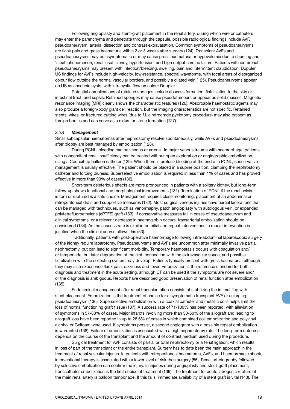Following angioplasty and stent-graft placement in the renal artery, during which wire or catheters may enter the parenchyma and penetrate through the capsule, possible radiological findings include AVF, pseudoaneurysm, arterial dissection and contrast extravasation. Common symptoms of pseudoaneurysms are flank pain and gross haematuria within 2 or 3 weeks after surgery (124). Transplant AVFs and pseudoaneurysms may be asymptomatic or may cause gross haematuria or hypovolemia due to shunting and 'steal' phenomenon, renal insufficiency, hypertension, and high output cardiac failure. Patients with extrarenal pseudoaneurysms may present with infection/bleeding, swelling, pain and intermittent claudication. Doppler US findings for AVFs include high-velocity, low-resistance, spectral waveforms, with focal areas of disorganized colour flow outside the normal vascular borders, and possibly a dilated vein (125). Pseudoaneurysms appear on US as anechoic cysts, with intracystic flow on colour Doppler.

Potential complications of retained sponges include abscess formation, fistulization to the skin or intestinal tract, and sepsis. Retained sponges may cause pseudotumours or appear as solid masses. Magnetic resonance imaging (MRI) clearly shows the characteristic features (126). Absorbable haemostatic agents may also produce a foreign-body giant cell reaction, but the imaging characteristics are not specific. Retained stents, wires, or fractured cutting wires (due to f.i. a retrograde pyelotomy procedure) may also present as foreign bodies and can serve as a nidus for stone formation (127).

#### *2.5.4 Management*

Small subcapsular haematomas after nephrostomy resolve spontaneously, while AVFs and pseudoaneurysms after biopsy are best managed by embolization (128).

During PCNL, bleeding can be venous or arterial. In major venous trauma with haemorrhage, patients with concomitant renal insufficiency can be treated without open exploration or angiographic embolization, using a Council-tip balloon catheter (129). When there is profuse bleeding at the end of a PCNL, conservative management is usually effective. The patient should be placed in a supine position, clamping the nephrostomy catheter and forcing diuresis. Superselective embolization is required in less than 1% of cases and has proved effective in more than 90% of cases (130).

Short-term deleterious effects are more pronounced in patients with a solitary kidney, but long-term follow-up shows functional and morphological improvements (131). Termination of PCNL if the renal pelvis is torn or ruptured is a safe choice. Management requires close monitoring, placement of an abdominal or retroperitoneal drain and supportive measures (132). Most surgical venous injuries have partial lacerations that can be managed with techniques, such as venorrhaphy, patch angioplasty with autologous vein, or expanded polytetrafluoroethylene (ePTFE) graft (133). If conservative measures fail in cases of pseudoaneurysm and clinical symptoms, or a relevant decrease in haemoglobin occurs, transarterial embolization should be considered (134). As the success rate is similar for initial and repeat interventions, a repeat intervention is justified when the clinical course allows this (53).

Traditionally, patients with post-operative haemorrhage following intra-abdominal laparoscopic surgery of the kidney require laparotomy. Pseudoaneurysms and AVFs are uncommon after minimally invasive partial nephrectomy, but can lead to significant morbidity. Temporary haemostasis occurs with coagulation and/ or tamponade, but later degradation of the clot, connection with the extravascular space, and possible fistulization with the collecting system may develop. Patients typically present with gross haematuria, although they may also experience flank pain, dizziness and fever. Embolization is the reference standard for both diagnosis and treatment in the acute setting, although CT can be used if the symptoms are not severe and/ or the diagnosis is ambiguous. Reports have described good preservation of renal function after embolization (135).

Endoluminal management after renal transplantation consists of stabilizing the intimal flap with stent placement. Embolization is the treatment of choice for a symptomatic transplant AVF or enlarging pseudoaneurysm (136). Superselective embolization with a coaxial catheter and metallic coils helps limit the loss of normal functioning graft tissue (137). A success rate of 71-100% has been reported, with alleviation of symptoms in 57-88% of cases. Major infarcts involving more than 30-50% of the allograft and leading to allograft loss have been reported in up to 28.6% of cases in which combined coil embolization and polyvinyl alcohol or Gelfoam were used. If symptoms persist, a second angiogram with a possible repeat embolization is warranted (138). Failure of embolization is associated with a high nephrectomy rate. The long-term outcome depends on the course of the transplant and the amount of contrast medium used during the procedure.

Surgical treatment for AVF consists of partial or total nephrectomy or arterial ligation, which results in loss of part of the transplant or the entire transplant. Surgery has to date been the main approach in the treatment of renal vascular injuries. In patients with retroperitoneal haematoma, AVFs, and haemorrhagic shock, interventional therapy is associated with a lower level of risk than surgery (55). Renal arteriography followed by selective embolization can confirm the injury. In injuries during angioplasty and stent-graft placement, transcatheter embolization is the first choice of treatment (139). The treatment for acute iatrogenic rupture of the main renal artery is balloon tamponade. If this fails, immediate availability of a stent graft is vital (140). The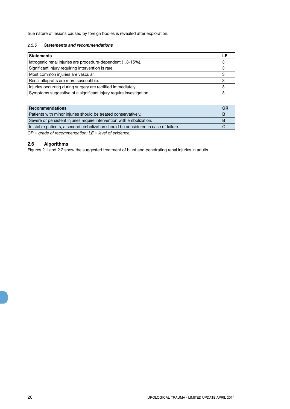true nature of lesions caused by foreign bodies is revealed after exploration.

#### *2.5.5 Statements and recommendations*

| <b>Statements</b>                                                  |   |
|--------------------------------------------------------------------|---|
| latrogenic renal injuries are procedure-dependent (1.8-15%).       |   |
| Significant injury requiring intervention is rare.                 | 3 |
| Most common injuries are vascular.                                 | C |
| Renal allografts are more susceptible.                             | ാ |
| Injuries occurring during surgery are rectified immediately.       | ാ |
| Symptoms suggestive of a significant injury require investigation. |   |

| Recommendations                                                                    | GR |
|------------------------------------------------------------------------------------|----|
| Patients with minor injuries should be treated conservatively.                     |    |
| Severe or persistent injuries require intervention with embolization.              |    |
| In stable patients, a second embolization should be considered in case of failure. |    |
|                                                                                    |    |

*GR = grade of recommendation; LE = level of evidence.*

### **2.6 Algorithms**

Figures 2.1 and 2.2 show the suggested treatment of blunt and penetrating renal injuries in adults.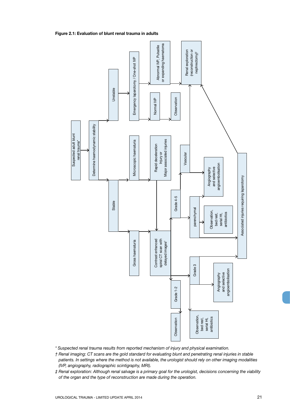

**Figure 2.1: Evaluation of blunt renal trauma in adults**

*\* Suspected renal trauma results from reported mechanism of injury and physical examination.*

- *† Renal imaging: CT scans are the gold standard for evaluating blunt and penetrating renal injuries in stable patients. In settings where the method is not available, the urologist should rely on other imaging modalities (IVP, angiography, radiographic scintigraphy, MRI).*
- *‡ Renal exploration: Although renal salvage is a primary goal for the urologist, decisions concerning the viability*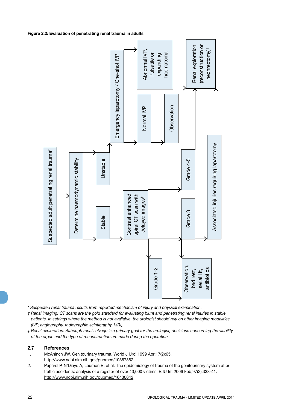#### **Figure 2.2: Evaluation of penetrating renal trauma in adults**



*\* Suspected renal trauma results from reported mechanism of injury and physical examination.*

*† Renal imaging: CT scans are the gold standard for evaluating blunt and penetrating renal injuries in stable patients. In settings where the method is not available, the urologist should rely on other imaging modalities (IVP, angiography, radiographic scintigraphy, MRI).*

*‡ Renal exploration: Although renal salvage is a primary goal for the urologist, decisions concerning the viability of the organ and the type of reconstruction are made during the operation.* 

#### **2.7 References**

- 1. McAninch JW. Genitourinary trauma. World J Urol 1999 Apr;17(2):65. http://www.ncbi.nlm.nih.gov/pubmed/10367362
- 2. Paparel P, N'Diaye A, Laumon B, et al. The epidemiology of trauma of the genitourinary system after traffic accidents: analysis of a register of over 43,000 victims. BJU Int 2006 Feb;97(2):338-41.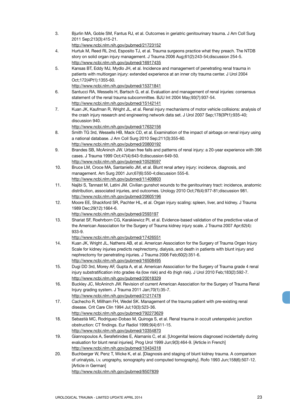- 3. Bjurlin MA, Goble SM, Fantus RJ, et al. Outcomes in geriatric genitourinary trauma. J Am Coll Surg 2011 Sep;213(3):415-21. http://www.ncbi.nlm.nih.gov/pubmed/21723152
- 4. Hurtuk M, Reed RL 2nd, Esposito TJ, et al. Trauma surgeons practice what they preach. The NTDB story on solid organ injury management. J Trauma 2006 Aug;61(2):243-54;discussion 254-5. http://www.ncbi.nlm.nih.gov/pubmed/16917435
- 5. Kansas BT, Eddy MJ, Mydlo JH, et al. Incidence and management of penetrating renal trauma in patients with multiorgan injury: extended experience at an inner city trauma center. J Urol 2004 Oct;172(4Pt1):1355-60.
	- http://www.ncbi.nlm.nih.gov/pubmed/15371841
- 6. Santucci RA, Wessells H, Bartsch G, et al. Evaluation and management of renal injuries: consensus statement of the renal trauma subcommittee. BJU Int 2004 May;93(7):937-54. http://www.ncbi.nlm.nih.gov/pubmed/15142141
- 7. Kuan JK, Kaufman R, Wright JL, et al. Renal injury mechanisms of motor vehicle collisions: analysis of the crash injury research and engineering network data set. J Urol 2007 Sep;178(3Pt1):935-40; discussion 940.

http://www.ncbi.nlm.nih.gov/pubmed/17632156

- 8. Smith TG 3rd, Wessells HB, Mack CD, et al. Examination of the impact of airbags on renal injury using a national database. J Am Coll Surg 2010 Sep;211(3):355-60. http://www.ncbi.nlm.nih.gov/pubmed/20800192
- 9. Brandes SB, McAninch JW. Urban free falls and patterns of renal injury: a 20-year experience with 396 cases. J Trauma 1999 Oct;47(4):643-9;discussion 649-50. http://www.ncbi.nlm.nih.gov/pubmed/10528597
- 10. Bruce LM, Croce MA, Santaniello JM, et al. Blunt renal artery injury: incidence, diagnosis, and management. Am Surg 2001 Jun;67(6):550-4;discussion 555-6. http://www.ncbi.nlm.nih.gov/pubmed/11409803
- 11. Najibi S, Tannast M, Latini JM. Civilian gunshot wounds to the genitourinary tract: incidence, anatomic distribution, associated injuries, and outcomes. Urology 2010 Oct;76(4):977-81;discussion 981. http://www.ncbi.nlm.nih.gov/pubmed/20605196
- 12. Moore EE, Shackford SR, Pachter HL, et al. Organ injury scaling: spleen, liver, and kidney. J Trauma 1989 Dec;29(12):1664-6.
	- http://www.ncbi.nlm.nih.gov/pubmed/2593197
- 13. Shariat SF, Roehrborn CG, Karakiewicz PI, et al. Evidence-based validation of the predictive value of the American Association for the Surgery of Trauma kidney injury scale. J Trauma 2007 Apr;62(4): 933-9.
	- http://www.ncbi.nlm.nih.gov/pubmed/17426551
- 14. Kuan JK, Wright JL, Nathens AB, et al. American Association for the Surgery of Trauma Organ Injury Scale for kidney injuries predicts nephrectomy, dialysis, and death in patients with blunt injury and nephrectomy for penetrating injuries. J Trauma 2006 Feb;60(2):351-6. http://www.ncbi.nlm.nih.gov/pubmed/16508495
- 15. Dugi DD 3rd, Morey AF, Gupta A, et al. American Association for the Surgery of Trauma grade 4 renal injury substratification into grades 4a (low risk) and 4b (high risk). J Urol 2010 Feb;183(2):592-7. http://www.ncbi.nlm.nih.gov/pubmed/20018329
- 16. Buckley JC, McAninch JW. Revision of current American Association for the Surgery of Trauma Renal Injury grading system. J Trauma 2011 Jan;70(1):35-7. http://www.ncbi.nlm.nih.gov/pubmed/21217478
- 17. Cachecho R, Millham FH, Wedel SK. Management of the trauma patient with pre-existing renal disease. Crit Care Clin 1994 Jul;10(3):523-36.
- http://www.ncbi.nlm.nih.gov/pubmed/792273629 18. Sebastià MC, Rodriguez-Dobao M, Quiroga S, et al. Renal trauma in occult ureteropelvic junction obstruction: CT findings. Eur Radiol 1999;9(4):611-15.
	- http://www.ncbi.nlm.nih.gov/pubmed/10354870
- 19. Giannopoulos A, Serafetinides E, Alamanis C, et al. [Urogenital lesions diagnosed incidentally during evaluation for blunt renal injuries]. Prog Urol 1999 Jun;9(3):464-9. [Article in French] http://www.ncbi.nlm.nih.gov/pubmed/10434318
- 20. Buchberger W, Penz T, Wicke K, et al. [Diagnosis and staging of blunt kidney trauma. A comparison of urinalysis, i.v. urography, sonography and computed tomography]. Rofo 1993 Jun;158(6):507-12. [Article in German] http://www.ncbi.nlm.nih.gov/pubmed/8507839

UROLOGICAL TRAUMA - LIMITED UPDATE APRIL 2014 23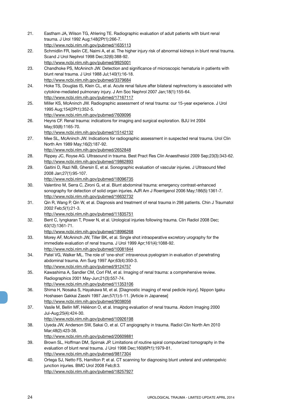- 21. Eastham JA, Wilson TG, Ahlering TE. Radiographic evaluation of adult patients with blunt renal trauma. J Urol 1992 Aug;148(2Pt1):266-7. http://www.ncbi.nlm.nih.gov/pubmed/1635113
- 22. Schmidlin FR, Iselin CE, Naimi A, et al. The higher injury risk of abnormal kidneys in blunt renal trauma. Scand J Urol Nephrol 1998 Dec;32(6):388-92. http://www.ncbi.nlm.nih.gov/pubmed/9925001
- 23. Chandhoke PS, McAninch JW. Detection and significance of microscopic hematuria in patients with blunt renal trauma. J Urol 1988 Jul;140(1):16-18. http://www.ncbi.nlm.nih.gov/pubmed/3379684
- 24. Hoke TS, Douglas IS, Klein CL, et al. Acute renal failure after bilateral nephrectomy is associated with cytokine-mediated pulmonary injury. J Am Soc Nephrol 2007 Jan;18(1):155-64. http://www.ncbi.nlm.nih.gov/pubmed/17167117
- 25. Miller KS, McAninch JW. Radiographic assessment of renal trauma: our 15-year experience. J Urol 1995 Aug;154(2Pt1):352-5.
	- http://www.ncbi.nlm.nih.gov/pubmed/7609096
- 26. Heyns CF. Renal trauma: indications for imaging and surgical exploration. BJU Int 2004 May;93(8):1165-70.
	- http://www.ncbi.nlm.nih.gov/pubmed/15142132
- 27. Mee SL, McAninch JW. Indications for radiographic assessment in suspected renal trauma. Urol Clin North Am 1989 May;16(2):187-92.
	- http://www.ncbi.nlm.nih.gov/pubmed/2652848
- 28. Rippey JC, Royse AG. Ultrasound in trauma. Best Pract Res Clin Anaesthesiol 2009 Sep;23(3):343-62. http://www.ncbi.nlm.nih.gov/pubmed/19862893
- 29. Gaitini D, Razi NB, Ghersin E, et al. Sonographic evaluation of vascular injuries. J Ultrasound Med 2008 Jan;27(1):95-107.
	- http://www.ncbi.nlm.nih.gov/pubmed/18096735
- 30. Valentino M, Serra C, Zironi G, et al. Blunt abdominal trauma: emergency contrast-enhanced sonography for detection of solid organ injuries. AJR Am J Roentgenol 2006 May;186(5):1361-7. http://www.ncbi.nlm.nih.gov/pubmed/16632732
- 31. Qin R, Wang P, Qin W, et al. Diagnosis and treatment of renal trauma in 298 patients. Chin J Traumatol 2002 Feb;5(1):21-3.
- http://www.ncbi.nlm.nih.gov/pubmed/11835751
- 32. Bent C, Iyngkaran T, Power N, et al. Urological injuries following trauma. Clin Radiol 2008 Dec; 63(12):1361-71.
	- http://www.ncbi.nlm.nih.gov/pubmed/18996268
- 33. Morey AF, McAninch JW, Tiller BK, et al. Single shot intraoperative excretory urography for the immediate evaluation of renal trauma. J Urol 1999 Apr;161(4):1088-92. http://www.ncbi.nlm.nih.gov/pubmed/10081844
- 34. Patel VG, Walker ML. The role of 'one-shot' intravenous pyelogram in evaluation of penetrating abdominal trauma. Am Surg 1997 Apr;63(4):350-3. http://www.ncbi.nlm.nih.gov/pubmed/9124757
- 35. Kawashima A, Sandler CM, Corl FM, et al. Imaging of renal trauma: a comprehensive review. Radiographics 2001 May-Jun;21(3):557-74. http://www.ncbi.nlm.nih.gov/pubmed/11353106
- 36. Shima H, Nosaka S, Hayakawa M, et al. [Diagnostic imaging of renal pedicle injury]. Nippon Igaku Hoshasen Gakkai Zasshi 1997 Jan;57(1):5-11. [Article in Japanese] http://www.ncbi.nlm.nih.gov/pubmed/9038056
- 37. Vasile M, Bellin MF, Hélénon O, et al. Imaging evaluation of renal trauma. Abdom Imaging 2000 Jul-Aug;25(4):424-30.
	- http://www.ncbi.nlm.nih.gov/pubmed/10926198
- 38. Uyeda JW, Anderson SW, Sakai O, et al. CT angiography in trauma. Radiol Clin North Am 2010 Mar;48(2):423-38.
	- http://www.ncbi.nlm.nih.gov/pubmed/20609881
- 39. Brown SL, Hoffman DM, Spirnak JP. Limitations of routine spiral computerized tomography in the evaluation of blunt renal trauma. J Urol 1998 Dec;160(6Pt1):1979-81. http://www.ncbi.nlm.nih.gov/pubmed/9817304
- 40. Ortega SJ, Netto FS, Hamilton P, et al. CT scanning for diagnosing blunt ureteral and ureteropelvic junction injuries. BMC Urol 2008 Feb;8:3. http://www.ncbi.nlm.nih.gov/pubmed/18257927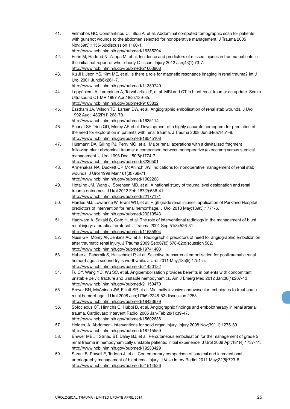| 41. | Velmahos GC, Constantinou C, Tillou A, et al. Abdominal computed tomographic scan for patients                                                     |
|-----|----------------------------------------------------------------------------------------------------------------------------------------------------|
|     | with gunshot wounds to the abdomen selected for nonoperative management. J Trauma 2005                                                             |
|     | Nov;59(5):1155-60;discussion 1160-1.                                                                                                               |
|     | http://www.ncbi.nlm.nih.gov/pubmed/16385294                                                                                                        |
| 42. | Eurin M, Haddad N, Zappa M, et al. Incidence and predictors of missed injuries in trauma patients in                                               |
|     | the initial hot report of whole-body CT scan. Injury 2012 Jan;43(1):73-7.                                                                          |
|     | http://www.ncbi.nlm.nih.gov/pubmed/21663908                                                                                                        |
| 43. | Ku JH, Jeon YS, Kim ME, et al. Is there a role for magnetic resonance imaging in renal trauma? Int J                                               |
|     | Urol 2001 Jun;8(6):261-7.<br>http://www.ncbi.nlm.nih.gov/pubmed/11389740                                                                           |
| 44. | Leppäniemi A, Lamminen A, Tervahartiala P, et al. MRI and CT in blunt renal trauma: an update. Semin                                               |
|     | Ultrasound CT MR 1997 Apr; 18(2): 129-35.                                                                                                          |
|     | http://www.ncbi.nlm.nih.gov/pubmed/9163832                                                                                                         |
| 45. | Eastham JA, Wilson TG, Larsen DW, et al. Angiographic embolisation of renal stab wounds. J Urol                                                    |
|     | 1992 Aug; 148(2Pt1): 268-70.                                                                                                                       |
|     | http://www.ncbi.nlm.nih.gov/pubmed/1635114                                                                                                         |
| 46. | Shariat SF, Trinh QD, Morey AF, et al. Development of a highly accurate nomogram for prediction of                                                 |
|     | the need for exploration in patients with renal trauma. J Trauma 2008 Jun;64(6):1451-8.                                                            |
|     | http://www.ncbi.nlm.nih.gov/pubmed/18545108                                                                                                        |
| 47. | Husmann DA, Gilling PJ, Perry MO, et al. Major renal lacerations with a devitalized fragment                                                       |
|     | following blunt abdominal trauma: a comparison between nonoperative (expectant) versus surgical                                                    |
|     | management. J Urol 1993 Dec; 150(6): 1774-7.                                                                                                       |
|     | http://www.ncbi.nlm.nih.gov/pubmed/8230501                                                                                                         |
| 48. | Armenakas NA, Duckett CP, McAninch JW. Indications for nonoperative management of renal stab                                                       |
|     | wounds. J Urol 1999 Mar; 161(3):768-71.                                                                                                            |
|     | http://www.ncbi.nlm.nih.gov/pubmed/10022681                                                                                                        |
| 49. | Hotaling JM, Wang J, Sorensen MD, et al. A national study of trauma level designation and renal                                                    |
|     | trauma outcomes. J Urol 2012 Feb;187(2):536-41.                                                                                                    |
|     | http://www.ncbi.nlm.nih.gov/pubmed/22177171                                                                                                        |
| 50. | Hardee MJ, Lowrance W, Brant WO, et al. High grade renal injuries: application of Parkland Hospital                                                |
|     | predictors of intervention for renal hemorrhage. J Urol 2013 May;189(5):1771-6.                                                                    |
|     | http://www.ncbi.nlm.nih.gov/pubmed/23219543                                                                                                        |
| 51. | Hagiwara A, Sakaki S, Goto H, et al. The role of interventional radiology in the management of blunt                                               |
|     | renal injury: a practical protocol. J Trauma 2001 Sep;51(3):526-31.                                                                                |
| 52. | http://www.ncbi.nlm.nih.gov/pubmed/11535904<br>Nuss GR, Morey AF, Jenkins AC, et al. Radiographic predictors of need for angiographic embolization |
|     | after traumatic renal injury. J Trauma 2009 Sep;67(3):578-82;discussion 582.                                                                       |
|     | http://www.ncbi.nlm.nih.gov/pubmed/19741403                                                                                                        |
| 53. | Huber J, Pahernik S, Hallscheidt P, et al. Selective transarterial embolisation for posttraumatic renal                                            |
|     | hemorrhage: a second try is worthwhile. J Urol 2011 May; 185(5): 1751-5.                                                                           |
|     | http://www.ncbi.nlm.nih.gov/pubmed/21420122                                                                                                        |
| 54. | Fu CY, Wang YC, Wu SC, et al. Angioembolisation provides benefits in patients with concomitant                                                     |
|     | unstable pelvic fracture and unstable hemodynamics. Am J Emerg Med 2012 Jan;30(1):207-13.                                                          |
|     | http://www.ncbi.nlm.nih.gov/pubmed/21159470                                                                                                        |
| 55. | Breyer BN, McAninch JW, Elliott SP, et al. Minimally invasive endovascular techniques to treat acute                                               |
|     | renal hemorrhage. J Urol 2008 Jun;179(6):2248-52;discussion 2253.                                                                                  |
|     | http://www.ncbi.nlm.nih.gov/pubmed/18423679                                                                                                        |
| 56. | Sofocleous CT, Hinrichs C, Hubbi B, et al. Angiographic findings and embolotherapy in renal arterial                                               |
|     | trauma. Cardiovasc Intervent Radiol 2005 Jan-Feb;28(1):39-47.                                                                                      |
|     | http://www.ncbi.nlm.nih.gov/pubmed/15602636                                                                                                        |
| 57. | Holden, A. Abdomen--interventions for solid organ injury. Injury 2008 Nov;39(11):1275-89                                                           |
|     | http://www.ncbi.nlm.nih.gov/pubmed/18715559                                                                                                        |
| 58. | Brewer ME Jr, Strnad BT, Daley BJ, et al. Percutaneous embolisation for the management of grade 5                                                  |
|     | renal trauma in hemodynamically unstable patients: initial experience. J Urol 2009 Apr;181(4):1737-41.                                             |
|     | http://www.ncbi.nlm.nih.gov/pubmed/19233429                                                                                                        |
| 59. | Sarani B, Powell E, Taddeo J, et al. Contemporary comparison of surgical and interventional                                                        |
|     | arteriography management of blunt renal injury. J Vasc Interv Radiol 2011 May;22(5):723-8.                                                         |
|     | http://www.ncbi.nlm.nih.gov/pubmed/21514526                                                                                                        |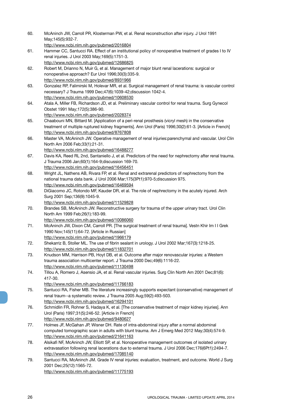- 60. McAninch JW, Carroll PR, Klosterman PW, et al. Renal reconstruction after injury. J Urol 1991 May;145(5):932-7. http://www.ncbi.nlm.nih.gov/pubmed/2016804 61. Hammer CC, Santucci RA. Effect of an institutional policy of nonoperative treatment of grades I to IV renal injuries. J Urol 2003 May;169(5):1751-3. http://www.ncbi.nlm.nih.gov/pubmed/12686825 62. Robert M, Drianno N, Muir G, et al. Management of major blunt renal lacerations: surgical or nonoperative approach? Eur Urol 1996;30(3):335-9. http://www.ncbi.nlm.nih.gov/pubmed/8931966 63. Gonzalez RP, Falimirski M, Holevar MR, et al. Surgical management of renal trauma: is vascular control necessary? J Trauma 1999 Dec;47(6):1039-42;discussion 1042-4. http://www.ncbi.nlm.nih.gov/pubmed/10608530 64. Atala A, Miller FB, Richardson JD, et al. Preliminary vascular control for renal trauma. Surg Gynecol Obstet 1991 May;172(5):386-90. http://www.ncbi.nlm.nih.gov/pubmed/2028374 65. Chaabouni MN, Bittard M. [Application of a peri-renal prosthesis (vicryl mesh) in the conservative treatment of multiple ruptured kidney fragments]. Ann Urol (Paris) 1996;30(2):61-3. [Article in French] http://www.ncbi.nlm.nih.gov/pubmed/8767808 66. Master VA, McAninch JW. Operative management of renal injuries:parenchymal and vascular. Urol Clin North Am 2006 Feb;33(1):21-31. http://www.ncbi.nlm.nih.gov/pubmed/16488277 67. Davis KA, Reed RL 2nd, Santaniello J, et al. Predictors of the need for nephrectomy after renal trauma. J Trauma 2006 Jan;60(1):164-9;discussion 169-70. http://www.ncbi.nlm.nih.gov/pubmed/16456451 68. Wright JL, Nathens AB, Rivara FP, et al. Renal and extrarenal predictors of nephrectomy from the national trauma data bank. J Urol 2006 Mar;175(3Pt1):970-5;discussion 975. http://www.ncbi.nlm.nih.gov/pubmed/16469594 69. DiGiacomo JC, Rotondo MF, Kauder DR, et al. The role of nephrectomy in the acutely injured. Arch Surg 2001 Sep;136(9):1045-9. http://www.ncbi.nlm.nih.gov/pubmed/11529828 70. Brandes SB, McAninch JW. Reconstructive surgery for trauma of the upper urinary tract. Urol Clin North Am 1999 Feb;26(1):183-99. http://www.ncbi.nlm.nih.gov/pubmed/10086060 71. McAninch JW, Dixon CM, Carroll PR. [The surgical treatment of renal trauma]. Vestn Khir Im I I Grek 1990 Nov;145(11):64-72. [Article in Russian] http://www.ncbi.nlm.nih.gov/pubmed/1966179 72. Shekarriz B, Stoller ML. The use of fibrin sealant in urology. J Urol 2002 Mar;167(3):1218-25. http://www.ncbi.nlm.nih.gov/pubmed/11832701 73. Knudson MM, Harrison PB, Hoyt DB, et al. Outcome after major renovascular injuries: a Western trauma association multicenter report. J Trauma 2000 Dec;49(6):1116-22. http://www.ncbi.nlm.nih.gov/pubmed/11130498 74. Tillou A, Romero J, Asensio JA, et al. Renal vascular injuries. Surg Clin North Am 2001 Dec;81(6): 417-30. http://www.ncbi.nlm.nih.gov/pubmed/11766183 75. Santucci RA, Fisher MB. The literature increasingly supports expectant (conservative) management of
- renal traum--a systematic review. J Trauma 2005 Aug;59(2):493-503. http://www.ncbi.nlm.nih.gov/pubmed/16294101
- 76. Schmidlin FR, Rohner S, Hadaya K, et al. [The conservative treatment of major kidney injuries]. Ann Urol (Paris) 1997;31(5):246-52. [Article in French] http://www.ncbi.nlm.nih.gov/pubmed/9480627
- 77. Holmes JF, McGahan JP, Wisner DH. Rate of intra-abdominal injury after a normal abdominal computed tomographic scan in adults with blunt trauma. Am J Emerg Med 2012 May;30(4):574-9. http://www.ncbi.nlm.nih.gov/pubmed/21641163
- 78. Alsikafi NF, McAninch JW, Elliott SP, et al. Nonoperative management outcomes of isolated urinary extravasation following renal lacerations due to external trauma. J Urol 2006 Dec;176(6Pt1):2494-7. http://www.ncbi.nlm.nih.gov/pubmed/17085140
- 79. Santucci RA, McAninch JM. Grade IV renal injuries: evaluation, treatment, and outcome. World J Surg 2001 Dec;25(12):1565-72. http://www.ncbi.nlm.nih.gov/pubmed/11775193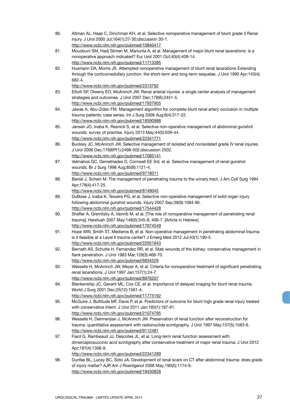80. Altman AL, Haas C, Dinchman KH, et al. Selective nonoperative management of blunt grade 5 Renal injury. J Urol 2000 Jul;164(1):27-30;discussion 30-1. http://www.ncbi.nlm.nih.gov/pubmed/10840417 81. Moudouni SM, Hadj Slimen M, Manunta A, et al. Management of major blunt renal lacerations: is a nonoperative approach indicated? Eur Urol 2001 Oct;40(4):409-14. http://www.ncbi.nlm.nih.gov/pubmed/11713395 82. Husmann DA, Morris JS. Attempted nonoperative management of blunt renal lacerations Extending through the corticomedullary junction: the short-term and long-term sequelae. J Urol 1990 Apr;143(4): 682-4. http://www.ncbi.nlm.nih.gov/pubmed/2313792 83. Elliott SP, Olweny EO, McAninch JW. Renal arterial injuries: a single center analysis of management strategies and outcomes. J Urol 2007 Dec;178(6):2451-5. http://www.ncbi.nlm.nih.gov/pubmed/17937955 84. Jawas A, Abu-Zidan FM. Management algorithm for complete blunt renal artery occlusion in multiple trauma patients: case series. Int J Surg 2008 Aug;6(4):317-22. http://www.ncbi.nlm.nih.gov/pubmed/18590988 85. Jansen JO, Inaba K, Resnick S, et al. Selective non-operative management of abdominal gunshot wounds: survey of practise. Injury 2013 May;44(5):639-44. http://www.ncbi.nlm.nih.gov/pubmed/22341771 86. Buckley JC, McAninch JW. Selective management of isolated and nonisolated grade IV renal injuries. J Urol 2006 Dec;176(6Pt1):2498-502;discussion 2502. http://www.ncbi.nlm.nih.gov/pubmed/17085141 87. Velmahos GC, Demetriades D, Cornwell EE 3rd, et al. Selective management of renal gunshot wounds. Br J Surg 1998 Aug;85(8):1121-4. http://www.ncbi.nlm.nih.gov/pubmed/9718011 88. Baniel J, Schein M. The management of penetrating trauma to the urinary tract. J Am Coll Surg 1994 Apr;178(4):417-25. http://www.ncbi.nlm.nih.gov/pubmed/8149045 89. DuBose J, Inaba K, Teixeira PG, et al. Selective non-operative management of solid organ injury following abdominal gunshot wounds. Injury 2007 Sep;38(9):1084-90. http://www.ncbi.nlm.nih.gov/pubmed/17544428 90. Shefler A, Gremitzky A, Vainrib M, et al. [The role of nonoperative management of penetrating renal trauma]. Harefuah 2007 May;146(5):345-8, 406-7. [Article in Hebrew] http://www.ncbi.nlm.nih.gov/pubmed/17674549 91. Hope WW, Smith ST, Medieros B, et al. Non-operative management in penetrating abdominal trauma: is it feasible at a Level II trauma center? J Emerg Med 2012 Jul;43(1):190-5. http://www.ncbi.nlm.nih.gov/pubmed/22051843 92. Bernath AS, Schutte H, Fernandez RR, et al. Stab wounds of the kidney: conservative management in flank penetration. J Urol 1983 Mar;129(3):468-70. http://www.ncbi.nlm.nih.gov/pubmed/6834529 93. Wessells H, McAninch JW, Meyer A, et al. Criteria for nonoperative treatment of significant penetrating renal lacerations. J Urol 1997 Jan;157(1):24-7. http://www.ncbi.nlm.nih.gov/pubmed/8976207 94. Blankenship JC, Gavant ML, Cox CE, et al. Importance of delayed imaging for blunt renal trauma. World J Surg 2001 Dec;25(12):1561-4. http://www.ncbi.nlm.nih.gov/pubmed/11775192 95. McGuire J, Bultitude MF, Davis P, et al. Predictors of outcome for blunt high grade renal injury treated with conservative intent. J Urol 2011 Jan;185(1):187-91. http://www.ncbi.nlm.nih.gov/pubmed/21074795 96. Wessells H, Deirmenjian J, McAninch JW. Preservation of renal function after reconstruction for trauma: quantitative assessment with radionuclide scintigraphy. J Urol 1997 May;157(5):1583-6. http://www.ncbi.nlm.nih.gov/pubmed/9112481 97. Fiard G, Rambeaud JJ, Descotes JL, et al. Long-term renal function assessment with dimercaptosuccinic acid scintigraphy after conservative treatment of major renal trauma. J Urol 2012 Apr;187(4):1306-9. http://www.ncbi.nlm.nih.gov/pubmed/22341289 98. Dunfee BL, Lucey BC, Soto JA. Development of renal scars on CT after abdominal trauma: does grade of injury matter? AJR Am J Roentgenol 2008 May;190(5):1174-9. http://www.ncbi.nlm.nih.gov/pubmed/18430828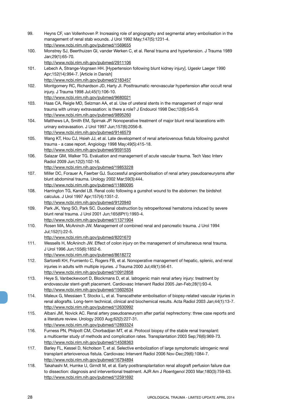- 99. Heyns CF, van Vollenhoven P. Increasing role of angiography and segmental artery embolisation in the management of renal stab wounds. J Urol 1992 May;147(5):1231-4. http://www.ncbi.nlm.nih.gov/pubmed/1569655
- 100. Monstrey SJ, Beerthuizen GI, vander Werken C, et al. Renal trauma and hypertension. J Trauma 1989 Jan;29(1):65-70. http://www.ncbi.nlm.nih.gov/pubmed/2911106
- 101. Lebech A, Strange-Vognsen HH. [Hypertension following blunt kidney injury]. Ugeskr Laeger 1990 Apr;152(14):994-7. [Article in Danish] http://www.ncbi.nlm.nih.gov/pubmed/2183457
- 102. Montgomery RC, Richardson JD, Harty JI. Posttraumatic renovascular hypertension after occult renal injury. J Trauma 1998 Jul;45(1):106-10. http://www.ncbi.nlm.nih.gov/pubmed/9680021
- 103. Haas CA, Reigle MD, Selzman AA, et al. Use of ureteral stents in the management of major renal trauma with urinary extravasation: is there a role? J Endourol 1998 Dec;12(6):545-9. http://www.ncbi.nlm.nih.gov/pubmed/9895260
- 104. Matthews LA, Smith EM, Spirnak JP. Nonoperative treatment of major blunt renal lacerations with urinary extravasation. J Urol 1997 Jun;157(6):2056-8. http://www.ncbi.nlm.nih.gov/pubmed/9146579
- 105. Wang KT, Hou CJ, Hsieh JJ, et al. Late development of renal arteriovenous fistula following gunshot trauma - a case report. Angiology 1998 May;49(5):415-18. http://www.ncbi.nlm.nih.gov/pubmed/9591535
- 106. Salazar GM, Walker TG. Evaluation and management of acute vascular trauma. Tech Vasc Interv Radiol 2009 Jun;12(2):102-16.
	- http://www.ncbi.nlm.nih.gov/pubmed/19853228
- 107. Miller DC, Forauer A, Faerber GJ. Successful angioembolisation of renal artery pseudoaneurysms after blunt abdominal trauma. Urology 2002 Mar;59(3):444. http://www.ncbi.nlm.nih.gov/pubmed/11880095
- 108. Harrington TG, Kandel LB. Renal colic following a gunshot wound to the abdomen: the birdshot calculus. J Urol 1997 Apr;157(4):1351-2.
	- http://www.ncbi.nlm.nih.gov/pubmed/9120940
- 109. Park JK, Yang SO, Park SC. Duodenal obstruction by retroperitoneal hematoma induced by severe blunt renal trauma. J Urol 2001 Jun;165(6Pt1):1993-4. http://www.ncbi.nlm.nih.gov/pubmed/11371904
- 110. Rosen MA, McAninch JW. Management of combined renal and pancreatic trauma. J Urol 1994 Jul;152(1):22-5.
	- http://www.ncbi.nlm.nih.gov/pubmed/8201670
- 111. Wessells H, McAninch JW. Effect of colon injury on the management of simultaneous renal trauma. J Urol 1996 Jun;155(6):1852-6.
	- http://www.ncbi.nlm.nih.gov/pubmed/8618272
- 112. Sartorelli KH, Frumiento C, Rogers FB, et al. Nonoperative management of hepatic, splenic, and renal injuries in adults with multiple injuries. J Trauma 2000 Jul;49(1):56-61. http://www.ncbi.nlm.nih.gov/pubmed/10912858
- 113. Heye S, Vanbeckevoort D, Blockmans D, et al. Iatrogenic main renal artery injury: treatment by endovascular stent-graft placement. Cardiovasc Intervent Radiol 2005 Jan-Feb;28(1):93-4. http://www.ncbi.nlm.nih.gov/pubmed/15602634
- 114. Maleux G, Messiaen T, Stockx L, et al. Transcatheter embolisation of biopsy-related vascular injuries in renal allografts. Long-term technical, clinical and biochemical results. Acta Radiol 2003 Jan;44(1):13-7. http://www.ncbi.nlm.nih.gov/pubmed/12630992
- 115. Albani JM, Novick AC. Renal artery pseudoaneurysm after partial nephrectomy: three case reports and a literature review. Urology 2003 Aug;62(2):227-31. http://www.ncbi.nlm.nih.gov/pubmed/12893324
- 116. Furness PN, Philpott CM, Chorbadjian MT, et al. Protocol biopsy of the stable renal transplant: a multicenter study of methods and complication rates. Transplantation 2003 Sep;76(6):969-73. http://www.ncbi.nlm.nih.gov/pubmed/14508363
- 117. Barley FL, Kessel D, Nicholson T, et al. Selective embolization of large symptomatic iatrogenic renal transplant arteriovenous fistula. Cardiovasc Intervent Radiol 2006 Nov-Dec;29(6):1084-7. http://www.ncbi.nlm.nih.gov/pubmed/16794894
- 118. Takahashi M, Humke U, Girndt M, et al. Early posttransplantation renal allograft perfusion failure due to dissection: diagnosis and interventional treatment. AJR Am J Roentgenol 2003 Mar;180(3):759-63. http://www.ncbi.nlm.nih.gov/pubmed/12591692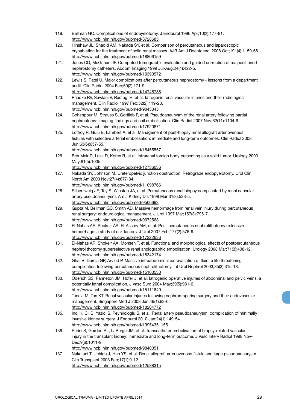- 119. Bellman GC. Complications of endopyelotomy. J Endourol 1996 Apr;10(2):177-81. http://www.ncbi.nlm.nih.gov/pubmed/8728685
- 120. Hinshaw JL, Shadid AM, Nakada SY, et al. Comparison of percutaneous and laparoscopic cryoablation for the treatment of solid renal masses. AJR Am J Roentgenol 2008 Oct;191(4):1159-68. http://www.ncbi.nlm.nih.gov/pubmed/18806159
- 121. Jones CD, McGahan JP. Computed tomographic evaluation and guided correction of malpositioned nephrostomy catheters. Abdom Imaging 1999 Jul-Aug;24(4):422-5. http://www.ncbi.nlm.nih.gov/pubmed/10390572
- 122. Lewis S, Patel U. Major complications after percutaneous nephrostomy lessons from a department audit. Clin Radiol 2004 Feb;59(2):171-9. http://www.ncbi.nlm.nih.gov/pubmed/14746788
- 123. Phadke RV, Sawlani V, Rastogi H, et al. Iatrogenic renal vascular injuries and their radiological management. Clin Radiol 1997 Feb;52(2):119-23.
	- http://www.ncbi.nlm.nih.gov/pubmed/9043045
- 124. Cohenpour M, Strauss S, Gottlieb P, et al. Pseudoaneurysm of the renal artery following partial nephrectomy: imaging findings and coil embolisation. Clin Radiol 2007 Nov;62(11):1104-9. http://www.ncbi.nlm.nih.gov/pubmed/17920871
- 125. Loffroy R, Guiu B, Lambert A, et al. Management of post-biopsy renal allograft arteriovenous fistulas with selective arterial embolisation: immediate and long-term outcomes. Clin Radiol 2008 Jun;63(6):657-65.
	- http://www.ncbi.nlm.nih.gov/pubmed/18455557
- 126. Ben Meir D, Lask D, Koren R, et al. Intrarenal foreign body presenting as a solid tumor. Urology 2003 May;61(5):1035.
	- http://www.ncbi.nlm.nih.gov/pubmed/12736036
- 127. Nakada SY, Johnson M. Ureteropelvic junction obstruction. Retrograde endopyelotomy. Urol Clin North Am 2000 Nov;27(4):677-84.
	- http://www.ncbi.nlm.nih.gov/pubmed/11098766
- 128. Silberzweig JE, Tey S, Winston JA, et al. Percutaneous renal biopsy complicated by renal capsular artery pseudoaneurysm. Am J Kidney Dis 1998 Mar;31(3):533-5. http://www.ncbi.nlm.nih.gov/pubmed/9506693
- 129. Gupta M, Bellman GC, Smith AD. Massive hemorrhage from renal vein injury during percutaneous renal surgery: endourological management. J Urol 1997 Mar;157(3):795-7. http://www.ncbi.nlm.nih.gov/pubmed/9072568
- 130. El-Nahas AR, Shokeir AA, El-Assmy AM, et al. Post-percutaneous nephrolithotomy extensive hemorrhage: a study of risk factors. J Urol 2007 Feb;177(2):576-9. http://www.ncbi.nlm.nih.gov/pubmed/17222636
- 131. El-Nahas AR, Shokeir AA, Mohsen T, et al. Functional and morphological effects of postpercutaneous nephrolithotomy superselective renal angiographic embolisation. Urology 2008 Mar;71(3):408-12. http://www.ncbi.nlm.nih.gov/pubmed/18342174
- 132. Ghai B, Dureja GP, Arvind P. Massive intraabdominal extravasation of fluid: a life threatening complication following percutaneous nephrolithotomy. Int Urol Nephrol 2003;35(3):315-18. http://www.ncbi.nlm.nih.gov/pubmed/15160530
- 133. Oderich GS, Panneton JM, Hofer J, et al. Iatrogenic operative injuries of abdominal and pelvic veins: a potentially lethal complication. J Vasc Surg 2004 May;39(5):931-6. http://www.ncbi.nlm.nih.gov/pubmed/15111840
- 134. Taneja M, Tan KT. Renal vascular injuries following nephron-sparing surgery and their endovascular management. Singapore Med J 2008 Jan;49(1):63-6. http://www.ncbi.nlm.nih.gov/pubmed/18204772
- 135. Inci K, Cil B, Yazici S, Peynircioglu B, et al. Renal artery pseudoaneurysm: complication of minimally invasive kidney surgery. J Endourol 2010 Jan;24(1):149-54. http://www.ncbi.nlm.nih.gov/pubmed/19954351155
- 136. Perini S, Gordon RL, LaBerge JM, et al. Transcatheter embolisation of biopsy-related vascular injury in the transplant kidney: immediate and long-term outcome. J Vasc Interv Radiol 1998 Nov-Dec;9(6):1011-9. http://www.ncbi.nlm.nih.gov/pubmed/9840051
- 137. Nakatani T, Uchida J, Han YS, et al. Renal allograft arteriovenous fistula and large pseudoaneurysm. Clin Transplant 2003 Feb;17(1):9-12. http://www.ncbi.nlm.nih.gov/pubmed/12588315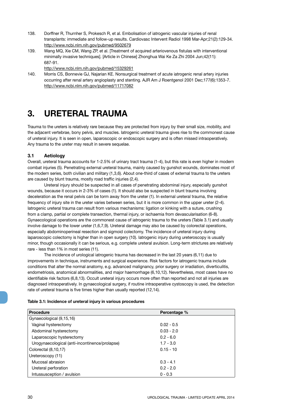- 138. Dorffner R, Thurnher S, Prokesch R, et al. Embolisation of iatrogenic vascular injuries of renal transplants: immediate and follow-up results. Cardiovasc Intervent Radiol 1998 Mar-Apr;21(2):129-34. http://www.ncbi.nlm.nih.gov/pubmed/9502679
- 139. Wang MQ, Xie CM, Wang ZP, et al. [Treatment of acquired arteriovenous fistulas with interventional minimally invasive techniques]. [Article in Chinese] Zhonghua Wai Ke Za Zhi 2004 Jun;42(11): 687-91.

http://www.ncbi.nlm.nih.gov/pubmed/15329261

140. Morris CS, Bonnevie GJ, Najarian KE. Nonsurgical treatment of acute iatrogenic renal artery injuries occurring after renal artery angioplasty and stenting. AJR Am J Roentgenol 2001 Dec;177(6):1353-7. http://www.ncbi.nlm.nih.gov/pubmed/11717082

## **3. URETERAL TRAUMA**

Trauma to the ureters is relatively rare because they are protected from injury by their small size, mobility, and the adjacent vertebrae, bony pelvis, and muscles. Iatrogenic ureteral trauma gives rise to the commonest cause of ureteral injury. It is seen in open, laparoscopic or endoscopic surgery and is often missed intraoperatively. Any trauma to the ureter may result in severe sequelae.

#### **3.1 Aetiology**

Overall, ureteral trauma accounts for 1-2.5% of urinary tract trauma (1-4), but this rate is even higher in modern combat injuries (5). Penetrating external ureteral trauma, mainly caused by gunshot wounds, dominates most of the modern series, both civilian and military (1,3,6). About one-third of cases of external trauma to the ureters are caused by blunt trauma, mostly road traffic injuries (2,4).

Ureteral injury should be suspected in all cases of penetrating abdominal injury, especially gunshot wounds, because it occurs in 2-3% of cases (1). It should also be suspected in blunt trauma involving deceleration as the renal pelvis can be torm away from the ureter (1). In external ureteral trauma, the relative frequency of injury site in the ureter varies between series, but it is more common in the upper ureter (2-4). Iatrogenic ureteral trauma can result from various mechanisms: ligation or kinking with a suture, crushing from a clamp, partial or complete transection, thermal injury, or ischaemia from devascularisation (6-8). Gynaecological operations are the commonest cause of iatrogenic trauma to the ureters (Table 3.1) and usually involve damage to the lower ureter (1,6,7,9). Ureteral damage may also be caused by colorectal operations, especially abdominoperineal resection and sigmoid colectomy. The incidence of ureteral injury during laparoscopic colectomy is higher than in open surgery (10). Iatrogenic injury during ureteroscopy is usually minor, though occasionally it can be serious, e.g. complete ureteral avulsion. Long-term strictures are relatively rare - less than 1% in most series (11).

The incidence of urological iatrogenic trauma has decreased in the last 20 years (6,11) due to improvements in technique, instruments and surgical experience. Risk factors for iatrogenic trauma include conditions that alter the normal anatomy, e.g. advanced malignancy, prior surgery or irradiation, diverticulitis, endometriosis, anatomical abnormalities, and major haemorrhage (6,10,12). Nevertheless, most cases have no identifiable risk factors (6,8,13). Occult ureteral injury occurs more often than reported and not all injuries are diagnosed intraoperatively. In gynaecological surgery, if routine intraoperative cystoscopy is used, the detection rate of ureteral trauma is five times higher than usually reported (12,14).

#### **Table 3.1: Incidence of ureteral injury in various procedures**

| <b>Procedure</b>                               | Percentage % |
|------------------------------------------------|--------------|
| Gynaecological (9,15,16)                       |              |
| Vaginal hysterectomy                           | $0.02 - 0.5$ |
| Abdominal hysterectomy                         | $0.03 - 2.0$ |
| Laparoscopic hysterectomy                      | $0.2 - 6.0$  |
| Urogynaecological (anti-incontinence/prolapse) | $1.7 - 3.0$  |
| Colorectal (8,10,17)                           | $0.15 - 10$  |
| Ureteroscopy (11)                              |              |
| Mucosal abrasion                               | $0.3 - 4.1$  |
| Ureteral perforation                           | $0.2 - 2.0$  |
| Intussusception / avulsion                     | $0 - 0.3$    |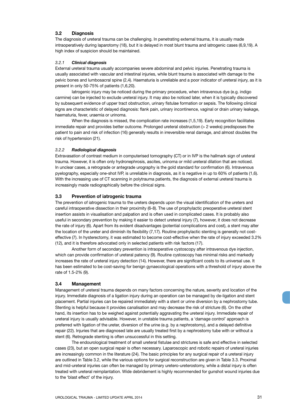#### **3.2 Diagnosis**

The diagnosis of ureteral trauma can be challenging. In penetrating external trauma, it is usually made intraoperatively during laparotomy (18), but it is delayed in most blunt trauma and iatrogenic cases (6,9,19). A high index of suspicion should be maintained.

#### *3.2.1 Clinical diagnosis*

External ureteral trauma usually accompanies severe abdominal and pelvic injuries. Penetrating trauma is usually associated with vascular and intestinal injuries, while blunt trauma is associated with damage to the pelvic bones and lumbosacral spine (2,4). Haematuria is unreliable and a poor indicator of ureteral injury, as it is present in only 50-75% of patients (1,6,20).

Iatrogenic injury may be noticed during the primary procedure, when intravenous dye (e.g. indigo carmine) can be injected to exclude ureteral injury. It may also be noticed later, when it is typically discovered by subsequent evidence of upper tract obstruction, urinary fistulae formation or sepsis. The following clinical signs are characteristic of delayed diagnosis: flank pain, urinary incontinence, vaginal or drain urinary leakage, haematuria, fever, uraemia or urinoma.

When the diagnosis is missed, the complication rate increases (1,5,19). Early recognition facilitates immediate repair and provides better outcome. Prolonged ureteral obstruction (> 2 weeks) predisposes the patient to pain and risk of infection (16) generally results in irreversible renal damage, and almost doubles the risk of hypertension (21).

#### *3.2.2 Radiological diagnosis*

Extravasation of contrast medium in computerised tomography (CT) or in IVP is the hallmark sign of ureteral trauma. However, it is often only hydronephrosis, ascites, urinoma or mild ureteral dilation that are noticed. In unclear cases, a retrograde or antegrade urography is the gold standard for confirmation (6). Intravenous pyelography, especially one-shot IVP, is unreliable in diagnosis, as it is negative in up to 60% of patients (1,6). With the increasing use of CT scanning in polytrauma patients, the diagnosis of external ureteral trauma is increasingly made radiographically before the clinical signs.

#### **3.3 Prevention of iatrogenic trauma**

The prevention of iatrogenic trauma to the ureters depends upon the visual identification of the ureters and careful intraoperative dissection in their proximity (6-8). The use of prophylactic preoperative ureteral stent insertion assists in visualisation and palpation and is often used in complicated cases. It is probably also useful in secondary prevention by making it easier to detect ureteral injury (7), however, it does not decrease the rate of injury (6). Apart from its evident disadvantages (potential complications and cost), a stent may alter the location of the ureter and diminish its flexibility (7,17). Routine prophylactic stenting is generally not costeffective (7). In hysterectomy, it was estimated to become cost-effective when the rate of injury exceeded 3.2% (12), and it is therefore advocated only in selected patients with risk factors (17).

Another form of secondary prevention is intraoperative cystoscopy after intravenous dye injection, which can provide confirmation of ureteral patency (9). Routine cystoscopy has minimal risks and markedly increases the rate of ureteral injury detection (14). However, there are significant costs to its universal use. It has been estimated to be cost-saving for benign gynaecological operations with a threshold of injury above the rate of 1.5-2% (9).

#### **3.4 Management**

Management of ureteral trauma depends on many factors concerning the nature, severity and location of the injury. Immediate diagnosis of a ligation injury during an operation can be managed by de-ligation and stent placement. Partial injuries can be repaired immediately with a stent or urine diversion by a nephrostomy tube. Stenting is helpful because it provides canalisation and may decrease the risk of stricture (6). On the other hand, its insertion has to be weighed against potentially aggravating the ureteral injury. Immediate repair of ureteral injury is usually advisable. However, in unstable trauma patients, a 'damage control' approach is preferred with ligation of the ureter, diversion of the urine (e.g. by a nephrostomy), and a delayed definitive repair (22). Injuries that are diagnosed late are usually treated first by a nephrostomy tube with or without a stent (6). Retrograde stenting is often unsuccessful in this setting.

The endourological treatment of small ureteral fistulae and strictures is safe and effective in selected cases (23), but an open surgical repair is often necessary. Laparoscopic and robotic repairs of ureteral injuries are increasingly common in the literature (24). The basic principles for any surgical repair of a ureteral injury are outlined in Table 3.2, while the various options for surgical reconstruction are given in Table 3.3. Proximal and mid-ureteral injuries can often be managed by primary uretero-ureterostomy, while a distal injury is often treated with ureteral reimplantation. Wide debridement is highly recommended for gunshot wound injuries due to the 'blast effect' of the injury.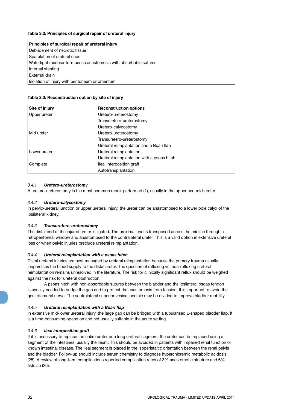| Principles of surgical repair of ureteral injury                |
|-----------------------------------------------------------------|
| Debridement of necrotic tissue                                  |
| Spatulation of ureteral ends                                    |
| Watertight mucosa-to-mucosa anastomosis with absorbable sutures |
| Internal stenting                                               |
| External drain                                                  |
| Isolation of injury with peritoneum or omentum                  |

| Site of injury | <b>Reconstruction options</b>              |  |  |
|----------------|--------------------------------------------|--|--|
| Upper ureter   | Uretero-ureterostomy                       |  |  |
|                | Transuretero-ureterostomy                  |  |  |
|                | Uretero-calycostomy                        |  |  |
| l Mid ureter   | Uretero-ureterostomy                       |  |  |
|                | Transuretero-ureterostomy                  |  |  |
|                | Ureteral reimplantation and a Boari flap   |  |  |
| Lower ureter   | Ureteral reimplantation                    |  |  |
|                | Ureteral reimplantation with a psoas hitch |  |  |
| Complete       | lleal interposition graft                  |  |  |
|                | Autotransplantation                        |  |  |

#### *3.4.1 Uretero-ureterostomy*

A uretero-ureterostomy is the most common repair performed (1), usually in the upper and mid-ureter.

#### *3.4.2 Uretero-calycostomy*

In pelvic-ureteral junction or upper ureteral injury, the ureter can be anastomosed to a lower pole calyx of the ipsilateral kidney.

#### *3.4.3 Transuretero-ureterostomy*

The distal end of the injured ureter is ligated. The proximal end is transposed across the midline through a retroperitoneal window and anastomosed to the contralateral ureter. This is a valid option in extensive ureteral loss or when pelvic injuries preclude ureteral reimplantation.

#### *3.4.4 Ureteral reimplantation with a psoas hitch*

Distal ureteral injuries are best managed by ureteral reimplantation because the primary trauma usually jeopardises the blood supply to the distal ureter. The question of refluxing vs. non-refluxing ureteral reimplantation remains unresolved in the literature. The risk for clinically significant reflux should be weighed against the risk for ureteral obstruction.

A psoas hitch with non-absorbable sutures between the bladder and the ipsilateral psoas tendon is usually needed to bridge the gap and to protect the anastomosis from tension. It is important to avoid the genitofemoral nerve. The contralateral superior vesical pedicle may be divided to improve bladder mobility.

#### *3.4.5 Ureteral reimplantation with a Boari flap*

In extensive mid-lower ureteral injury, the large gap can be bridged with a tubularised L-shaped bladder flap. It is a time-consuming operation and not usually suitable in the acute setting.

#### *3.4.6 Ileal interposition graft*

If it is necessary to replace the entire ureter or a long ureteral segment, the ureter can be replaced using a segment of the intestines, usually the ileum. This should be avoided in patients with impaired renal function or known intestinal disease. The ileal segment is placed in the isoperistaltic orientation between the renal pelvis and the bladder. Follow-up should include serum chemistry to diagnose hyperchloremic metabolic acidosis (25). A review of long-term complications reported complication rates of 3% anastomotic stricture and 6% fistulae (26).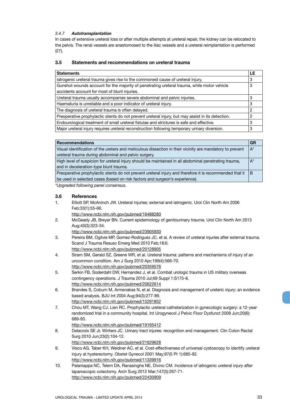#### *3.4.7 Autotransplantation*

In cases of extensive ureteral loss or after multiple attempts at ureteral repair, the kidney can be relocated to the pelvis. The renal vessels are anastomosed to the iliac vessels and a ureteral reimplantation is performed (27).

### **3.5 Statements and recommendations on ureteral trauma**

| <b>Statements</b>                                                                                 | LE |
|---------------------------------------------------------------------------------------------------|----|
| latrogenic ureteral trauma gives rise to the commonest cause of ureteral injury.                  | 3  |
| Gunshot wounds account for the majority of penetrating ureteral trauma, while motor vehicle       | 3  |
| accidents account for most of blunt injuries.                                                     |    |
| Ureteral trauma usually accompanies severe abdominal and pelvic injuries.                         | 3  |
| Haematuria is unreliable and a poor indicator of ureteral injury.                                 | 3  |
| The diagnosis of ureteral trauma is often delayed.                                                | 2  |
| Preoperative prophylactic stents do not prevent ureteral injury, but may assist in its detection. | 2  |
| Endourological treatment of small ureteral fistulae and strictures is safe and effective.         | 3  |
| Major ureteral injury requires ureteral reconstruction following temporary urinary diversion.     | 3  |

| <b>Recommendations</b>                                                                                    | GR    |
|-----------------------------------------------------------------------------------------------------------|-------|
| Visual identification of the ureters and meticulous dissection in their vicinity are mandatory to prevent | $A^*$ |
| ureteral trauma during abdominal and pelvic surgery.                                                      |       |
| High level of suspicion for ureteral injury should be maintained in all abdominal penetrating trauma,     | $A^*$ |
| and in deceleration-type blunt trauma.                                                                    |       |
| Preoperative prophylactic stents do not prevent ureteral injury and therefore it is recommended that it   | B     |
| be used in selected cases (based on risk factors and surgeon's experience).                               |       |
| * Unique de d'Intimulu a non de concernais                                                                |       |

*\*Upgraded following panel consensus.*

#### **3.6 References**

- 1. Elliott SP, McAninch JW. Ureteral injuries: external and iatrogenic. Urol Clin North Am 2006 Feb;33(1):55-66.
	- http://www.ncbi.nlm.nih.gov/pubmed/16488280
- 2. McGeady JB, Breyer BN. Current epidemiology of genitourinary trauma. Urol Clin North Am 2013 Aug;40(3):323-34.
	- http://www.ncbi.nlm.nih.gov/pubmed/23905930
- 3. Pereira BM, Ogilvie MP, Gomez-Rodriguez JC, et al. A review of ureteral injuries after external trauma. Scand J Trauma Resusc Emerg Med 2010 Feb;18:6. http://www.ncbi.nlm.nih.gov/pubmed/20128905
- 4. Siram SM, Gerald SZ, Greene WR, et al. Ureteral trauma: patterns and mechanisms of injury of an uncommon condition. Am J Surg 2010 Apr;199(4):566-70. http://www.ncbi.nlm.nih.gov/pubmed/20359576
- 5. Serkin FB, Soderdahl DW, Hernandez J, et al. Combat urologic trauma in US military overseas contingency operations. J Trauma 2010 Jul;69 Suppl 1:S175-8. http://www.ncbi.nlm.nih.gov/pubmed/20622614
- 6. Brandes S, Coburn M, Armenakas N, et al. Diagnosis and management of ureteric injury: an evidence based analysis. BJU Int 2004 Aug;94(3):277-89. http://www.ncbi.nlm.nih.gov/pubmed/15291852
- 7. Chou MT, Wang CJ, Lien RC. Prophylactic ureteral catheterization in gynecologic surgery: a 12-year randomized trial in a community hospital. Int Urogynecol J Pelvic Floor Dysfunct 2009 Jun;20(6): 689-93.
	- http://www.ncbi.nlm.nih.gov/pubmed/19165412
- 8. Delacroix SE Jr, Winters JC. Urinary tract injures: recognition and management. Clin Colon Rectal Surg 2010 Jun;23(2):104-12.

http://www.ncbi.nlm.nih.gov/pubmed/21629628

- 9. Visco AG, Taber KH, Weidner AC, et al. Cost-effectiveness of universal cystoscopy to identify ureteral injury at hysterectomy. Obstet Gynecol 2001 May;97(5 Pt 1):685-92. http://www.ncbi.nlm.nih.gov/pubmed/11339916
- 10. Palaniappa NC, Telem DA, Ranasinghe NE, Divino CM. Incidence of iatrogenic ureteral injury after laparoscopic colectomy. Arch Surg 2012 Mar;147(3):267-71. http://www.ncbi.nlm.nih.gov/pubmed/22430909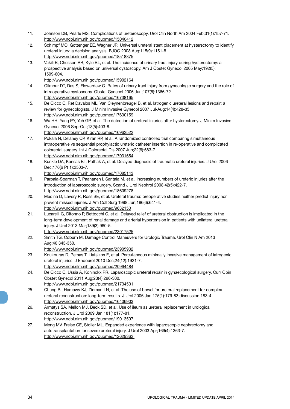- 11. Johnson DB, Pearle MS. Complications of ureteroscopy. Urol Clin North Am 2004 Feb;31(1):157-71. http://www.ncbi.nlm.nih.gov/pubmed/15040412
- 12. Schimpf MO, Gottenger EE, Wagner JR. Universal ureteral stent placement at hysterectomy to identify ureteral injury: a decision analysis. BJOG 2008 Aug;115(9):1151-8. http://www.ncbi.nlm.nih.gov/pubmed/18518875
- 13. Vakili B, Chesson RR, Kyle BL, et al. The incidence of urinary tract injury during hysterectomy: a prospective analysis based on universal cystoscopy. Am J Obstet Gynecol 2005 May;192(5): 1599-604.
	- http://www.ncbi.nlm.nih.gov/pubmed/15902164
- 14. Gilmour DT, Das S, Flowerdew G. Rates of urinary tract injury from gynecologic surgery and the role of intraoperative cystoscopy. Obstet Gynecol 2006 Jun;107(6):1366-72. http://www.ncbi.nlm.nih.gov/pubmed/16738165
- 15. De Cicco C, Ret Davalos ML, Van Cleynenbreugel B, et al. Iatrogenic ureteral lesions and repair: a review for gynecologists. J Minim Invasive Gynecol 2007 Jul-Aug;14(4):428-35. http://www.ncbi.nlm.nih.gov/pubmed/17630159
- 16. Wu HH, Yang PY, Yeh GP, et al. The detection of ureteral injuries after hysterectomy. J Minim Invasive Gynecol 2006 Sep-Oct;13(5):403-8.
	- http://www.ncbi.nlm.nih.gov/pubmed/16962522
- 17. Pokala N, Delaney CP, Kiran RP, et al. A randomized controlled trial comparing simultaneous intraoperative vs sequential prophylactic ureteric catheter insertion in re-operative and complicated colorectal surgery. Int J Colorectal Dis 2007 Jun;22(6):683-7. http://www.ncbi.nlm.nih.gov/pubmed/17031654
- 18. Kunkle DA, Kansas BT, Pathak A, et al. Delayed diagnosis of traumatic ureteral injuries. J Urol 2006 Dec;176(6 Pt 1):2503-7.
	- http://www.ncbi.nlm.nih.gov/pubmed/17085143
- 19. Parpala-Sparman T, Paananen I, Santala M, et al. Increasing numbers of ureteric injuries after the introduction of laparoscopic surgery. Scand J Urol Nephrol 2008;42(5):422-7. http://www.ncbi.nlm.nih.gov/pubmed/18609278
- 20. Medina D, Lavery R, Ross SE, et al. Ureteral trauma: preoperative studies neither predict injury nor prevent missed injuries. J Am Coll Surg 1998 Jun;186(6):641-4. http://www.ncbi.nlm.nih.gov/pubmed/9632150
- 21. Lucarelli G, Ditonno P, Bettocchi C, et al. Delayed relief of ureteral obstruction is implicated in the long-term development of renal damage and arterial hypertension in patients with unilateral ureteral injury. J Urol 2013 Mar;189(3):960-5. http://www.ncbi.nlm.nih.gov/pubmed/23017525
- 22. Smith TG, Coburn M. Damage Control Maneuvers for Urologic Trauma. Urol Clin N Am 2013 Aug;40:343-350.
	- http://www.ncbi.nlm.nih.gov/pubmed/23905932
- 23. Koukouras D, Petsas T, Liatsikos E, et al. Percutaneous minimally invasive management of iatrogenic ureteral injuries. J Endourol 2010 Dec;24(12):1921-7. http://www.ncbi.nlm.nih.gov/pubmed/20964484
- 24. De Cicco C, Ussia A, Koninckx PR. Laparoscopic ureteral repair in gynaecological surgery. Curr Opin Obstet Gynecol 2011 Aug;23(4):296-300. http://www.ncbi.nlm.nih.gov/pubmed/21734501
- 25. Chung BI, Hamawy KJ, Zinman LN, et al. The use of bowel for ureteral replacement for complex ureteral reconstruction: long-term results. J Urol 2006 Jan;175(1):179-83;discussion 183-4. http://www.ncbi.nlm.nih.gov/pubmed/16406903
- 26. Armatys SA, Mellon MJ, Beck SD, et al. Use of ileum as ureteral replacement in urological reconstruction. J Urol 2009 Jan;181(1):177-81. http://www.ncbi.nlm.nih.gov/pubmed/19013597
- 27. Meng MV, Freise CE, Stoller ML. Expanded experience with laparoscopic nephrectomy and autotransplantation for severe ureteral injury. J Urol 2003 Apr;169(4):1363-7. http://www.ncbi.nlm.nih.gov/pubmed/12629362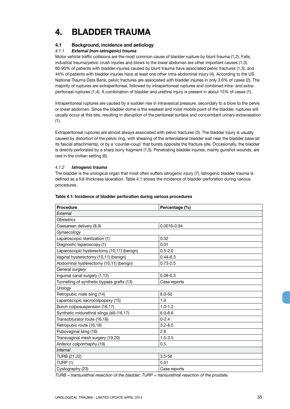## **4. BLADDER TRAUMA**

#### **4.1 Background, incidence and aetiology**

#### *4.1.1 External (non-iatrogenic) trauma*

Motor vehicle traffic collisions are the most common cause of bladder rupture by blunt trauma (1,2). Falls, industrial trauma/pelvic crush injuries and blows to the lower abdomen are other important causes (1,3). 60-90% of patients with bladder injuries caused by blunt trauma have associated pelvic fractures (1,3), and 44% of patients with bladder injuries have at least one other intra-abdominal injury (4). According to the US National Trauma Data Bank, pelvic fractures are associated with bladder injuries in only 3.6% of cases (2). The majority of ruptures are extraperitoneal, followed by intraperitoneal ruptures and combined intra- and extraperitoneal ruptures (1,4). A combination of bladder and urethral injury is present in about 15% of cases (1).

Intraperitoneal ruptures are caused by a sudden rise in intravesical pressure, secondary to a blow to the pelvis or lower abdomen. Since the bladder dome is the weakest and most mobile point of the bladder, ruptures will usually occur at this site, resulting in disruption of the peritoneal surface and concomitant urinary extravasation (1).

Extraperitoneal ruptures are almost always associated with pelvic fractures (3). The bladder injury is usually caused by distortion of the pelvic ring, with shearing of the anterolateral bladder wall near the bladder base (at its fascial attachments), or by a 'counter-coup' that bursts opposite the fracture site. Occasionally, the bladder is directly perforated by a sharp bony fragment (1,5). Penetrating bladder injuries, mainly gunshot wounds, are rare in the civilian setting (6).

#### *4.1.2 Iatrogenic trauma*

The bladder is the urological organ that most often suffers iatrogenic injury (7). Iatrogenic bladder trauma is defined as a full-thickness laceration. Table 4.1 shows the incidence of bladder perforation during various procedures.

| <b>Procedure</b>                           | Percentage (%) |
|--------------------------------------------|----------------|
| External                                   |                |
| <b>Obstetrics</b>                          |                |
| Caesarean delivery (8,9)                   | 0.0016-0.94    |
| Gynaecology                                |                |
| Laparoscopic sterilization (1)             | 0.02           |
| Diagnostic laparoscopy (1)                 | 0.01           |
| Laparoscopic hysterectomy (10,11) (benign) | $0.5 - 2.0$    |
| Vaginal hysterectomy (10,11) (benign)      | $0.44 - 6.3$   |
| Abdominal hysterectomy (10,11) (benign)    | $0.73 - 2.5$   |
| General surgery                            |                |
| Inguinal canal surgery (1,12)              | $0.08 - 0.3$   |
| Tunnelling of synthetic bypass grafts (13) | Case reports   |
| Urology                                    |                |
| Retropubic male sling (14)                 | $8.0 - 50$     |
| Laparoscopic sacrocolpopexy (15)           | 1.9            |
| Burch colposuspension (16,17)              | $1.0 - 1.2$    |
| Synthetic midurethral slings (all) (16,17) | $6.0 - 6.6$    |
| Transobturator route (16,18)               | $0 - 2.4$      |
| Retropubic route (16,18)                   | $3.2 - 8.5$    |
| Pubovaginal sling (16)                     | 2.8            |
| Transvaginal mesh surgery (19,20)          | $1.5 - 3.5$    |
| Anterior colporrhaphy (19)                 | 0.5            |
| Internal                                   |                |
| TURB (21,22)                               | $3.5 - 58$     |
| TURP (1)                                   | 0.01           |
| Cystography (23)                           | Case reports   |

#### **Table 4.1: Incidence of bladder perforation during various procedures**

*TURB = transurethral resection of the bladder; TURP = transurethral resection of the prostate.*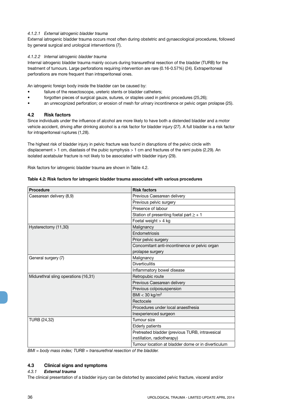#### *4.1.2.1 External iatrogenic bladder trauma*

External iatrogenic bladder trauma occurs most often during obstetric and gynaecological procedures, followed by general surgical and urological interventions (7).

#### *4.1.2.2 Internal iatrogenic bladder trauma*

Internal iatrogenic bladder trauma mainly occurs during transurethral resection of the bladder (TURB) for the treatment of tumours. Large perforations requiring intervention are rare (0.16-0.57%) (24). Extraperitoneal perforations are more frequent than intraperitoneal ones.

An iatrogenic foreign body inside the bladder can be caused by:

- failure of the resectoscope, ureteric stents or bladder catheters;
- forgotten pieces of surgical gauze, sutures, or staples used in pelvic procedures (25,26);
- an unrecognized perforation; or erosion of mesh for urinary incontinence or pelvic organ prolapse (25).

#### **4.2 Risk factors**

Since individuals under the influence of alcohol are more likely to have both a distended bladder and a motor vehicle accident, driving after drinking alcohol is a risk factor for bladder injury (27). A full bladder is a risk factor for intraperitoneal ruptures (1,28).

The highest risk of bladder injury in pelvic fracture was found in disruptions of the pelvic circle with displacement > 1 cm, diastasis of the pubic symphysis > 1 cm and fractures of the rami pubis (2,29). An isolated acetabular fracture is not likely to be associated with bladder injury (29).

Risk factors for iatrogenic bladder trauma are shown in Table 4.2.

| <b>Procedure</b>                     | <b>Risk factors</b>                                |
|--------------------------------------|----------------------------------------------------|
| Caesarean delivery (8,9)             | Previous Caesarean delivery                        |
|                                      | Previous pelvic surgery                            |
|                                      | Presence of labour                                 |
|                                      | Station of presenting foetal part $\geq +1$        |
|                                      | Foetal weight $>$ 4 kg                             |
| Hysterectomy (11,30)                 | Malignancy                                         |
|                                      | <b>Fndometriosis</b>                               |
|                                      | Prior pelvic surgery                               |
|                                      | Concomitant anti-incontinence or pelvic organ      |
|                                      | prolapse surgery                                   |
| General surgery (7)                  | Malignancy                                         |
|                                      | <b>Diverticulitis</b>                              |
|                                      | Inflammatory bowel disease                         |
| Midurethral sling operations (16,31) | Retropubic route                                   |
|                                      | Previous Caesarean delivery                        |
|                                      | Previous colposuspension                           |
|                                      | BMI < 30 kg/m <sup>2</sup>                         |
|                                      | Rectocele                                          |
|                                      | Procedures under local anaesthesia                 |
|                                      | Inexperienced surgeon                              |
| TURB (24,32)                         | Tumour size                                        |
|                                      | <b>Elderly patients</b>                            |
|                                      | Pretreated bladder (previous TURB, intravesical    |
|                                      | instillation, radiotherapy)                        |
|                                      | Tumour location at bladder dome or in diverticulum |

#### **Table 4.2: Risk factors for iatrogenic bladder trauma associated with various procedures**

*BMI = body mass index; TURB = transurethral resection of the bladder.*

#### **4.3 Clinical signs and symptoms**

#### *4.3.1 External trauma*

The clinical presentation of a bladder injury can be distorted by associated pelvic fracture, visceral and/or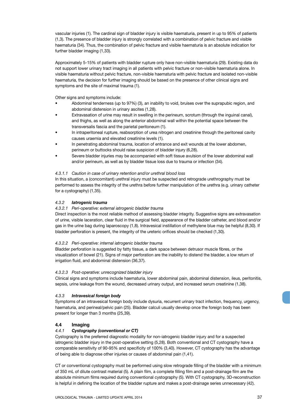vascular injuries (1). The cardinal sign of bladder injury is visible haematuria, present in up to 95% of patients (1,3). The presence of bladder injury is strongly correlated with a combination of pelvic fracture and visible haematuria (34). Thus, the combination of pelvic fracture and visible haematuria is an absolute indication for further bladder imaging (1,33).

Approximately 5-15% of patients with bladder rupture only have non-visible haematuria (29). Existing data do not support lower urinary tract imaging in all patients with pelvic fracture or non-visible haematuria alone. In visible haematuria without pelvic fracture, non-visible haematuria with pelvic fracture and isolated non-visible haematuria, the decision for further imaging should be based on the presence of other clinical signs and symptoms and the site of maximal trauma (1).

Other signs and symptoms include:

- Abdominal tenderness (up to 97%) (3), an inability to void, bruises over the suprapubic region, and abdominal distension in urinary ascites (1,28).
- Extravasation of urine may result in swelling in the perineum, scrotum (through the inguinal canal), and thighs, as well as along the anterior abdominal wall within the potential space between the transversalis fascia and the parietal peritoneum (1).
- In intraperitoneal rupture, reabsorption of urea nitrogen and creatinine through the peritoneal cavity causes uraemia and elevated creatinine levels (1).
- In penetrating abdominal trauma, location of entrance and exit wounds at the lower abdomen, perineum or buttocks should raise suspicion of bladder injury (6,28).
- Severe bladder injuries may be accompanied with soft tissue avulsion of the lower abdominal wall and/or perineum, as well as by bladder tissue loss due to trauma or infection (34).

## *4.3.1.1 Caution in case of urinary retention and/or urethral blood loss*

In this situation, a (concomitant) urethral injury must be suspected and retrograde urethrography must be performed to assess the integrity of the urethra before further manipulation of the urethra (e.g. urinary catheter for a cystography) (1,35).

## *4.3.2 Iatrogenic trauma*

## *4.3.2.1 Peri-operative: external iatrogenic bladder trauma*

Direct inspection is the most reliable method of assessing bladder integrity. Suggestive signs are extravasation of urine, visible laceration, clear fluid in the surgical field, appearance of the bladder catheter, and blood and/or gas in the urine bag during laparoscopy (1,8). Intravesical instillation of methylene blue may be helpful (8,30). If bladder perforation is present, the integrity of the ureteric orifices should be checked (1,30).

## *4.3.2.2 Peri-operative: internal iatrogenic bladder trauma*

Bladder perforation is suggested by fatty tissue, a dark space between detrusor muscle fibres, or the visualization of bowel (21). Signs of major perforation are the inability to distend the bladder, a low return of irrigation fluid, and abdominal distension (36,37).

## *4.3.2.3 Post-operative: unrecognized bladder injury*

Clinical signs and symptoms include haematuria, lower abdominal pain, abdominal distension, ileus, peritonitis, sepsis, urine leakage from the wound, decreased urinary output, and increased serum creatinine (1,38).

## *4.3.3 Intravesical foreign body*

Symptoms of an intravesical foreign body include dysuria, recurrent urinary tract infection, frequency, urgency, haematuria, and perineal/pelvic pain (25). Bladder calculi usually develop once the foreign body has been present for longer than 3 months (25,39).

## **4.4 Imaging**

## *4.4.1 Cystography (conventional or CT)*

Cystography is the preferred diagnostic modality for non-iatrogenic bladder injury and for a suspected iatrogenic bladder injury in the post-operative setting (5,28). Both conventional and CT cystography have a comparable sensitivity of 90-95% and specificity of 100% (3,40). However, CT cystography has the advantage of being able to diagnose other injuries or causes of abdominal pain (1,41).

CT or conventional cystography must be performed using slow retrograde filling of the bladder with a minimum of 350 mL of dilute contrast material (5). A plain film, a complete filling film and a post-drainage film are the absolute minimum films required during conventional cystography (5). With CT cystography, 3D-reconstruction is helpful in defining the location of the bladder rupture and makes a post-drainage series unnecessary (42).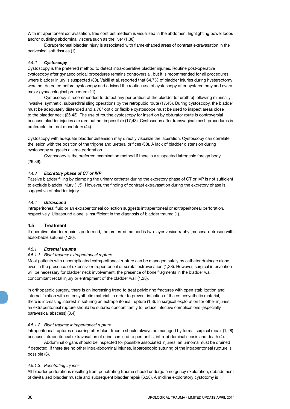With intraperitoneal extravasation, free contrast medium is visualized in the abdomen, highlighting bowel loops and/or outlining abdominal viscera such as the liver (1,38).

Extraperitoneal bladder injury is associated with flame-shaped areas of contrast extravasation in the perivesical soft tissues (1).

## *4.4.2 Cystoscopy*

Cystoscopy is the preferred method to detect intra-operative bladder injuries. Routine post-operative cystoscopy after gynaecological procedures remains controversial, but it is recommended for all procedures where bladder injury is suspected (30). Vakili et al. reported that 64.7% of bladder injuries during hysterectomy were not detected before cystoscopy and advised the routine use of cystoscopy after hysterectomy and every major gynaecological procedure (11).

Cystoscopy is recommended to detect any perforation of the bladder (or urethra) following minimally invasive, synthetic, suburethral sling operations by the retropubic route (17,43). During cystoscopy, the bladder must be adequately distended and a 70° optic or flexible cystoscope must be used to inspect areas close to the bladder neck (25,43). The use of routine cystoscopy for insertion by obturator route is controversial because bladder injuries are rare but not impossible (17,43). Cystoscopy after transvaginal mesh procedures is preferable, but not mandatory (44).

Cystoscopy with adequate bladder distension may directly visualize the laceration. Cystoscopy can correlate the lesion with the position of the trigone and ureteral orifices (38). A lack of bladder distension during cystoscopy suggests a large perforation.

Cystoscopy is the preferred examination method if there is a suspected iatrogenic foreign body (26,39).

#### *4.4.3 Excretory phase of CT or IVP*

Passive bladder filling by clamping the urinary catheter during the excretory phase of CT or IVP is not sufficient to exclude bladder injury (1,5). However, the finding of contrast extravasation during the excretory phase is suggestive of bladder injury.

## *4.4.4 Ultrasound*

Intraperitoneal fluid or an extraperitoneal collection suggests intraperitoneal or extraperitoneal perforation, respectively. Ultrasound alone is insufficient in the diagnosis of bladder trauma (1).

## **4.5 Treatment**

If operative bladder repair is performed, the preferred method is two-layer vesicorraphy (mucosa-detrusor) with absorbable sutures (1,30).

#### *4.5.1 External trauma*

#### *4.5.1.1 Blunt trauma: extraperitoneal rupture*

Most patients with uncomplicated extraperitoneal rupture can be managed safely by catheter drainage alone, even in the presence of extensive retroperitoneal or scrotal extravasation (1,28). However, surgical intervention will be necessary for bladder neck involvement, the presence of bone fragments in the bladder wall, concomitant rectal injury or entrapment of the bladder wall (1,28).

In orthopaedic surgery, there is an increasing trend to treat pelvic ring fractures with open stabilization and internal fixation with osteosynthetic material. In order to prevent infection of the osteosynthetic material, there is increasing interest in suturing an extraperitoneal rupture (1,3). In surgical exploration for other injuries, an extraperitoneal rupture should be sutured concomitantly to reduce infective complications (especially paravesical abscess) (3,4).

#### *4.5.1.2 Blunt trauma: intraperitoneal rupture*

Intraperitoneal ruptures occurring after blunt trauma should always be managed by formal surgical repair (1,28) because intraperitoneal extravasation of urine can lead to peritonitis, intra-abdominal sepsis and death (4).

Abdominal organs should be inspected for possible associated injuries; an urinoma must be drained if detected. If there are no other intra-abdominal injuries, laparoscopic suturing of the intraperitoneal rupture is possible (3).

#### *4.5.1.3 Penetrating injuries*

All bladder perforations resulting from penetrating trauma should undergo emergency exploration, debridement of devitalized bladder muscle and subsequent bladder repair (6,28). A midline exploratory cystotomy is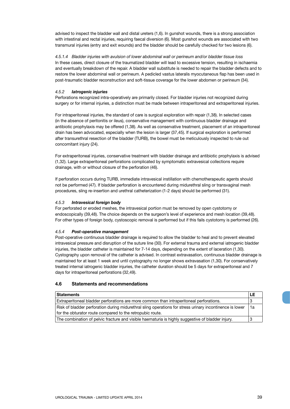advised to inspect the bladder wall and distal ureters (1,6). In gunshot wounds, there is a strong association with intestinal and rectal injuries, requiring faecal diversion (6). Most gunshot wounds are associated with two transmural injuries (entry and exit wounds) and the bladder should be carefully checked for two lesions (6).

*4.5.1.4 Bladder injuries with avulsion of lower abdominal wall or perineum and/or bladder tissue loss* In these cases, direct closure of the traumatized bladder will lead to excessive tension, resulting in ischaemia and eventually breakdown of the repair. A bladder wall substitute is needed to repair the bladder defects and to restore the lower abdominal wall or perineum. A pedicled vastus lateralis myocutaneous flap has been used in post-traumatic bladder reconstruction and soft-tissue coverage for the lower abdomen or perineum (34).

## *4.5.2 Iatrogenic injuries*

Perforations recognized intra-operatively are primarily closed. For bladder injuries not recognized during surgery or for internal injuries, a distinction must be made between intraperitoneal and extraperitoneal injuries.

For intraperitoneal injuries, the standard of care is surgical exploration with repair (1,38). In selected cases (in the absence of peritonitis or ileus), conservative management with continuous bladder drainage and antibiotic prophylaxis may be offered (1,38). As well as conservative treatment, placement of an intraperitoneal drain has been advocated, especially when the lesion is larger (37,45). If surgical exploration is performed after transurethral resection of the bladder (TURB), the bowel must be meticulously inspected to rule out concomitant injury (24).

For extraperitoneal injuries, conservative treatment with bladder drainage and antibiotic prophylaxis is advised (1,32). Large extraperitoneal perforations complicated by symptomatic extravesical collections require drainage, with or without closure of the perforation (46).

If perforation occurs during TURB, immediate intravesical instillation with chemotherapeutic agents should not be performed (47). If bladder perforation is encountered during midurethral sling or transvaginal mesh procedures, sling re-insertion and urethral catheterization (1-2 days) should be performed (31).

#### *4.5.3 Intravesical foreign body*

For perforated or eroded meshes, the intravesical portion must be removed by open cystotomy or endoscopically (39,48). The choice depends on the surgeon's level of experience and mesh location (39,48). For other types of foreign body, cystoscopic removal is performed but if this fails cystotomy is performed (26).

## *4.5.4 Post-operative management*

Post-operative continuous bladder drainage is required to allow the bladder to heal and to prevent elevated intravesical pressure and disruption of the suture line (30). For external trauma and external iatrogenic bladder injuries, the bladder catheter is maintained for 7-14 days, depending on the extent of laceration (1,30). Cystography upon removal of the catheter is advised. In contrast extravasation, continuous bladder drainage is maintained for at least 1 week and until cystography no longer shows extravasation (1,30). For conservatively treated internal iatrogenic bladder injuries, the catheter duration should be 5 days for extraperitoneal and 7 days for intraperitoneal perforations (32,49).

## **4.6 Statements and recommendations**

| <b>Statements</b>                                                                                        |  |
|----------------------------------------------------------------------------------------------------------|--|
| Extraperitoneal bladder perforations are more common than intraperitoneal perforations.                  |  |
| Risk of bladder perforation during midurethral sling operations for stress urinary incontinence is lower |  |
| for the obturator route compared to the retropubic route.                                                |  |
| The combination of pelvic fracture and visible haematuria is highly suggestive of bladder injury.        |  |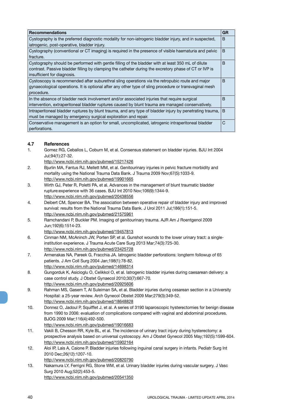| <b>Recommendations</b>                                                                                  | <b>GR</b>    |
|---------------------------------------------------------------------------------------------------------|--------------|
| Cystography is the preferred diagnostic modality for non-iatrogenic bladder injury, and in suspected,   | B            |
| iatrogenic, post-operative, bladder injury.                                                             |              |
| Cystography (conventional or CT imaging) is required in the presence of visible haematuria and pelvic   | B            |
| fracture.                                                                                               |              |
| Cystography should be performed with gentle filling of the bladder with at least 350 mL of dilute       | B            |
| contrast. Passive bladder filling by clamping the catheter during the excretory phase of CT or IVP is   |              |
| insufficient for diagnosis.                                                                             |              |
| Cystoscopy is recommended after suburethral sling operations via the retropubic route and major         | <sub>B</sub> |
| gynaecological operations. It is optional after any other type of sling procedure or transvaginal mesh  |              |
| procedure.                                                                                              |              |
| In the absence of bladder neck involvement and/or associated injuries that require surgical             | B            |
| intervention, extraperitoneal bladder ruptures caused by blunt trauma are managed conservatively.       |              |
| Intraperitoneal bladder ruptures by blunt trauma, and any type of bladder injury by penetrating trauma, | <sub>B</sub> |
| must be managed by emergency surgical exploration and repair.                                           |              |
| Conservative management is an option for small, uncomplicated, iatrogenic intraperitoneal bladder       | С            |
| perforations.                                                                                           |              |

## **4.7 References**

- 1. Gomez RG, Ceballos L, Coburn M, et al. Consensus statement on bladder injuries. BJU Int 2004 Jul;94(1):27-32.
	- http://www.ncbi.nlm.nih.gov/pubmed/15217426
- 2. Bjurlin MA, Fantus RJ, Mellett MM, et al. Genitourinary injuries in pelvic fracture morbidity and mortality using the National Trauma Data Bank. J Trauma 2009 Nov;67(5):1033-9. http://www.ncbi.nlm.nih.gov/pubmed/19901665
- 3. Wirth GJ, Peter R, Poletti PA, et al. Advances in the management of blunt traumatic bladder rupture:experience with 36 cases. BJU Int 2010 Nov;106(9):1344-9. http://www.ncbi.nlm.nih.gov/pubmed/20438556
- 4. Deibert CM, Spencer BA. The association between operative repair of bladder injury and improved survival: results from the National Trauma Data Bank. J Urol 2011 Jul;186(1):151-5. http://www.ncbi.nlm.nih.gov/pubmed/21575961
- 5. Ramchandani P, Buckler PM. Imaging of genitourinary trauma. AJR Am J Roentgenol 2009 Jun;192(6):1514-23.
	- http://www.ncbi.nlm.nih.gov/pubmed/19457813
- 6. Cinman NM, McAninch JW, Porten SP, et al. Gunshot wounds to the lower urinary tract: a singleinstitution experience. J Trauma Acute Care Surg 2013 Mar;74(3):725-30. http://www.ncbi.nlm.nih.gov/pubmed/23425728
- 7. Armenakas NA, Pareek G, Fracchia JA. Iatrogenic bladder perforations: longterm followup of 65 patients. J Am Coll Surg 2004 Jan;198(1):78-82. http://www.ncbi.nlm.nih.gov/pubmed/14698314
- 8. Gungorduk K, Asicioglu O, Celikkol O, et al. Iatrogenic bladder injuries during caesarean delivery: a case control study. J Obstet Gynaecol 2010;30(7):667-70. http://www.ncbi.nlm.nih.gov/pubmed/20925606
- 9. Rahman MS, Gasem T, Al Suleiman SA, et al. Bladder injuries during cesarean section in a University Hospital: a 25-year review. Arch Gynecol Obstet 2009 Mar;279(3):349-52. http://www.ncbi.nlm.nih.gov/pubmed/18648828
- 10. Donnez O, Jadoul P, Squifflet J, et al. A series of 3190 laparoscopic hysterectomies for benign disease from 1990 to 2006: evaluation of complications compared with vaginal and abdominal procedures. BJOG 2009 Mar;116(4):492-500.
	- http://www.ncbi.nlm.nih.gov/pubmed/19016683
- 11. Vakili B, Chesson RR, Kyle BL, et al. The incidence of urinary tract injury during hysterectomy: a prospective analysis based on universal cystoscopy. Am J Obstet Gynecol 2005 May;192(5):1599-604. http://www.ncbi.nlm.nih.gov/pubmed/15902164
- 12. Aloi IP, Lais A, Caione P. Bladder injuries following inguinal canal surgery in infants. Pediatr Surg Int 2010 Dec;26(12):1207-10. http://www.ncbi.nlm.nih.gov/pubmed/20820790
- 13. Nakamura LY, Ferrigni RG, Stone WM, et al. Urinary bladder injuries during vascular surgery. J Vasc Surg 2010 Aug;52(2):453-5. http://www.ncbi.nlm.nih.gov/pubmed/20541350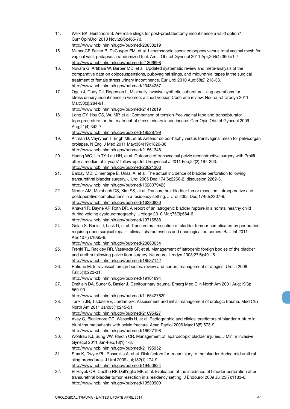- 14. Welk BK, Herschorn S. Are male slings for post-prostatectomy incontinence a valid option? Curr OpinUrol 2010 Nov;20(6):465-70. http://www.ncbi.nlm.nih.gov/pubmed/20838219
- 15. Maher CF, Feiner B, DeCuyper EM, et al. Laparoscopic sacral colpopexy versus total vaginal mesh for vaginal vault prolapse: a randomized trial. Am J Obstet Gynecol 2011 Apr;204(4):360.e1-7. http://www.ncbi.nlm.nih.gov/pubmed/21306698
- 16. Novara G, Artibani W, Barber MD, et al. Updated systematic review and meta-analysis of the comparative data on colposuspensions, pubovaginal slings, and midurethral tapes in the surgical treatment of female stress urinary incontinence. Eur Urol 2010 Aug;58(2):218-38. http://www.ncbi.nlm.nih.gov/pubmed/20434257
- 17. Ogah J, Cody DJ, Rogerson L. Minimally invasive synthetic suburethral sling operations for stress urinary incontinence in women: a short version Cochrane review. Neurourol Urodyn 2011 Mar;30(3):284-91.
	- http://www.ncbi.nlm.nih.gov/pubmed/21412819
- 18. Long CY, Hsu CS, Wu MP, et al. Comparison of tension-free vaginal tape and transobturator tape procedure for the treatment of stress urinary incontinence. Curr Opin Obstet Gynecol 2009 Aug;21(4):342-7.
	- http://www.ncbi.nlm.nih.gov/pubmed/19528799
- 19. Altman D, Väyrynen T, Engh ME, et al. Anterior colporrhaphy versus transvaginal mesh for pelvicorgan prolapse. N Engl J Med 2011 May;364(19):1826-36. http://www.ncbi.nlm.nih.gov/pubmed/21561348
- 20. Huang WC, Lin TY, Lau HH, et al. Outcome of transvaginal pelvic reconstructive surgery with Prolift after a median of 2 years' follow-up. Int Urogynecol J 2011 Feb;22(2):197-203. http://www.ncbi.nlm.nih.gov/pubmed/20821308
- 21. Balbay MD, Cimentepe E, Unsal A, et al. The actual incidence of bladder perforation following transurethral bladder surgery. J Urol 2005 Dec;174(6):2260-2, discussion 2262-3. http://www.ncbi.nlm.nih.gov/pubmed/1628079423
- 22. Nieder AM, Meinbach DS, Kim SS, et al. Transurethral bladder tumor resection: intraoperative and postoperative complications in a residency setting. J Urol 2005 Dec;174(6):2307-9. http://www.ncbi.nlm.nih.gov/pubmed/16280830
- 23. Khavari R, Bayne AP, Roth DR. A report of an iatrogenic bladder rupture in a normal healthy child during voiding cystourethrography. Urology 2010 Mar;75(3):684-6. http://www.ncbi.nlm.nih.gov/pubmed/19716588
- 24. Golan S, Baniel J, Lask D, et al. Transurethral resection of bladder tumour complicated by perforation requiring open surgical repair - clinical characteristics and oncological outcomes. BJU Int 2011 Apr;107(7):1065-8.
	- http://www.ncbi.nlm.nih.gov/pubmed/20860654
- 25. Frenkl TL, Rackley RR, Vasavada SP, et al. Management of iatrogenic foreign bodies of the bladder and urethra following pelvic floor surgery. Neurourol Urodyn 2008;27(6):491-5. http://www.ncbi.nlm.nih.gov/pubmed/18537142
- 26. Rafique M. Intravesical foreign bodies: review and current management strategies. Urol J 2008 Fall;5(4):223-31.
	- http://www.ncbi.nlm.nih.gov/pubmed/19101894
- 27. Dreitlein DA, Suner S, Basler J. Genitourinary trauma. Emerg Med Clin North Am 2001 Aug;19(3): 569-90.
	- http://www.ncbi.nlm.nih.gov/pubmed/1155427629.
- 28. Tonkin JB, Tisdale BE, Jordan GH. Assessment and initial management of urologic trauma. Med Clin North Am 2011 Jan;95(1):245-51.
	- http://www.ncbi.nlm.nih.gov/pubmed/21095427
- 29. Avey G, Blackmore CC, Wessells H, et al. Radiographic and clinical predictors of bladder rupture in blunt trauma patients with pelvic fracture. Acad Radiol 2006 May;13(5):573-9. http://www.ncbi.nlm.nih.gov/pubmed/16627198
- 30. Wohlrab KJ, Sung VW, Rardin CR. Management of laparoscopic bladder injuries. J Minim Invasive Gynecol 2011 Jan-Feb;18(1):4-8.
- http://www.ncbi.nlm.nih.gov/pubmed/21195952 31. Stav K, Dwyer PL, Rosamilia A, et al. Risk factors for trocar injury to the bladder during mid urethral sling procedures. J Urol 2009 Jul;182(1):174-9.
	- http://www.ncbi.nlm.nih.gov/pubmed/19450824
- 32. El Hayek OR, Coelho RF, Dall'oglio MF, et al. Evaluation of the incidence of bladder perforation after transurethral bladder tumor resection in a residency setting. J Endourol 2009 Jul;23(7):1183-6. http://www.ncbi.nlm.nih.gov/pubmed/19530900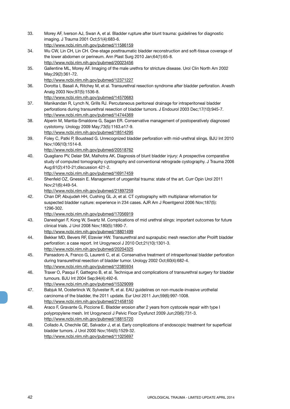33. Morey AF, Iverson AJ, Swan A, et al. Bladder rupture after blunt trauma: guidelines for diagnostic imaging. J Trauma 2001 Oct;51(4):683-6. http://www.ncbi.nlm.nih.gov/pubmed/11586159 34. Wu CW, Lin CH, Lin CH. One-stage posttraumatic bladder reconstruction and soft-tissue coverage of the lower abdomen or perineum. Ann Plast Surg 2010 Jan;64(1):65-8. http://www.ncbi.nlm.nih.gov/pubmed/20023456 35. Gallentine ML, Morey AF. Imaging of the male urethra for stricture disease. Urol Clin North Am 2002 May;29(2):361-72. http://www.ncbi.nlm.nih.gov/pubmed/12371227 36. Dorotta I, Basali A, Ritchey M, et al. Transurethral resection syndrome after bladder perforation. Anesth Analg 2003 Nov;97(5):1536-8. http://www.ncbi.nlm.nih.gov/pubmed/14570683 37. Manikandan R, Lynch N, Grills RJ. Percutaneous peritoneal drainage for intraperitoneal bladder perforations during transurethral resection of bladder tumors. J Endourol 2003 Dec;17(10):945-7. http://www.ncbi.nlm.nih.gov/pubmed/14744369 38. Alperin M, Mantia-Smaldone G, Sagan ER. Conservative management of postoperatively diagnosed cystotomy. Urology 2009 May;73(5):1163.e17-9. http://www.ncbi.nlm.nih.gov/pubmed/18514295 39. Foley C, Patki P, Boustead G. Unrecognized bladder perforation with mid-urethral slings. BJU Int 2010 Nov;106(10):1514-8. http://www.ncbi.nlm.nih.gov/pubmed/20518762 40. Quagliano PV, Delair SM, Malhotra AK. Diagnosis of blunt bladder injury: A prospective comparative study of computed tomography cystography and conventional retrograde cystography. J Trauma 2006 Aug;61(2):410-21;discussion 421-2. http://www.ncbi.nlm.nih.gov/pubmed/16917459 41. Shenfeld OZ, Gnessin E. Management of urogenital trauma: state of the art. Curr Opin Urol 2011 Nov;21(6):449-54. http://www.ncbi.nlm.nih.gov/pubmed/21897259 42. Chan DP, Abujudeh HH, Cushing GL Jr, et al. CT cystography with multiplanar reformation for suspected bladder rupture: experience in 234 cases. AJR Am J Roentgenol 2006 Nov;187(5): 1296-302. http://www.ncbi.nlm.nih.gov/pubmed/17056919 43. Daneshgari F, Kong W, Swartz M. Complications of mid urethral slings: important outcomes for future clinical trials. J Urol 2008 Nov;180(5):1890-7. http://www.ncbi.nlm.nih.gov/pubmed/18801499 44. Bekker MD, Bevers RF, Elzevier HW. Transurethral and suprapubic mesh resection after Prolift bladder perforation: a case report. Int Urogynecol J 2010 Oct;21(10):1301-3. http://www.ncbi.nlm.nih.gov/pubmed/20204325 45. Pansadoro A, Franco G, Laurenti C, et al. Conservative treatment of intraperitoneal bladder perforation during transurethral resection of bladder tumor. Urology 2002 Oct;60(4):682-4. http://www.ncbi.nlm.nih.gov/pubmed/12385934 46. Traxer O, Pasqui F, Gattegno B, et al. Technique and complications of transurethral surgery for bladder tumours. BJU Int 2004 Sep;94(4):492-6. http://www.ncbi.nlm.nih.gov/pubmed/15329099 47. Babjuk M, Oosterlinck W, Sylvester R, et al. EAU guidelines on non-muscle-invasive urothelial carcinoma of the bladder, the 2011 update. Eur Urol 2011 Jun;59(6):997-1008. http://www.ncbi.nlm.nih.gov/pubmed/21458150 48. Araco F, Gravante G, Piccione E. Bladder erosion after 2 years from cystocele repair with type I polypropylene mesh. Int Urogynecol J Pelvic Floor Dysfunct 2009 Jun;20(6):731-3. http://www.ncbi.nlm.nih.gov/pubmed/18815720 49. Collado A, Chechile GE, Salvador J, et al. Early complications of endoscopic treatment for superficial bladder tumors. J Urol 2000 Nov;164(5):1529-32. http://www.ncbi.nlm.nih.gov/pubmed/11025697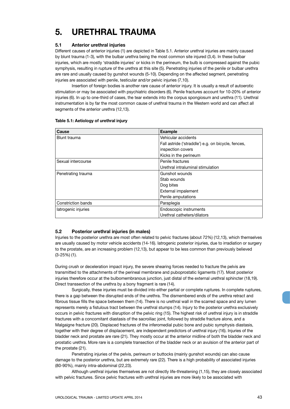## **5. URETHRAL TRAUMA**

## **5.1 Anterior urethral injuries**

Different causes of anterior injuries (1) are depicted in Table 5.1. Anterior urethral injuries are mainly caused by blunt trauma (1-3), with the bulbar urethra being the most common site injured (3,4). In these bulbar injuries, which are mostly 'straddle injuries' or kicks in the perineum, the bulb is compressed against the pubic symphysis, resulting in rupture of the urethra at this site (5). Penetrating injuries of the penile or bulbar urethra are rare and usually caused by gunshot wounds (5-10). Depending on the affected segment, penetrating injuries are associated with penile, testicular and/or pelvic injuries (7,10).

Insertion of foreign bodies is another rare cause of anterior injury. It is usually a result of autoerotic stimulation or may be associated with psychiatric disorders (6). Penile fractures account for 10-20% of anterior injuries (6). In up to one-third of cases, the tear extends into the corpus spongiosum and urethra (11). Urethral instrumentation is by far the most common cause of urethral trauma in the Western world and can affect all segments of the anterior urethra (12,13).

| Cause                     | <b>Example</b>                                     |
|---------------------------|----------------------------------------------------|
| Blunt trauma              | Vehicular accidents                                |
|                           | Fall astride ('straddle') e.g. on bicycle, fences, |
|                           | inspection covers                                  |
|                           | Kicks in the perineum                              |
| Sexual intercourse        | Penile fractures                                   |
|                           | Urethral intraluminal stimulation                  |
| Penetrating trauma        | Gunshot wounds                                     |
|                           | Stab wounds                                        |
|                           | Dog bites                                          |
|                           | External impalement                                |
|                           | Penile amputations                                 |
| <b>Constriction bands</b> | Paraplegia                                         |
| latrogenic injuries       | Endoscopic instruments                             |
|                           | Urethral catheters/dilators                        |

## **Table 5.1: Aetiology of urethral injury**

## **5.2 Posterior urethral injuries (in males)**

Injuries to the posterior urethra are most often related to pelvic fractures (about 72%) (12,13), which themselves are usually caused by motor vehicle accidents (14-16). Iatrogenic posterior injuries, due to irradiation or surgery to the prostate, are an increasing problem (12,13), but appear to be less common than previously believed (3-25%) (1).

During crush or deceleration impact injury, the severe shearing forces needed to fracture the pelvis are transmitted to the attachments of the perineal membrane and puboprostatic ligaments (17). Most posterior injuries therefore occur at the bulbomembranous junction, just distal of the external urethral sphincter (18,19). Direct transsection of the urethra by a bony fragment is rare (14).

Surgically, these injuries must be divided into either partial or complete ruptures. In complete ruptures, there is a gap between the disrupted ends of the urethra. The dismembered ends of the urethra retract and fibrous tissue fills the space between them (14). There is no urethral wall in the scarred space and any lumen represents merely a fistulous tract between the urethral stumps (14). Injury to the posterior urethra exclusively occurs in pelvic fractures with disruption of the pelvic ring (15). The highest risk of urethral injury is in straddle fractures with a concomitant diastasis of the sacroiliac joint, followed by straddle fracture alone, and a Malgaigne fracture (20). Displaced fractures of the inferomedial pubic bone and pubic symphysis diastasis, together with their degree of displacement, are independent predictors of urethral injury (16). Injuries of the bladder neck and prostate are rare (21). They mostly occur at the anterior midline of both the bladder neck and prostatic urethra. More rare is a complete transection of the bladder neck or an avulsion of the anterior part of the prostate (21).

Penetrating injuries of the pelvis, perineum or buttocks (mainly gunshot wounds) can also cause damage to the posterior urethra, but are extremely rare (22). There is a high probability of associated injuries (80-90%), mainly intra-abdominal (22,23).

Although urethral injuries themselves are not directly life-threatening (1,15), they are closely associated with pelvic fractures. Since pelvic fractures with urethral injuries are more likely to be associated with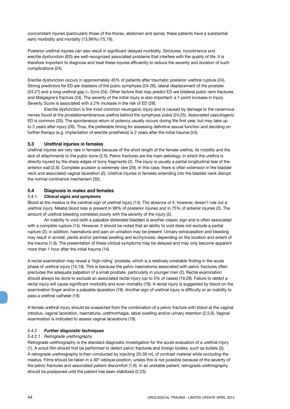concomitant injuries (particularly those of the thorax, abdomen and spine), these patients have a substantial early morbidity and mortality (13.99%) (15,16).

Posterior urethral injuries can also result in significant delayed morbidity. Strictures, incontinence and erectile dysfunction (ED) are well-recognized associated problems that interfere with the quality of life. It is therefore important to diagnose and treat these injuries efficiently to reduce the severity and duration of such complications (24).

Erectile dysfunction occurs in approximately 45% of patients after traumatic posterior urethral rupture (24). Strong predictors for ED are diastasis of the pubic symphysis (24-26), lateral displacement of the prostate (24,27) and a long urethral gap (> 2cm) (24). Other factors that may predict ED are bilateral pubic rami fractures and Malgaigne's fracture (24). The severity of the initial injury is also important: a 1-point increase in Injury Severity Score is associated with a 2% increase in the risk of ED (28).

Erectile dysfunction is the most common neurogenic injury and is caused by damage to the cavernous nerves found at the prostatomembranous urethra behind the symphysis pubis (24,25). Associated vasculogenic ED is common (25). The spontaneous return of potency usually occurs during the first year, but may take up to 2 years after injury (26). Thus, the preferable timing for assessing definitive sexual function and deciding on further therapy (e.g. implantation of erectile prosthesis) is 2 years after the initial trauma (24).

## **5.3 Urethral injuries in females**

Urethral injuries are very rare in females because of the short length of the female urethra, its mobility and the lack of attachments to the pubic bone (2,5). Pelvic fractures are the main aetiology, in which the urethra is directly injured by the sharp edges of bony fragments (2). The injury is usually a partial longitudinal tear of the anterior wall (2,6). Complete avulsion is extremely rare (29). In this case, there is often extension in the bladder neck and associated vaginal laceration (2). Urethral injuries in females extending into the bladder neck disrupt the normal continence mechanism (30).

## **5.4 Diagnosis in males and females**

## *5.4.1. Clinical signs and symptoms*

Blood at the meatus is the cardinal sign of urethral injury (14). The absence of it, however, doesn't rule out a urethral injury. Meatal blood loss is present in 98% of posterior injuries and in 75% of anterior injuries (2). The amount of urethral bleeding correlates poorly with the severity of the injury (2).

An inability to void (with a palpable distended bladder) is another classic sign and is often associated with a complete rupture (14). However, it should be noted that an ability to void does not exclude a partial rupture (2); in addition, haematuria and pain on urination may be present. Urinary extravasation and bleeding may result in scrotal, penile and/or perineal swelling and ecchymosis, depending on the location and extent of the trauma (1,6). The presentation of these clinical symptoms may be delayed and may only become apparent more than 1 hour after the initial trauma (14).

A rectal examination may reveal a 'high-riding' prostate, which is a relatively unreliable finding in the acute phase of urethral injury (14,19). This is because the pelvic haematoma associated with pelvic fractures often precludes the adequate palpation of a small prostate, particularly in younger men (2). Rectal examination should always be done to exclude an associated rectal injury (up to 5% of cases) (19,29). Failure to detect a rectal injury will cause significant morbidity and even mortality (19). A rectal injury is suggested by blood on the examination finger and/or a palpable laceration (19). Another sign of urethral injury is difficulty or an inability to pass a urethral catheter (19).

A female urethral injury should be suspected from the combination of a pelvic fracture with blood at the vaginal introitus, vaginal laceration, haematuria, urethrorrhagia, labial swelling and/or urinary retention (2,5,6). Vaginal examination is indicated to assess vaginal lacerations (19).

## *5.4.2 Further diagnostic techniques*

## *5.4.2.1 Retrograde urethrography*

Retrograde urethrography is the standard diagnostic investigation for the acute evaluation of a urethral injury (1). A scout film should first be performed to detect pelvic fractures and foreign bodies, such as bullets (5). A retrograde urethrography is then conducted by injecting 20-30 mL of contrast material while occluding the meatus. Films should be taken in a 30°-oblique position, unless this is not possible because of the severity of the pelvic fractures and associated patient discomfort (1,6). In an unstable patient, retrograde urethrography should be postponed until the patient has been stabilized (2,23).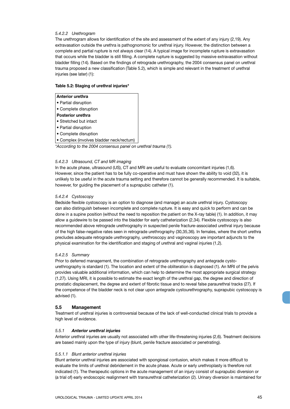## *5.4.2.2 Urethrogram*

The urethrogram allows for identification of the site and assessment of the extent of any injury (2,19). Any extravasation outside the urethra is pathognomonic for urethral injury. However, the distinction between a complete and partial rupture is not always clear (14). A typical image for incomplete rupture is extravasation that occurs while the bladder is still filling. A complete rupture is suggested by massive extravasation without bladder filling (14). Based on the findings of retrograde urethrography, the 2004 consensus panel on urethral trauma proposed a new classification (Table 5.2), which is simple and relevant in the treatment of urethral injuries (see later) (1):

## **Table 5.2: Staging of urethral injuries\***

| Anterior urethra                                               |  |
|----------------------------------------------------------------|--|
| • Partial disruption                                           |  |
| • Complete disruption                                          |  |
| <b>Posterior urethra</b>                                       |  |
| • Stretched but intact                                         |  |
| • Partial disruption                                           |  |
| • Complete disruption                                          |  |
| • Complex (involves bladder neck/rectum)                       |  |
| *According to the 2004 consensus panel on urethral trauma (1). |  |
|                                                                |  |

## *5.4.2.3 Ultrasound, CT and MR imaging*

In the acute phase, ultrasound (US), CT and MRI are useful to evaluate concomitant injuries (1,6). However, since the patient has to be fully co-operative and must have shown the ability to void (32), it is unlikely to be useful in the acute trauma setting and therefore cannot be generally recommended. It is suitable, however, for guiding the placement of a suprapubic catheter (1).

## *5.4.2.4 Cystoscopy*

Bedside flexible cystoscopy is an option to diagnose (and manage) an acute urethral injury. Cystoscopy can also distinguish between incomplete and complete rupture. It is easy and quick to perform and can be done in a supine position (without the need to reposition the patient on the X-ray table) (1). In addition, it may allow a guidewire to be passed into the bladder for early catheterization (2,34). Flexible cystoscopy is also recommended above retrograde urethrography in suspected penile fracture-associated urethral injury because of the high false-negative rates seen in retrograde urethrography (30,35,36). In females, where the short urethra precludes adequate retrograde urethrography, urethroscopy and vaginoscopy are important adjuncts to the physical examination for the identification and staging of urethral and vaginal injuries (1,2).

#### *5.4.2.5 Summary*

Prior to deferred management, the combination of retrograde urethrography and antegrade cystourethrography is standard (1). The location and extent of the obliteration is diagnosed (1). An MRI of the pelvis provides valuable additional information, which can help to determine the most appropriate surgical strategy (1,27). Using MRI, it is possible to estimate the exact length of the urethral gap, the degree and direction of prostatic displacement, the degree and extent of fibrotic tissue and to reveal false paraurethral tracks (27). If the competence of the bladder neck is not clear upon antegrade cystourethrography, suprapubic cystoscopy is advised (1).

## **5.5 Management**

Treatment of urethral injuries is controversial because of the lack of well-conducted clinical trials to provide a high level of evidence.

#### *5.5.1 Anterior urethral injuries*

Anterior urethral injuries are usually not associated with other life-threatening injuries (2,6). Treatment decisions are based mainly upon the type of injury (blunt, penile fracture associated or penetrating).

#### *5.5.1.1 Blunt anterior urethral injuries*

Blunt anterior urethral injuries are associated with spongiosal contusion, which makes it more difficult to evaluate the limits of urethral debridement in the acute phase. Acute or early urethroplasty is therefore not indicated (1). The therapeutic options in the acute management of an injury consist of suprapubic diversion or (a trial of) early endoscopic realignment with transurethral catheterization (2). Urinary diversion is maintained for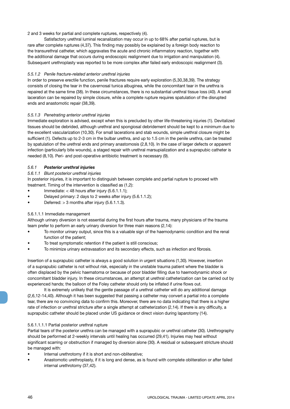## 2 and 3 weeks for partial and complete ruptures, respectively (4).

Satisfactory urethral luminal recanalization may occur in up to 68% after partial ruptures, but is rare after complete ruptures (4,37). This finding may possibly be explained by a foreign body reaction to the transurethral catheter, which aggravates the acute and chronic inflammatory reaction, together with the additional damage that occurs during endoscopic realignment due to irrigation and manipulation (4). Subsequent urethroplasty was reported to be more complex after failed early endoscopic realignment (3).

## *5.5.1.2 Penile fracture-related anterior urethral injuries*

In order to preserve erectile function, penile fractures require early exploration (5,30,38,39). The strategy consists of closing the tear in the cavernosal tunica albuginea, while the concomitant tear in the urethra is repaired at the same time (38). In these circumstances, there is no substantial urethral tissue loss (40). A small laceration can be repaired by simple closure, while a complete rupture requires spatulation of the disrupted ends and anastomotic repair (38,39).

## *5.5.1.3 Penetrating anterior urethral injuries*

Immediate exploration is advised, except when this is precluded by other life-threatening injuries (1). Devitalized tissues should be debrided, although urethral and spongiosal debridement should be kept to a minimum due to the excellent vascularization (10,30). For small lacerations and stab wounds, simple urethral closure might be sufficient (1). Defects up to 2-3 cm in the bulbar urethra, and up to 1.5 cm in the penile urethra, can be treated by spatulation of the urethral ends and primary anastomosis (2,8,10). In the case of larger defects or apparent infection (particularly bite wounds), a staged repair with urethral marsupialization and a suprapubic catheter is needed (8,10). Peri- and post-operative antibiotic treatment is necessary (9).

## *5.6.1 Posterior urethral injuries*

## *5.6.1.1 Blunt posterior urethral injuries*

In posterior injuries, it is important to distinguish between complete and partial rupture to proceed with treatment. Timing of the intervention is classified as (1,2):

- Immediate:  $<$  48 hours after injury (5.6.1.1.1);
- Delayed primary: 2 days to 2 weeks after injury (5.6.1.1.2);
- Deferred:  $> 3$  months after injury (5.6.1.1.3).

## 5.6.1.1.1 Immediate management

Although urinary diversion is not essential during the first hours after trauma, many physicians of the trauma team prefer to perform an early urinary diversion for three main reasons (2,14):

- To monitor urinary output, since this is a valuable sign of the haemodynamic condition and the renal function of the patient;
- To treat symptomatic retention if the patient is still conscious;
- To minimize urinary extravasation and its secondary effects, such as infection and fibrosis.

Insertion of a suprapubic catheter is always a good solution in urgent situations (1,30). However, insertion of a suprapubic catheter is not without risk, especially in the unstable trauma patient where the bladder is often displaced by the pelvic haematoma or because of poor bladder filling due to haemodynamic shock or concomitant bladder injury. In these circumstances, an attempt at urethral catheterization can be carried out by experienced hands; the balloon of the Foley catheter should only be inflated if urine flows out.

It is extremely unlikely that the gentle passage of a urethral catheter will do any additional damage (2,6,12-14,40). Although it has been suggested that passing a catheter may convert a partial into a complete tear, there are no convincing data to confirm this. Moreover, there are no data indicating that there is a higher rate of infection or urethral stricture after a single attempt at catheterization (2,14). If there is any difficulty, a suprapubic catheter should be placed under US guidance or direct vision during laparotomy (14).

## 5.6.1.1.1.1 Partial posterior urethral rupture

Partial tears of the posterior urethra can be managed with a suprapubic or urethral catheter (30). Urethrography should be performed at 2-weekly intervals until healing has occurred (29,41). Injuries may heal without significant scarring or obstruction if managed by diversion alone (30). A residual or subsequent stricture should be managed with:

- Internal urethrotomy if it is short and non-obliterative;
- Anastomotic urethroplasty, if it is long and dense, as is found with complete obliteration or after failed internal urethrotomy (37,42).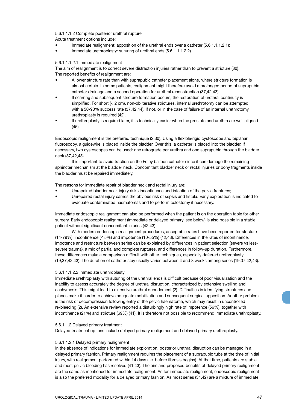#### 5.6.1.1.1.2 Complete posterior urethral rupture

Acute treatment options include:

- Immediate realignment: apposition of the urethral ends over a catheter (5.6.1.1.1.2.1);
- Immediate urethroplasty: suturing of urethral ends (5.6.1.1.1.2.2)

#### 5.6.1.1.1.2.1 Immediate realignment

The aim of realignment is to correct severe distraction injuries rather than to prevent a stricture (30). The reported benefits of realignment are:

- A lower stricture rate than with suprapubic catheter placement alone, where stricture formation is almost certain. In some patients, realignment might therefore avoid a prolonged period of suprapubic catheter drainage and a second operation for urethral reconstruction (37,42,43).
- If scarring and subsequent stricture formation occurs, the restoration of urethral continuity is simplified. For short (< 2 cm), non-obliterative strictures, internal urethrotomy can be attempted, with a 50-90% success rate (37,42,44). If not, or in the case of failure of an internal urethrotomy, urethroplasty is required (42).
- If urethroplasty is required later, it is technically easier when the prostate and urethra are well aligned (45).

Endoscopic realignment is the preferred technique (2,30). Using a flexible/rigid cystoscope and biplanar fluoroscopy, a guidewire is placed inside the bladder. Over this, a catheter is placed into the bladder. If necessary, two cystoscopes can be used: one retrograde per urethra and one suprapubic through the bladder neck (37,42,43).

It is important to avoid traction on the Foley balloon catheter since it can damage the remaining sphincter mechanism at the bladder neck. Concomitant bladder neck or rectal injuries or bony fragments inside the bladder must be repaired immediately.

The reasons for immediate repair of bladder neck and rectal injury are:

- Unrepaired bladder neck injury risks incontinence and infection of the pelvic fractures;
- Unrepaired rectal injury carries the obvious risk of sepsis and fistula. Early exploration is indicated to evacuate contaminated haematomas and to perform colostomy if necessary.

Immediate endoscopic realignment can also be performed when the patient is on the operation table for other surgery. Early endoscopic realignment (immediate or delayed primary, see below) is also possible in a stable patient without significant concomitant injuries (42,43).

With modern endoscopic realignment procedures, acceptable rates have been reported for stricture (14-79%), incontinence  $( \leq 5\%)$  and impotence (10-55%) (42,43). Differences in the rates of incontinence, impotence and restricture between series can be explained by differences in patient selection (severe vs lesssevere trauma), a mix of partial and complete ruptures, and differences in follow-up duration. Furthermore, these differences make a comparison difficult with other techniques, especially deferred urethroplasty (19,37,42,43). The duration of catheter stay usually varies between 4 and 8 weeks among series (19,37,42,43).

#### 5.6.1.1.1.2.2 Immediate urethroplasty

Immediate urethroplasty with suturing of the urethral ends is difficult because of poor visualization and the inability to assess accurately the degree of urethral disruption, characterized by extensive swelling and ecchymosis. This might lead to extensive urethral debridement (2). Difficulties in identifying structures and planes make it harder to achieve adequate mobilization and subsequent surgical apposition. Another problem is the risk of decompression following entry of the pelvic haematoma, which may result in uncontrolled re-bleeding (2). An extensive review reported a disturbingly high rate of impotence (56%), together with incontinence (21%) and stricture (69%) (41). It is therefore not possible to recommend immediate urethroplasty.

#### 5.6.1.1.2 Delayed primary treatment

Delayed treatment options include delayed primary realignment and delayed primary urethroplasty.

## 5.6.1.1.2.1 Delayed primary realignment

In the absence of indications for immediate exploration, posterior urethral disruption can be managed in a delayed primary fashion. Primary realignment requires the placement of a suprapubic tube at the time of initial injury, with realignment performed within 14 days (i.e. before fibrosis begins). At that time, patients are stable and most pelvic bleeding has resolved (41,43). The aim and proposed benefits of delayed primary realignment are the same as mentioned for immediate realignment. As for immediate realignment, endoscopic realignment is also the preferred modality for a delayed primary fashion. As most series (34,42) are a mixture of immediate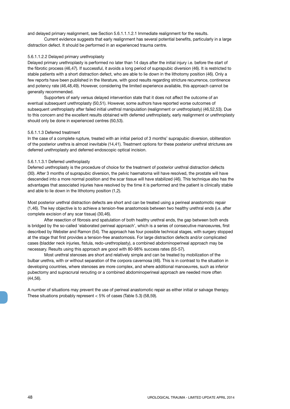and delayed primary realignment, see Section 5.6.1.1.1.2.1 Immediate realignment for the results.

Current evidence suggests that early realignment has several potential benefits, particularly in a large distraction defect. It should be performed in an experienced trauma centre.

#### 5.6.1.1.2.2 Delayed primary urethroplasty

Delayed primary urethroplasty is performed no later than 14 days after the initial injury i.e. before the start of the fibrotic process (46,47). If successful, it avoids a long period of suprapubic diversion (46). It is restricted to stable patients with a short distraction defect, who are able to lie down in the lithotomy position (46). Only a few reports have been published in the literature, with good results regarding stricture recurrence, continence and potency rate (46,48,49). However, considering the limited experience available, this approach cannot be generally recommended.

Supporters of early versus delayed intervention state that it does not affect the outcome of an eventual subsequent urethroplasty (50,51). However, some authors have reported worse outcomes of subsequent urethroplasty after failed initial urethral manipulation (realignment or urethroplasty) (46,52,53). Due to this concern and the excellent results obtained with deferred urethroplasty, early realignment or urethroplasty should only be done in experienced centres (50,53).

#### 5.6.1.1.3 Deferred treatment

In the case of a complete rupture, treated with an initial period of 3 months' suprapubic diversion, obliteration of the posterior urethra is almost inevitable (14,41). Treatment options for these posterior urethral strictures are deferred urethroplasty and deferred endoscopic optical incision.

#### 5.6.1.1.3.1 Deferred urethroplasty

Deferred urethroplasty is the procedure of choice for the treatment of posterior urethral distraction defects (30). After 3 months of suprapubic diversion, the pelvic haematoma will have resolved, the prostate will have descended into a more normal position and the scar tissue will have stabilized (46). This technique also has the advantages that associated injuries have resolved by the time it is performed and the patient is clinically stable and able to lie down in the lithotomy position (1,2).

Most posterior urethral distraction defects are short and can be treated using a perineal anastomotic repair (1,46). The key objective is to achieve a tension-free anastomosis between two healthy urethral ends (i.e. after complete excision of any scar tissue) (30,46).

After resection of fibrosis and spatulation of both healthy urethral ends, the gap between both ends is bridged by the so-called 'elaborated perineal approach', which is a series of consecutive manoeuvres, first described by Webster and Ramon (54). The approach has four possible technical stages, with surgery stopped at the stage that first provides a tension-free anastomosis. For large distraction defects and/or complicated cases (bladder neck injuries, fistula, redo-urethroplasty), a combined abdominoperineal approach may be necessary. Results using this approach are good with 80-98% success rates (55-57).

Most urethral stenoses are short and relatively simple and can be treated by mobilization of the bulbar urethra, with or without separation of the corpora cavernosa (46). This is in contrast to the situation in developing countries, where stenoses are more complex, and where additional manoeuvres, such as inferior pubectomy and supracrural rerouting or a combined abdominoperineal approach are needed more often (44,56).

A number of situations may prevent the use of perineal anastomotic repair as either initial or salvage therapy. These situations probably represent < 5% of cases (Table 5.3) (58,59).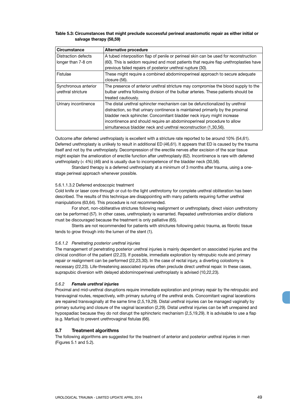## **Table 5.3: Circumstances that might preclude successful perineal anastomotic repair as either initial or salvage therapy (58,59)**

| <b>Circumstance</b>  | <b>Alternative procedure</b>                                                           |
|----------------------|----------------------------------------------------------------------------------------|
| Distraction defects  | A tubed interposition flap of penile or perineal skin can be used for reconstruction   |
| longer than 7-8 cm   | (60). This is seldom required and most patients that require flap urethroplasties have |
|                      | previous failed repairs of posterior urethral rupture (30).                            |
| Fistulae             | These might require a combined abdominoperineal approach to secure adequate            |
|                      | closure (56).                                                                          |
| Synchronous anterior | The presence of anterior urethral stricture may compromise the blood supply to the     |
| urethral stricture   | bulbar urethra following division of the bulbar arteries. These patients should be     |
|                      | treated cautiously.                                                                    |
| Urinary incontinence | The distal urethral sphincter mechanism can be defunctionalized by urethral            |
|                      | distraction, so that urinary continence is maintained primarily by the proximal        |
|                      | bladder neck sphincter. Concomitant bladder neck injury might increase                 |
|                      | incontinence and should require an abdominoperineal procedure to allow                 |
|                      | simultaneous bladder neck and urethral reconstruction (1,30,56).                       |

Outcome after deferred urethroplasty is excellent with a stricture rate reported to be around 10% (54,61). Deferred urethroplasty is unlikely to result in additional ED (46,61). It appears that ED is caused by the trauma itself and not by the urethroplasty. Decompression of the erectile nerves after excision of the scar tissue might explain the amelioration of erectile function after urethroplasty (62). Incontinence is rare with deferred urethroplasty (< 4%) (46) and is usually due to incompetence of the bladder neck (30,56).

Standard therapy is a deferred urethroplasty at a minimum of 3 months after trauma, using a onestage perineal approach whenever possible.

#### 5.6.1.1.3.2 Deferred endoscopic treatment

Cold knife or laser core-through or cut-to-the light urethrotomy for complete urethral obliteration has been described. The results of this technique are disappointing with many patients requiring further urethral manipulations (63,64). This procedure is not recommended.

For short, non-obliterative strictures following realignment or urethroplasty, direct vision urethrotomy can be performed (57). In other cases, urethroplasty is warranted. Repeated urethrotomies and/or dilations must be discouraged because the treatment is only palliative (65).

Stents are not recommended for patients with strictures following pelvic trauma, as fibrotic tissue tends to grow through into the lumen of the stent (1).

## *5.6.1.2 Penetrating posterior urethral injuries*

The management of penetrating posterior urethral injuries is mainly dependent on associated injuries and the clinical condition of the patient (22,23). If possible, immediate exploration by retropubic route and primary repair or realignment can be performed (22,23,30). In the case of rectal injury, a diverting colostomy is necessary (22,23). Life-threatening associated injuries often preclude direct urethral repair. In these cases, suprapubic diversion with delayed abdominoperineal urethroplasty is advised (10,22,23).

## *5.6.2 Female urethral injuries*

Proximal and mid-urethral disruptions require immediate exploration and primary repair by the retropubic and transvaginal routes, respectively, with primary suturing of the urethral ends. Concomitant vaginal lacerations are repaired transvaginally at the same time (2,5,19,29). Distal urethral injuries can be managed vaginally by primary suturing and closure of the vaginal laceration (2,29). Distal urethral injuries can be left unrepaired and hypospadiac because they do not disrupt the sphincteric mechanism (2,5,19,29). It is advisable to use a flap (e.g. Martius) to prevent urethrovaginal fistulas (66).

## **5.7 Treatment algorithms**

The following algorithms are suggested for the treatment of anterior and posterior urethral injuries in men (Figures 5.1 and 5.2).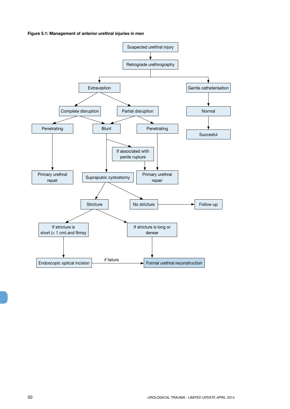**Figure 5.1: Management of anterior urethral injuries in men**

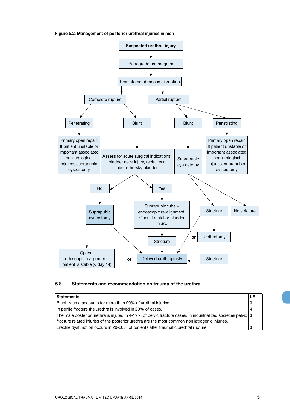



## **5.8 Statements and recommendation on trauma of the urethra**

| <b>Statements</b>                                                                                               |  |
|-----------------------------------------------------------------------------------------------------------------|--|
| Blunt trauma accounts for more than 90% of urethral injuries.                                                   |  |
| In penile fracture the urethra is involved in 20% of cases.                                                     |  |
| The male posterior urethra is injured in 4-19% of pelvic fracture cases. In industrialized societies pelvic   3 |  |
| fracture related injuries of the posterior urethra are the most common non iatrogenic injuries.                 |  |
| Erectile dysfunction occurs in 20-60% of patients after traumatic urethral rupture.                             |  |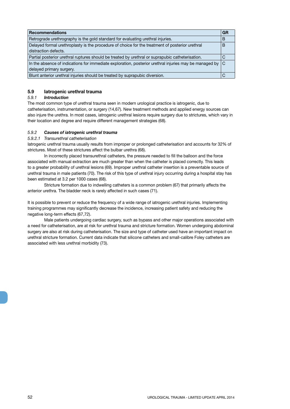| <b>Recommendations</b>                                                                                       | GR |
|--------------------------------------------------------------------------------------------------------------|----|
| Retrograde urethrography is the gold standard for evaluating urethral injuries.                              | B  |
| Delayed formal urethroplasty is the procedure of choice for the treatment of posterior urethral              | B  |
| distraction defects.                                                                                         |    |
| Partial posterior urethral ruptures should be treated by urethral or suprapubic catheterisation.             | ◡  |
| In the absence of indications for immediate exploration, posterior urethral injuries may be managed by $ C $ |    |
| delayed primary surgery.                                                                                     |    |
| Blunt anterior urethral injuries should be treated by suprapubic diversion.                                  |    |

## **5.9 Iatrogenic urethral trauma**

## *5.9.1 Introduction*

The most common type of urethral trauma seen in modern urological practice is iatrogenic, due to catheterisation, instrumentation, or surgery (14,67). New treatment methods and applied energy sources can also injure the urethra. In most cases, iatrogenic urethral lesions require surgery due to strictures, which vary in their location and degree and require different management strategies (68).

## *5.9.2 Causes of iatrogenic urethral trauma*

## *5.9.2.1 Transurethral catheterisation*

Iatrogenic urethral trauma usually results from improper or prolonged catheterisation and accounts for 32% of strictures. Most of these strictures affect the bulbar urethra (68).

In incorrectly placed transurethral catheters, the pressure needed to fill the balloon and the force associated with manual extraction are much greater than when the catheter is placed correctly. This leads to a greater probability of urethral lesions (69). Improper urethral catheter insertion is a preventable source of urethral trauma in male patients (70). The risk of this type of urethral injury occurring during a hospital stay has been estimated at 3.2 per 1000 cases (68).

Stricture formation due to indwelling catheters is a common problem (67) that primarily affects the anterior urethra. The bladder neck is rarely affected in such cases (71).

It is possible to prevent or reduce the frequency of a wide range of iatrogenic urethral injuries. Implementing training programmes may significantly decrease the incidence, increasing patient safety and reducing the negative long-term effects (67,72).

Male patients undergoing cardiac surgery, such as bypass and other major operations associated with a need for catheterisation, are at risk for urethral trauma and stricture formation. Women undergoing abdominal surgery are also at risk during catheterisation. The size and type of catheter used have an important impact on urethral stricture formation. Current data indicate that silicone catheters and small-calibre Foley catheters are associated with less urethral morbidity (73).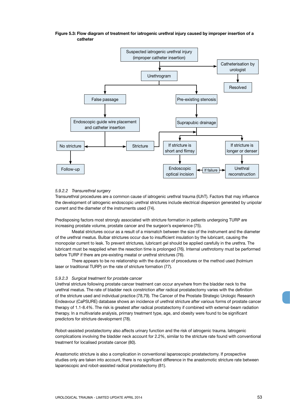

## **Figure 5.3: Flow diagram of treatment for iatrogenic urethral injury caused by improper insertion of a catheter**

#### *5.9.2.2 Transurethral surgery*

Transurethral procedures are a common cause of iatrogenic urethral trauma (IUhT). Factors that may influence the development of iatrogenic endoscopic urethral strictures include electrical dispersion generated by unipolar current and the diameter of the instruments used (74).

Predisposing factors most strongly associated with stricture formation in patients undergoing TURP are increasing prostate volume, prostate cancer and the surgeon's experience (75).

Meatal strictures occur as a result of a mismatch between the size of the instrument and the diameter of the urethral meatus. Bulbar strictures occur due to insufficient insulation by the lubricant, causing the monopolar current to leak. To prevent strictures, lubricant gel should be applied carefully in the urethra. The lubricant must be reapplied when the resection time is prolonged (76). Internal urethrotomy must be performed before TURP if there are pre-existing meatal or urethral strictures (76).

There appears to be no relationship with the duration of procedures or the method used (holmium laser or traditional TURP) on the rate of stricture formation (77).

#### *5.9.2.3 Surgical treatment for prostate cancer*

Urethral stricture following prostate cancer treatment can occur anywhere from the bladder neck to the urethral meatus. The rate of bladder neck constriction after radical prostatectomy varies with the definition of the stricture used and individual practice (78,79). The Cancer of the Prostate Strategic Urologic Research Endeavour (CaPSURE) database shows an incidence of urethral stricture after various forms of prostate cancer therapy of 1.1-8.4%. The risk is greatest after radical prostatectomy if combined with external-beam radiation therapy. In a multivariate analysis, primary treatment type, age, and obesity were found to be significant predictors for stricture development (78).

Robot-assisted prostatectomy also affects urinary function and the risk of iatrogenic trauma. Iatrogenic complications involving the bladder neck account for 2.2%, similar to the stricture rate found with conventional treatment for localised prostate cancer (80).

Anastomotic stricture is also a complication in conventional laparoscopic prostatectomy. If prospective studies only are taken into account, there is no significant difference in the anastomotic stricture rate between laparoscopic and robot-assisted radical prostatectomy (81).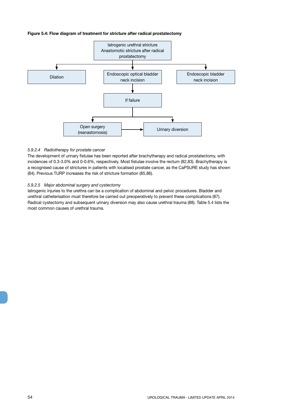## **Figure 5.4: Flow diagram of treatment for stricture after radical prostatectomy**



#### *5.9.2.4 Radiotherapy for prostate cancer*

The development of urinary fistulae has been reported after brachytherapy and radical prostatectomy, with incidences of 0.3-3.0% and 0-0.6%, respectively. Most fistulae involve the rectum (82,83). Brachytherapy is a recognised cause of strictures in patients with localised prostate cancer, as the CaPSURE study has shown (84). Previous TURP increases the risk of stricture formation (85,86).

#### *5.9.2.5 Major abdominal surgery and cystectomy*

Iatrogenic injuries to the urethra can be a complication of abdominal and pelvic procedures. Bladder and urethral catheterisation must therefore be carried out preoperatively to prevent these complications (87). Radical cystectomy and subsequent urinary diversion may also cause urethral trauma (88). Table 5.4 lists the most common causes of urethral trauma.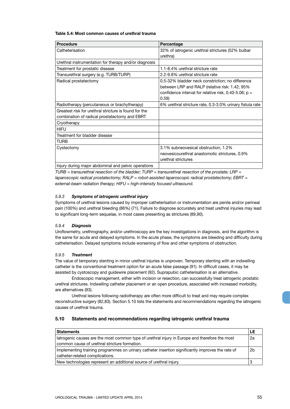## **Table 5.4: Most common causes of urethral trauma**

| <b>Procedure</b>                                      | Percentage                                                |
|-------------------------------------------------------|-----------------------------------------------------------|
| Catheterisation                                       | 32% of iatrogenic urethral strictures (52% bulbar         |
|                                                       | urethra)                                                  |
| Urethral instrumentation for therapy and/or diagnosis |                                                           |
| Treatment for prostatic disease                       | 1.1-8.4% urethral stricture rate                          |
| Transurethral surgery (e.g. TURB/TURP)                | 2.2-9.8% urethral stricture rate                          |
| Radical prostatectomy                                 | 0.5-32% bladder neck constriction; no difference          |
|                                                       | between LRP and RALP (relative risk: 1.42; 95%            |
|                                                       | confidence interval for relative risk, 0.40-5.06; $p =$   |
|                                                       | 0.59)                                                     |
| Radiotherapy (percutaneous or brachytherapy)          | 6% urethral stricture rate, 0.3-3.0% urinary fistula rate |
| Greatest risk for urethral stricture is found for the |                                                           |
| combination of radical prostatectomy and EBRT         |                                                           |
| Cryotherapy                                           |                                                           |
| <b>HIFU</b>                                           |                                                           |
| Treatment for bladder disease                         |                                                           |
| <b>TURB</b>                                           |                                                           |
| Cystectomy                                            | 3.1% subneovesical obstruction, 1.2%                      |
|                                                       | neovesicourethral anastomotic strictures, 0.9%            |
|                                                       | urethral strictures                                       |
| Injury during major abdominal and pelvic operations   |                                                           |

*TURB = transurethral resection of the bladder; TURP = transurethral resection of the prostate; LRP = laparoscopic radical prostatectomy; RALP = robot-assisted laparoscopic radical prostatectomy; EBRT = external-beam radiation therapy; HIFU = high-intensity focused ultrasound.*

## *5.9.3 Symptoms of iatrogenic urethral injury*

Symptoms of urethral lesions caused by improper catheterisation or instrumentation are penile and/or perineal pain (100%) and urethral bleeding (86%) (71). Failure to diagnose accurately and treat urethral injuries may lead to significant long-term sequelae, in most cases presenting as strictures (89,90).

## *5.9.4 Diagnosis*

Uroflowmetry, urethrography, and/or urethroscopy are the key investigations in diagnosis, and the algorithm is the same for acute and delayed symptoms. In the acute phase, the symptoms are bleeding and difficulty during catheterisation. Delayed symptoms include worsening of flow and other symptoms of obstruction.

## *5.9.5 Treatment*

The value of temporary stenting in minor urethral injuries is unproven. Temporary stenting with an indwelling catheter is the conventional treatment option for an acute false passage (91). In difficult cases, it may be assisted by cystoscopy and guidewire placement (92). Suprapubic catheterisation is an alternative.

Endoscopic management, either with incision or resection, can successfully treat iatrogenic prostatic urethral strictures. Indwelling catheter placement or an open procedure, associated with increased morbidity, are alternatives (93).

Urethral lesions following radiotherapy are often more difficult to treat and may require complex reconstructive surgery (82,83). Section 5.10 lists the statements and recommendations regarding the iatrogenic causes of urethral trauma.

## **5.10 Statements and recommendations regarding iatrogenic urethral trauma**

| <b>Statements</b>                                                                                 |  |
|---------------------------------------------------------------------------------------------------|--|
| latrogenic causes are the most common type of urethral injury in Europe and therefore the most    |  |
| common cause of urethral stricture formation.                                                     |  |
| Implementing training programmes on urinary catheter insertion significantly improves the rate of |  |
| catheter-related complications.                                                                   |  |
| New technologies represent an additional source of urethral injury.                               |  |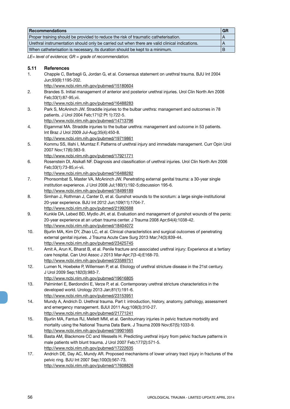| <b>Recommendations</b>                                                                         | <b>GR</b> |
|------------------------------------------------------------------------------------------------|-----------|
| Proper training should be provided to reduce the risk of traumatic catheterisation.            |           |
| Urethral instrumentation should only be carried out when there are valid clinical indications. |           |
| When catheterisation is necessary, its duration should be kept to a minimum.                   |           |

*LE= level of evidence; GR = grade of recommendation.*

## **5.11 References**

- 1. Chapple C, Barbagli G, Jordan G, et al. Consensus statement on urethral trauma. BJU Int 2004 Jun;93(9):1195-202. http://www.ncbi.nlm.nih.gov/pubmed/15180604 2. Brandes S. Initial management of anterior and posterior urethral injuries. Urol Clin North Am 2006 Feb;33(1):87-95,vii. http://www.ncbi.nlm.nih.gov/pubmed/16488283 3. Park S, McAninch JW. Straddle injuries to the bulbar urethra: management and outcomes in 78 patients. J Urol 2004 Feb;171(2 Pt 1):722-5. http://www.ncbi.nlm.nih.gov/pubmed/14713796 4. Elgammal MA. Straddle injuries to the bulbar urethra: management and outcome in 53 patients. Int Braz J Urol 2009 Jul-Aug;35(4):450-8. http://www.ncbi.nlm.nih.gov/pubmed/19719861 5. Kommu SS, Illahi I, Mumtaz F. Patterns of urethral injury and immediate management. Curr Opin Urol 2007 Nov;17(6):383-9. http://www.ncbi.nlm.nih.gov/pubmed/17921771 6. Rosenstein DI, Alsikafi NF. Diagnosis and classification of urethral injuries. Urol Clin North Am 2006
- Feb;33(1):73-85,vi-vii. http://www.ncbi.nlm.nih.gov/pubmed/16488282
- 7. Phonsombat S, Master VA, McAninch JW. Penetrating external genital trauma: a 30-year single institution experience. J Urol 2008 Jul;180(1):192-5;discussion 195-6. http://www.ncbi.nlm.nih.gov/pubmed/18499189
- 8. Simhan J, Rothman J, Canter D, et al. Gunshot wounds to the scrotum: a large single-institutional 20-year experience. BJU Int 2012 Jun;109(11):1704-7. http://www.ncbi.nlm.nih.gov/pubmed/21992688
- 9. Kunkle DA, Lebed BD, Mydlo JH, et al. Evaluation and management of gunshot wounds of the penis: 20-year experience at an urban trauma center. J Trauma 2008 Apr;64(4):1038-42. http://www.ncbi.nlm.nih.gov/pubmed/18404072
- 10. Bjurlin MA, Kim DY, Zhao LC, et al. Clinical characteristics and surgical outcomes of penetrating external genital injuries. J Trauma Acute Care Surg 2013 Mar;74(3):839-44. http://www.ncbi.nlm.nih.gov/pubmed/23425745
- 11. Amit A, Arun K, Bharat B, et al. Penile fracture and associated urethral injury: Experience at a tertiary care hospital. Can Urol Assoc J 2013 Mar-Apr;7(3-4):E168-70. http://www.ncbi.nlm.nih.gov/pubmed/23589751
- 12. Lumen N, Hoebeke P, Willemsen P, et al. Etiology of urethral stricture disease in the 21st century. J Urol 2009 Sep;182(3):983-7.
	- http://www.ncbi.nlm.nih.gov/pubmed/19616805
- 13. Palminteri E, Berdondini E, Verze P, et al. Contemporary urethral stricture characteristics in the developed world. Urology 2013 Jan;81(1):191-6. http://www.ncbi.nlm.nih.gov/pubmed/23153951
- 14. Mundy A, Andrich D. Urethral trauma. Part I: introduction, history, anatomy, pathology, assessment and emergency management. BJUI 2011 Aug;108(3):310-27.
- http://www.ncbi.nlm.nih.gov/pubmed/21771241 15. Bjurlin MA, Fantus RJ, Mellett MM, et al. Genitourinary injuries in pelvic fracture morbidity and mortality using the National Trauma Data Bank. J Trauma 2009 Nov;67(5):1033-9. http://www.ncbi.nlm.nih.gov/pubmed/19901665
- 16. Basta AM, Blackmore CC and Wessells H. Predicting urethral injury from pelvic fracture patterns in male patients with blunt trauma. J Urol 2007 Feb;177(2):571-5. http://www.ncbi.nlm.nih.gov/pubmed/17222635
- 17. Andrich DE, Day AC, Mundy AR. Proposed mechanisms of lower urinary tract injury in fractures of the pelvic ring. BJU Int 2007 Sep;100(3):567-73. http://www.ncbi.nlm.nih.gov/pubmed/17608826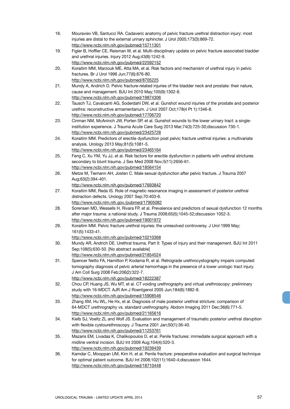- 18. Mouraviev VB, Santucci RA. Cadaveric anatomy of pelvic fracture urethral distraction injury: most injuries are distal to the external urinary sphincter. J Urol 2005;173(3):869-72. http://www.ncbi.nlm.nih.gov/pubmed/15711301
- 19. Figler B, Hoffler CE, Reisman W, et al. Multi-disciplinary update on pelvic fracture associated bladder and urethral injuries. Injury 2012 Aug;43(8):1242-9. http://www.ncbi.nlm.nih.gov/pubmed/22592152
- 20. Koraitim MM, Marzouk ME, Atta MA, et al. Risk factors and mechanism of urethral injury in pelvic fractures. Br J Urol 1996 Jun;77(6):876-80. http://www.ncbi.nlm.nih.gov/pubmed/8705225
- 21. Mundy A, Andrich D. Pelvic fracture-related injuries of the bladder neck and prostate: their nature, cause and management. BJU Int 2010 May;105(9):1302-8. http://www.ncbi.nlm.nih.gov/pubmed/19874306
- 22. Tausch TJ, Cavalcanti AG, Soderdahl DW, et al. Gunshot wound injuries of the prostate and posterior urethra: reconstructive armamentarium. J Urol 2007 Oct;178(4 Pt 1):1346-8. http://www.ncbi.nlm.nih.gov/pubmed/17706720
- 23. Cinman NM, McAninch JW, Porten SP, et al. Gunshot wounds to the lower urinary tract: a singleinstitution experience. J Trauma Acute Care Surg 2013 Mar;74(3):725-30;discussion 730-1. http://www.ncbi.nlm.nih.gov/pubmed/23425728
- 24. Koraitim MM. Predictors of erectile dysfunction post pelvic fracture urethral injuries: a multivariate analysis. Urology 2013 May;81(5):1081-5. http://www.ncbi.nlm.nih.gov/pubmed/23465164
- 25. Feng C, Xu YM, Yu JJ, et al. Risk factors for erectile dysfunction in patients with urethral strictures secondary to blunt trauma. J Sex Med 2008 Nov;5(11):2656-61. http://www.ncbi.nlm.nih.gov/pubmed/18564154
- 26. Metze M, Tiemann AH, Josten C. Male sexual dysfunction after pelvic fracture. J Trauma 2007 Aug;63(2):394-401.

- 27. Koraitim MM, Reda IS. Role of magnetic resonance imaging in assessment of posterior urethral distraction defects. Urology 2007 Sep;70:403-6. http://www.ncbi.nlm.nih.gov./pubmed/17905082
- 28. Sorensen MD, Wessells H, Rivara FP, et al. Prevalence and predictors of sexual dysfunction 12 months after major trauma: a national study. J Trauma 2008;65(5):1045-52;discussion 1052-3. http://www.ncbi.nlm.nih.gov/pubmed/19001972
- 29. Koraitim MM. Pelvic fracture urethral injuries: the unresolved controversy. J Urol 1999 May; 161(5):1433-41.
	- http://www.ncbi.nlm.nih.gov/pubmed/10210368
- 30. Mundy AR, Andrich DE. Urethral trauma. Part II: Types of injury and their management. BJU Int 2011 Sep;108(5):630-50. [No abstract available] http://www.ncbi.nlm.nih.gov/pubmed/21854524
- 31. Spencer Netto FA, Hamilton P, Kodama R, et al. Retrograde urethrocystography impairs computed tomography diagnosis of pelvic arterial hemorrhage in the presence of a lower urologic tract injury. J Am Coll Surg 2008 Feb;206(2):322-7. http://www.ncbi.nlm.nih.gov/pubmed/18222387
- 32. Chou CP, Huang JS, Wu MT, et al. CT voiding urethrography and virtual urethroscopy: preliminary study with 16-MDCT. AJR Am J Roentgenol 2005 Jun;184(6):1882-8. http://www.ncbi.nlm.nih.gov/pubmed/15908546
- 33. Zhang XM, Hu WL, He Hx, et al. Diagnosis of male posterior urethral stricture: comparison of 64-MDCT urethrography vs. standard urethrography. Abdom Imaging 2011 Dec;36(6):771-5. http://www.ncbi.nlm.nih.gov/pubmed/21165616
- 34. Kielb SJ, Voeltz ZL and Wolf JS. Evaluation and management of traumatic posterior urethral disruption with flexible cystourethroscopy. J Trauma 2001 Jan;50(1):36-40. http://www.ncbi.nlm.nih.gov/pubmed/11253761
- 35. Mazaris EM, Livadas K, Chalikopoulos D, et al. Penile fractures: immediate surgical approach with a midline ventral incision. BJU Int 2009 Aug;104(4):520-3. http://www.ncbi.nlm.nih.gov/pubmed/19239439
- 36. Kamdar C, Mooppan UM, Kim H, et al. Penile fracture: preoperative evaluation and surgical technique for optimal patient outcome. BJU Int 2008;102(11):1640-4;discussion 1644. http://www.ncbi.nlm.nih.gov/pubmed/18710448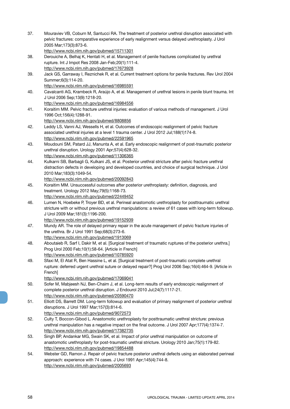| 37. | Mouraviev VB, Coburn M, Santucci RA. The treatment of posterior urethral disruption associated with<br>pelvic fractures: comparative experience of early realignment versus delayed urethroplasty. J Urol<br>2005 Mar; 173(3): 873-6. |
|-----|---------------------------------------------------------------------------------------------------------------------------------------------------------------------------------------------------------------------------------------|
|     | http://www.ncbi.nlm.nih.gov/pubmed/15711301                                                                                                                                                                                           |
| 38. | Derouiche A, Belhaj K, Hentati H, et al. Management of penile fractures complicated by urethral                                                                                                                                       |
|     | rupture. Int J Impot Res 2008 Jan-Feb; 20(1): 111-4.                                                                                                                                                                                  |
|     | http://www.ncbi.nlm.nih.gov/pubmed/17673928                                                                                                                                                                                           |
| 39. | Jack GS, Garraway I, Reznichek R, et al. Current treatment options for penile fractures. Rev Urol 2004                                                                                                                                |
|     | Summer;6(3):114-20.                                                                                                                                                                                                                   |
|     | http://www.ncbi.nlm.nih.gov/pubmed/16985591                                                                                                                                                                                           |
| 40. | Cavalcanti AG, Krambeck R, Araújo A, et al. Management of urethral lesions in penile blunt trauma. Int                                                                                                                                |
|     | J Urol 2006 Sep; 13(9): 1218-20.                                                                                                                                                                                                      |
|     | http://www.ncbi.nlm.nih.gov/pubmed/16984556                                                                                                                                                                                           |
| 41. | Koraitim MM. Pelvic fracture urethral injuries: evaluation of various methods of management. J Urol                                                                                                                                   |
|     | 1996 Oct; 156(4): 1288-91.                                                                                                                                                                                                            |
|     | http://www.ncbi.nlm.nih.gov/pubmed/8808856                                                                                                                                                                                            |
| 42. | Leddy LS, Vanni AJ, Wessells H, et al. Outcomes of endoscopic realignment of pelvic fracture                                                                                                                                          |
|     | associated urethral injuries at a level 1 trauma center. J Urol 2012 Jul;188(1)174-8.                                                                                                                                                 |
|     | http://www.ncbi.nlm.nih.gov/pubmed/22591965                                                                                                                                                                                           |
| 43. | Moudouni SM, Patard JJ, Manunta A, et al. Early endoscopic realignment of post-traumatic posterior                                                                                                                                    |
|     | urethral disruption. Urology 2001 Apr;57(4):628-32.                                                                                                                                                                                   |
|     | http://www.ncbi.nlm.nih.gov/pubmed/11306365                                                                                                                                                                                           |
| 44. | Kulkarni SB, Barbagli G, Kulkani JS, et al. Posterior urethral stricture after pelvic fracture urethral                                                                                                                               |
|     | distraction defects in developing and developed countries, and choice of surgical technique. J Urol                                                                                                                                   |
|     | 2010 Mar; 183(3): 1049-54.                                                                                                                                                                                                            |
|     | http://www.ncbi.nlm.nih.gov/pubmed/20092843                                                                                                                                                                                           |
| 45. | Koraitim MM. Unsuccessful outcomes after posterior urethroplasty: definition, diagnosis, and                                                                                                                                          |
|     | treatment. Urology 2012 May; 79(5): 1168-73.                                                                                                                                                                                          |
|     | http://www.ncbi.nlm.nih.gov/pubmed/22449452                                                                                                                                                                                           |
| 46. | Lumen N, Hoebeke P, Troyer BD, et al. Perineal anastomotic urethroplasty for posttraumatic urethral                                                                                                                                   |
|     | stricture with or without previous urethral manipulations: a review of 61 cases with long-term followup.                                                                                                                              |
|     | J Urol 2009 Mar; 181(3): 1196-200.                                                                                                                                                                                                    |
|     | http://www.ncbi.nlm.nih.gov/pubmed/19152939                                                                                                                                                                                           |
| 47. | Mundy AR. The role of delayed primary repair in the acute management of pelvic fracture injuries of                                                                                                                                   |
|     | the urethra. Br J Urol 1991 Sep;68(3):273-6.                                                                                                                                                                                          |
|     | http://www.ncbi.nlm.nih.gov/pubmed/1913069                                                                                                                                                                                            |
| 48. | Aboutaieb R, Sarf I, Dakir M, et al. [Surgical treatment of traumatic ruptures of the posterior urethra.]                                                                                                                             |
|     | Prog Urol 2000 Feb;10(1):58-64. [Article in French]                                                                                                                                                                                   |
|     | http://www.ncbi.nlm.nih.gov/pubmed/10785920                                                                                                                                                                                           |
| 49. | Sfaxi M, El Atat R, Ben Hassine L, et al. [Surgical treatment of post-traumatic complete urethral                                                                                                                                     |
|     | rupture: deferred urgent urethral suture or delayed repair?] Prog Urol 2006 Sep;16(4):464-9. [Article in                                                                                                                              |
|     | French]                                                                                                                                                                                                                               |
|     | http://www.ncbi.nlm.nih.gov/pubmed/17069041                                                                                                                                                                                           |
| 50. | Sofer M, Mabjeesh NJ, Ben-Chaim J, et al. Long-term results of early endoscopic realignment of                                                                                                                                        |
|     | complete posterior urethral disruption. J Endourol 2010 Jul;24(7):1117-21.                                                                                                                                                            |
|     | http://www.ncbi.nlm.nih.gov/pubmed/20590470                                                                                                                                                                                           |
| 51. | Elliott DS, Barrett DM. Long-term followup and evaluation of primary realignment of posterior urethral                                                                                                                                |
|     | disruptions. J Urol 1997 Mar; 157(3): 814-6.                                                                                                                                                                                          |
|     | http://www.ncbi.nlm.nih.gov/pubmed/9072573                                                                                                                                                                                            |
| 52. | Culty T, Boccon-Gibod L. Anastomotic urethroplasty for posttraumatic urethral stricture: previous                                                                                                                                     |
|     | urethral manipulation has a negative impact on the final outcome. J Urol 2007 Apr;177(4):1374-7.                                                                                                                                      |
|     | http://www.ncbi.nlm.nih.gov/pubmed/17382735                                                                                                                                                                                           |
| 53. | Singh BP, Andankar MG, Swain SK, et al. Impact of prior urethral manipulation on outcome of                                                                                                                                           |
|     | anastomotic urethroplasty for post-traumatic urethral stricture. Urology 2010 Jan;75(1):179-82.                                                                                                                                       |
|     | http://www.ncbi.nlm.nih.gov/pubmed/19854488                                                                                                                                                                                           |
| 54. | Webster GD, Ramon J. Repair of pelvic fracture posterior urethral defects using an elaborated perineal                                                                                                                                |
|     | approach: experience with 74 cases. J Urol 1991 Apr;145(4):744-8.                                                                                                                                                                     |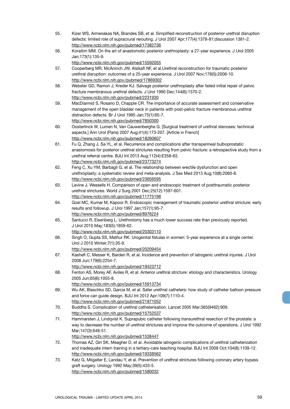- 55. Kizer WS, Armenakas NA, Brandes SB, et al. Simplified reconstruction of posterior urethral disruption defects: limited role of supracrural rerouting. J Urol 2007 Apr;177(4):1378-81;discussion 1381-2. http://www.ncbi.nlm.nih.gov/pubmed/17382736
- 56. Koraitim MM. On the art of anastomotic posterior urethroplasty: a 27-year experience. J Urol 2005 Jan;173(1):135-9.
- http://www.ncbi.nlm.nih.gov/pubmed/15592055 57. Cooperberg MR, McAninch JW, Alsikafi NF, et al.Urethral reconstruction for traumatic posterior
- urethral disruption: outcomes of a 25-year experience. J Urol 2007 Nov;178(5):2006-10. http://www.ncbi.nlm.nih.gov./pubmed/17869302
- 58. Webster GD, Ramon J, Kreder KJ. Salvage posterior urethroplasty after failed initial repair of pelvic fracture membranous urethral defects. J Urol 1990 Dec;144(6):1370-2. http://www.ncbi.nlm.nih.gov/pubmed/2231930
- 59. MacDiarmid S, Rosario D, Chapple CR. The importance of accurate assessment and conservative management of the open bladder neck in patients with post-pelvic fracture membranous urethral distraction defects. Br J Urol 1995 Jan;75(1):65-7. http://www.ncbi.nlm.nih.gov/pubmed/7850300
- 60. Oosterlinck W, Lumen N, Van Cauwenberghe G. [Surgical treatment of urethral stenoses: technical aspects.] Ann Urol (Paris) 2007 Aug;41(4):173-207. [Article in French] http://www.ncbi.nlm.nih.gov/pubmed/18260607
- 61. Fu Q, Zhang J, Sa YL, et al. Recurrence and complications after transperineal bulboprostatic anastomosis for posterior urethral strictures resulting from pelvic fracture: a retrospective study from a urethral referral centre. BJU Int 2013 Aug;112(4):E358-63. http://www.ncbi.nlm.nih.gov/pubmed/23773274
- 62. Feng C, Xu YM, Barbagli G, et al. The relationship between erectile dysfunction and open urethroplasty: a systematic review and meta-analysis. J Sex Med 2013 Aug;10(8):2060-8. http://www.ncbi.nlm.nih.gov/pubmed/23656595
- 63. Levine J, Wessells H. Comparison of open and endoscopic treatment of posttraumatic posterior urethral strictures. World J Surg 2001 Dec;25(12):1597-601. http://www.ncbi.nlm.nih.gov/pubmed/11775198
- 64. Goel MC, Kumar M, Kapoor R. Endoscopic management of traumatic posterior urethral stricture: early results and followup. J Urol 1997 Jan;157(1):95-7. http://www.ncbi.nlm.nih.gov/pubmed/8976224
- 65. Santucci R, Eisenberg L. Urethrotomy has a much lower success rate than previously reported. J Urol 2010 May;183(5):1859-62.
	- http://www.ncbi.nlm.nih.gov/pubmed/20303110
- 66. Singh O, Gupta SS, Mathur RK. Urogenital fistulas in women: 5-year experience at a single center. Urol J 2010 Winter;7(1):35-9. http://www.ncbi.nlm.nih.gov/pubmed/20209454
- 67. Kashefi C, Messer K, Barden R, et al. Incidence and prevention of iatrogenic urethral injuries: J Urol 2008 Jun;179(6):2254-7.
	- http://www.ncbi.nlm.nih.gov/pubmed/18423712
- 68. Fenton AS, Morey AF, Aviles R, et al. Anterior urethral stricture: etiology and characteristics. Urology 2005 Jun;65(6):1055-8.
- http://www.ncbi.nlm.nih.gov/pubmed/15913734 69. Wu AK, Blaschko SD, Garcia M, et al. Safer urethral catheters: how study of catheter balloon pressure and force can guide design. BJU Int 2012 Apr;109(7):1110-4. http://www.ncbi.nlm.nih.gov/pubmed/21871052
- 70. Buddha S. Complication of urethral catheterisation. Lancet 2005 Mar;365(9462):909. http://www.ncbi.nlm.nih.gov/pubmed/15752537
- 71. Hammarsten J, Lindqvist K. Suprapubic catheter following transurethral resection of the prostate: a way to decrease the number of urethral strictures and improve the outcome of operations. J Urol 1992 Mar;147(3):648-51.
- http://www.ncbi.nlm.nih.gov/pubmed/1538447 72. Thomas AZ, Giri SK, Meagher D, et al. Avoidable iatrogenic complications of urethral catheterization and inadequate intern training in a tertiary-care teaching hospital. BJU Int 2009 Oct;104(8):1109-12. http://www.ncbi.nlm.nih.gov/pubmed/19338562
- 73. Katz G, Milgalter E, Landau Y, et al. Prevention of urethral strictures following coronary artery bypass graft surgery. Urology 1992 May;39(5):433-5. http://www.ncbi.nlm.nih.gov/pubmed/1580032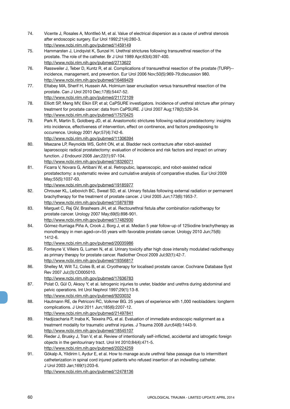- 74. Vicente J, Rosales A, Montlleó M, et al. Value of electrical dispersion as a cause of urethral stenosis after endoscopic surgery. Eur Urol 1992;21(4):280-3. http://www.ncbi.nlm.nih.gov/pubmed/1459149
- 75. Hammarsten J, Lindqvist K, Sunzel H. Urethral strictures following transurethral resection of the prostate. The role of the catheter. Br J Urol 1989 Apr;63(4):397-400. http://www.ncbi.nlm.nih.gov/pubmed/2713622
- 76. Rassweiler J, Teber D, Kuntz R, et al. Complications of transurethral resection of the prostate (TURP)- incidence, management, and prevention. Eur Urol 2006 Nov;50(5):969-79;discussion 980. http://www.ncbi.nlm.nih.gov/pubmed/16469429
- 77. Eltabey MA, Sherif H, Hussein AA. Holmium laser enucleation versus transurethral resection of the prostate. Can J Urol 2010 Dec;17(6):5447-52. http://www.ncbi.nlm.nih.gov/pubmed/21172109
- 78. Elliott SP, Meng MV, Elkin EP, et al; CaPSURE investigators. Incidence of urethral stricture after primary treatment for prostate cancer: data from CaPSURE. J Urol 2007 Aug;178(2):529-34. http://www.ncbi.nlm.nih.gov/pubmed/17570425
- 79. Park R, Martin S, Goldberg JD, et al. Anastomotic strictures following radical prostatectomy: insights into incidence, effectiveness of intervention, effect on continence, and factors predisposing to occurrence. Urology 2001 Apr;57(4):742-6.

- 80. Msezane LP, Reynolds WS, Gofrit ON, et al. Bladder neck contracture after robot-assisted laparoscopic radical prostatectomy: evaluation of incidence and risk factors and impact on urinary function. J Endourol 2008 Jan;22(1):97-104. http://www.ncbi.nlm.nih.gov/pubmed/18326071
- 81. Ficarra V, Novara G, Artibani W, et al. Retropubic, laparoscopic, and robot-assisted radical prostatectomy: a systematic review and cumulative analysis of comparative studies. Eur Urol 2009 May;55(5):1037-63.

http://www.ncbi.nlm.nih.gov/pubmed/19185977

- 82. Chrouser KL, Leibovich BC, Sweat SD, et al. Urinary fistulas following external radiation or permanent brachytherapy for the treatment of prostate cancer. J Urol 2005 Jun;173(6):1953-7. http://www.ncbi.nlm.nih.gov/pubmed/15879789
- 83. Marguet C, Raj GV, Brashears JH, et al. Rectourethral fistula after combination radiotherapy for prostate cancer. Urology 2007 May;69(5):898-901. http://www.ncbi.nlm.nih.gov/pubmed/17482930
- 84. Gómez-Iturriaga Piña A, Crook J, Borg J, et al. Median 5 year follow-up of 125iodine brachytherapy as monotherapy in men aged<or=55 years with favorable prostate cancer. Urology 2010 Jun;75(6): 1412-6.
	- http://www.ncbi.nlm.nih.gov/pubmed/20035986
- 85. Fonteyne V, Villeirs G, Lumen N, et al. Urinary toxicity after high dose intensity modulated radiotherapy as primary therapy for prostate cancer. Radiother Oncol 2009 Jul;92(1):42-7. http://www.ncbi.nlm.nih.gov/pubmed/19356817
- 86. Shelley M, Wilt TJ, Coles B, et al. Cryotherapy for localised prostate cancer. Cochrane Database Syst Rev 2007 Jul;(3):CD005010.

http://www.ncbi.nlm.nih.gov/pubmed/17636783

- 87. Polat O, Gül O, Aksoy Y, et al. latrogenic injuries to ureter, bladder and urethra during abdominal and pelvic operations. Int Urol Nephrol 1997;29(1):13-8. http://www.ncbi.nlm.nih.gov/pubmed/9203032
- 88. Hautmann RE, de Petriconi RC, Volkmer BG. 25 years of experience with 1,000 neobladders: longterm complications. J Urol 2011 Jun;185(6):2207-12.

- 89. Hadjizacharia P, Inaba K, Teixeira PG, et al. Evaluation of immediate endoscopic realignment as a treatment modality for traumatic urethral injuries. J Trauma 2008 Jun;64(6):1443-9. http://www.ncbi.nlm.nih.gov/pubmed/18545107
- 90. Rieder J, Brusky J, Tran V, et al. Review of intentionally self-inflicted, accidental and iatrogetic foreign objects in the genitourinary tract. Urol Int 2010;84(4):471-5. http://www.ncbi.nlm.nih.gov/pubmed/20224259
- 91. Gökalp A, Yildirim I, Aydur E, et al. How to manage acute urethral false passage due to intermittent catheterization in spinal cord injured patients who refused insertion of an indwelling catheter. J Urol 2003 Jan;169(1):203-6. http://www.ncbi.nlm.nih.gov/pubmed/12478136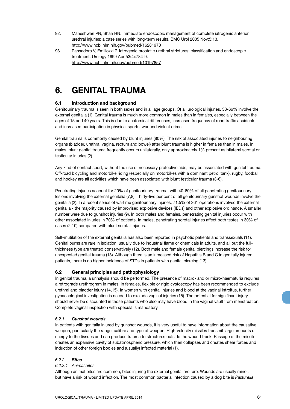- 92. Maheshwari PN, Shah HN. Immediate endoscopic management of complete iatrogenic anterior urethral injuries: a case series with long-term results. BMC Urol 2005 Nov;5:13. http://www.ncbi.nlm.nih.gov/pubmed/16281970
- 93. Pansadoro V, Emiliozzi P. Iatrogenic prostatic urethral strictures: classification and endoscopic treatment. Urology 1999 Apr;53(4):784-9. http://www.ncbi.nlm.nih.gov/pubmed/10197857

## **6. GENITAL TRAUMA**

## **6.1 Introduction and background**

Genitourinary trauma is seen in both sexes and in all age groups. Of all urological injuries, 33-66% involve the external genitalia (1). Genital trauma is much more common in males than in females, especially between the ages of 15 and 40 years. This is due to anatomical differences, increased frequency of road traffic accidents and increased participation in physical sports, war and violent crime.

Genital trauma is commonly caused by blunt injuries (80%). The risk of associated injuries to neighbouring organs (bladder, urethra, vagina, rectum and bowel) after blunt trauma is higher in females than in males. In males, blunt genital trauma frequently occurs unilaterally, only approximately 1% present as bilateral scrotal or testicular injuries (2).

Any kind of contact sport, without the use of necessary protective aids, may be associated with genital trauma. Off-road bicycling and motorbike riding (especially on motorbikes with a dominant petrol tank), rugby, football and hockey are all activities which have been associated with blunt testicular trauma (3-6).

Penetrating injuries account for 20% of genitourinary trauma, with 40-60% of all penetrating genitourinary lesions involving the external genitalia (7,8). Thirty-five per cent of all genitourinary gunshot wounds involve the genitalia (2). In a recent series of wartime genitourinary injuries, 71.5% of 361 operations involved the external genitalia - the majority caused by improvised explosive devices (IEDs) and other explosive ordinance. A smaller number were due to gunshot injuries (9). In both males and females, penetrating genital injuries occur with other associated injuries in 70% of patients. In males, penetrating scrotal injuries affect both testes in 30% of cases (2,10) compared with blunt scrotal injuries.

Self-mutilation of the external genitalia has also been reported in psychotic patients and transsexuals (11). Genital burns are rare in isolation, usually due to industrial flame or chemicals in adults, and all but the fullthickness type are treated conservatively (12). Both male and female genital piercings increase the risk for unexpected genital trauma (13). Although there is an increased risk of Hepatitis B and C in genitally injured patients, there is no higher incidence of STDs in patients with genital piercing (13).

## **6.2 General principles and pathophysiology**

In genital trauma, a urinalysis should be performed. The presence of macro- and or micro-haematuria requires a retrograde urethrogram in males. In females, flexible or rigid cystoscopy has been recommended to exclude urethral and bladder injury (14,15). In women with genital injuries and blood at the vaginal introitus, further gynaecological investigation is needed to exclude vaginal injuries (15). The potential for significant injury should never be discounted in those patients who also may have blood in the vaginal vault from menstruation. Complete vaginal inspection with specula is mandatory.

## *6.2.1 Gunshot wounds*

In patients with genitalia injured by gunshot wounds, it is very useful to have information about the causative weapon, particularly the range, calibre and type of weapon. High-velocity missiles transmit large amounts of energy to the tissues and can produce trauma to structures outside the wound track. Passage of the missile creates an expansive cavity of subatmospheric pressure, which then collapses and creates shear forces and induction of other foreign bodies and (usually) infected material (1).

## *6.2.2 Bites*

## *6.2.2.1 Animal bites*

Although animal bites are common, bites injuring the external genital are rare. Wounds are usually minor, but have a risk of wound infection. The most common bacterial infection caused by a dog bite is *Pasturella*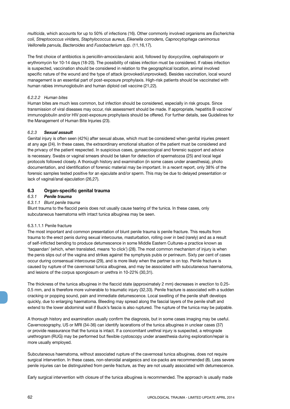*multicida*, which accounts for up to 50% of infections (16). Other commonly involved organisms are *Escherichia coli, Streptococcus viridans, Staphylococcus aureus, Eikenella corrodens, Capnocytophaga canimorsus Veillonella parvula, Bacteroides* and *Fusobacterium spp*. (11,16,17).

The first choice of antibiotics is penicillin-amoxiclavulanic acid, followed by doxycycline, cephalosporin or erythromycin for 10-14 days (18-20). The possibility of rabies infection must be considered. If rabies infection is suspected, vaccination should be considered in relation to the geographical location, animal involved specific nature of the wound and the type of attack (provoked/unprovoked). Besides vaccination, local wound management is an essential part of post-exposure prophylaxis. High-risk patients should be vaccinated with human rabies immunoglobulin and human diploid cell vaccine (21,22).

## *6.2.2.2 Human bites*

Human bites are much less common, but infection should be considered, especially in risk groups. Since transmission of viral diseases may occur, risk assessment should be made. If appropriate, hepatitis B vaccine/ immunoglobulin and/or HIV post-exposure prophylaxis should be offered. For further details, see Guidelines for the Management of Human Bite Injuries (23).

## *6.2.3 Sexual assault*

Genital injury is often seen (42%) after sexual abuse, which must be considered when genital injuries present at any age (24). In these cases, the extraordinary emotional situation of the patient must be considered and the privacy of the patient respected. In suspicious cases, gynaecological and forensic support and advice is necessary. Swabs or vaginal smears should be taken for detection of spermatozoa (25) and local legal protocols followed closely. A thorough history and examination (in some cases under anaesthesia), photo documentation, and identification of forensic material may be important. In a recent report, only 38% of the forensic samples tested positive for an ejaculate and/or sperm. This may be due to delayed presentation or lack of vaginal/anal ejaculation (26,27).

## **6.3 Organ-specific genital trauma**

## *6.3.1 Penile trauma*

## *6.3.1.1 Blunt penile trauma*

Blunt trauma to the flaccid penis does not usually cause tearing of the tunica. In these cases, only subcutaneous haematoma with intact tunica albuginea may be seen.

#### 6.3.1.1.1 Penile fracture

The most important and common presentation of blunt penile trauma is penile fracture. This results from trauma to the erect penis during sexual intercourse, masturbation, rolling over in bed (rarely) and as a result of self-inflicted bending to produce detumescence in some Middle Eastern Cultures-a practice known as 'taqaandan' (which, when translated, means 'to click') (28). The most common mechanism of injury is when the penis slips out of the vagina and strikes against the symphysis pubis or perineum. Sixty per cent of cases occur during consensual intercourse (29), and is more likely when the partner is on top. Penile fracture is caused by rupture of the cavernosal tunica albuginea, and may be associated with subcutaneous haematoma, and lesions of the corpus spongiosum or urethra in 10-22% (30,31).

The thickness of the tunica albuginea in the flaccid state (approximately 2 mm) decreases in erection to 0.25- 0.5 mm, and is therefore more vulnerable to traumatic injury (32,33). Penile fracture is associated with a sudden cracking or popping sound, pain and immediate detumescence. Local swelling of the penile shaft develops quickly, due to enlarging haematoma. Bleeding may spread along the fascial layers of the penile shaft and extend to the lower abdominal wall if Buck's fascia is also ruptured. The rupture of the tunica may be palpable.

A thorough history and examination usually confirm the diagnosis, but in some cases imaging may be useful. Cavernosography, US or MRI (34-36) can identify lacerations of the tunica albuginea in unclear cases (37) or provide reassurance that the tunica is intact. If a concomitant urethral injury is suspected, a retrograde urethrogram (RUG) may be performed but flexible cystoscopy under anaesthesia during exploration/repair is more usually employed.

Subcutaneous haematoma, without associated rupture of the cavernosal tunica albuginea, does not require surgical intervention. In these cases, non-steroidal analgesics and ice-packs are recommended (8). Less severe penile injuries can be distinguished from penile fracture, as they are not usually associated with detumescence.

Early surgical intervention with closure of the tunica albuginea is recommended. The approach is usually made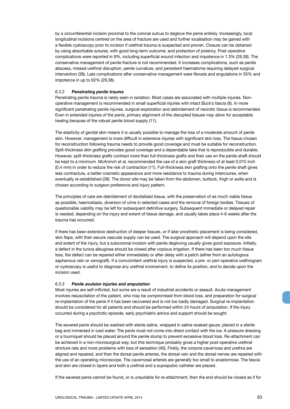by a circumferential incision proximal to the coronal sulcus to deglove the penis entirely. Increasingly, local longitudinal incisions centred on the area of fracture are used and further localisation may be gained with a flexible cystoscopy prior to incision if urethral trauma is suspected and proven. Closure can be obtained by using absorbable sutures, with good long-term outcome, and protection of potency. Post-operative complications were reported in 9%, including superficial wound infection and impotence in 1.3% (29,38). The conservative management of penile fracture is not recommended. It increases complications, such as penile abscess, missed urethral disruption, penile curvature, and persistent haematoma requiring delayed surgical intervention (38). Late complications after conservative management were fibrosis and angulations in 35% and impotence in up to 62% (29,38).

#### *6.3.2 Penetrating penile trauma*

Penetrating penile trauma is rarely seen in isolation. Most cases are associated with multiple injuries. Nonoperative management is recommended in small superficial injuries with intact Buck's fascia (8). In more significant penetrating penile injuries, surgical exploration and debridement of necrotic tissue is recommended. Even in extended injuries of the penis, primary alignment of the disrupted tissues may allow for acceptable healing because of the robust penile blood supply (11).

The elasticity of genital skin means it is usually possible to manage the loss of a moderate amount of penile skin. However, management is more difficult in extensive injuries with significant skin loss. The tissue chosen for reconstruction following trauma needs to provide good coverage and must be suitable for reconstruction. Split-thickness skin grafting provides good coverage and a dependable take that is reproducible and durable. However, split-thickness grafts contract more than full-thickness grafts and their use on the penile shaft should be kept to a minimum. McAninch et al. recommended the use of a skin graft thickness of at least 0.015 inch (0.4 mm) in order to reduce the risk of contraction (11). Full-thickness skin grafting onto the penile shaft gives less contracture, a better cosmetic appearance and more resistance to trauma during intercourse, when eventually re-established (39). The donor site may be taken from the abdomen, buttock, thigh or axilla and is chosen according to surgeon preference and injury pattern.

The principles of care are debridement of devitalised tissue, with the preservation of as much viable tissue as possible, haemostasis, diversion of urine in selected cases and the removal of foreign bodies. Tissues of questionable viability may be left for subsequent definitive surgery. Subsequent immediate or delayed repair is needed, depending on the injury and extent of tissue damage, and usually takes place 4-6 weeks after the trauma has occurred.

If there has been extensive destruction of deeper tissues, or if later prosthetic placement is being considered, skin flaps, with their secure vascular supply can be used. The surgical approach will depend upon the site and extent of the injury, but a subcoronal incision with penile degloving usually gives good exposure. Initially, a defect in the tunica albuginea should be closed after copious irrigation. If there has been too much tissue loss, the defect can be repaired either immediately or after delay with a patch (either from an autologous saphenous vein or xenograft). If a concomitant urethral injury is suspected, a pre- or peri-operative urethrogram or cystoscopy is useful to diagnose any urethral involvement, to define its position, and to decide upon the incision used.

#### *6.3.3 Penile avulsion injuries and amputation*

Most injuries are self-inflicted, but some are a result of industrial accidents or assault. Acute management involves resuscitation of the patient, who may be compromised from blood loss, and preparation for surgical re-implantation of the penis if it has been recovered and is not too badly damaged. Surgical re-implantation should be considered for all patients and should be performed within 24 hours of amputation. If the injury occurred during a psychotic episode, early psychiatric advice and support should be sought.

The severed penis should be washed with sterile saline, wrapped in saline-soaked gauze, placed in a sterile bag and immersed in iced water. The penis must not come into direct contact with the ice. A pressure dressing or a tourniquet should be placed around the penile stump to prevent excessive blood loss. Re-attachment can be achieved in a non-microsurgical way, but this technique probably gives a higher post-operative urethral stricture rate and more problems with loss of sensation (40). Firstly, the corpora cavernosa and urethra are aligned and repaired, and then the dorsal penile arteries, the dorsal vein and the dorsal nerves are repaired with the use of an operating microscope. The cavernosal arteries are generally too small to anastomose. The fascia and skin are closed in layers and both a urethral and a suprapubic catheter are placed.

If the severed penis cannot be found, or is unsuitable for re-attachment, then the end should be closed as if for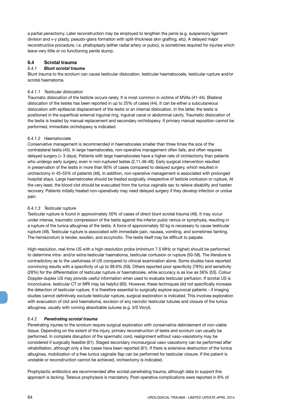a partial penectomy. Later reconstruction may be employed to lengthen the penis (e.g. suspensory ligament division and v-y plasty, pseudo-glans formation with split-thickness skin grafting, etc). A delayed major reconstructive procedure, i.e. phalloplasty (either radial artery or pubic), is sometimes required for injuries which leave very little or no functioning penile stump.

## **6.4 Scrotal trauma**

## *6.4.1 Blunt scrotal trauma*

Blunt trauma to the scrotum can cause testicular dislocation, testicular haematocoele, testicular rupture and/or scrotal haematoma.

#### *6.4.1.1 Testicular dislocation*

Traumatic dislocation of the testicle occurs rarely. It is most common in victims of MVAs (41-44). Bilateral dislocation of the testes has been reported in up to 25% of cases (44). It can be either a subcutaneous dislocation with epifascial displacement of the testis or an internal dislocation. In the latter, the testis is positioned in the superficial external inguinal ring, inguinal canal or abdominal cavity. Traumatic dislocation of the testis is treated by manual replacement and secondary orchidopexy. If primary manual reposition cannot be performed, immediate orchidopexy is indicated.

## *6.4.1.2 Haematocoele*

Conservative management is recommended in haematoceles smaller than three times the size of the contralateral testis (45). In large haematoceles, non-operative management often fails, and often requires delayed surgery (> 3 days). Patients with large haematoceles have a higher rate of orchiectomy than patients who undergo early surgery, even in non-ruptured testes (2,11,46-48). Early surgical intervention resulted in preservation of the testis in more than 90% of cases compared to delayed surgery, which resulted in orchiectomy in 45-55% of patients (46). In addition, non-operative management is associated with prolonged hospital stays. Large haematoceles should be treated surgically, irrespective of testicle contusion or rupture. At the very least, the blood clot should be evacuated from the tunica vaginalis sac to relieve disability and hasten recovery. Patients initially treated non-operatively may need delayed surgery if they develop infection or undue pain.

## *6.4.1.3 Testicular rupture*

Testicular rupture is found in approximately 50% of cases of direct blunt scrotal trauma (46). It may occur under intense, traumatic compression of the testis against the inferior pubic ramus or symphysis, resulting in a rupture of the tunica albuginea of the testis. A force of approximately 50 kg is necessary to cause testicular rupture (49). Testicular rupture is associated with immediate pain, nausea, vomiting, and sometimes fainting. The hemiscrotum is tender, swollen, and eccymotic. The testis itself may be difficult to palpate.

High-resolution, real-time US with a high-resolution probe (minimum 7.5 MHz or higher) should be performed to determine intra- and/or extra-testicular haematoma, testicular contusion or rupture (50-58). The literature is contradictory as to the usefulness of US compared to clinical examination alone. Some studies have reported convincing results with a specificity of up to 98.6% (59). Others reported poor specificity (78%) and sensitivity (28%) for the differentiation of testicular rupture or haematocele, while accuracy is as low as 56% (53). Colour Doppler-duplex US may provide useful information when used to evaluate testicular perfusion. If scrotal US is inconclusive, testicular CT or MRI may be helpful (60). However, these techniques did not specifically increase the detection of testicular rupture. It is therefore essential to surgically explore equivocal patients - if imaging studies cannot definitively exclude testicular rupture, surgical exploration is indicated. This involves exploration with evacuation of clot and haematoma, excision of any necrotic testicular tubules and closure of the tunica albuginea, usually with running absorbable sutures (e.g. 3/0 Vicryl).

## *6.4.2 Penetrating scrotal trauma*

Penetrating injuries to the scrotum require surgical exploration with conservative debridement of non-viable tissue. Depending on the extent of the injury, primary reconstruction of testis and scrotum can usually be performed. In complete disruption of the spermatic cord, realignment without vaso-vasostomy may be considered if surgically feasible (61). Staged secondary microsurgical vaso-vasostomy can be performed after rehabilitation, although only a few cases have been reported (61). If there is extensive destruction of the tunica albuginea, mobilization of a free tunica vaginalis flap can be performed for testicular closure. If the patient is unstable or reconstruction cannot be achieved, orchiectomy is indicated.

Prophylactic antibiotics are recommended after scrotal penetrating trauma, although data to support this approach is lacking. Tetanus prophylaxis is mandatory. Post-operative complications were reported in 8% of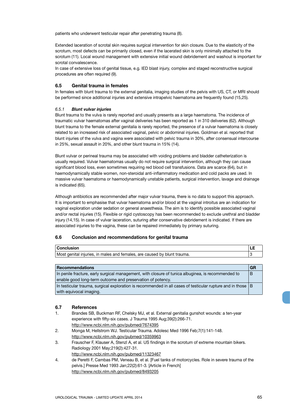patients who underwent testicular repair after penetrating trauma (8).

Extended laceration of scrotal skin requires surgical intervention for skin closure. Due to the elasticity of the scrotum, most defects can be primarily closed, even if the lacerated skin is only minimally attached to the scrotum (11). Local wound management with extensive initial wound debridement and washout is important for scrotal convalescence.

In case of extensive loss of genital tissue, e.g. IED blast injury, complex and staged reconstructive surgical procedures are often required (9).

## **6.5 Genital trauma in females**

In females with blunt trauma to the external genitalia, imaging studies of the pelvis with US, CT, or MRI should be performed since additional injuries and extensive intrapelvic haematoma are frequently found (15,25).

## *6.5.1 Blunt vulvar injuries*

Blunt trauma to the vulva is rarely reported and usually presents as a large haematoma. The incidence of traumatic vulvar haematomas after vaginal deliveries has been reported as 1 in 310 deliveries (62). Although blunt trauma to the female external genitalia is rarely reported, the presence of a vulvar haematoma is closely related to an increased risk of associated vaginal, pelvic or abdominal injuries. Goldman et al. reported that blunt injuries of the vulva and vagina were associated with pelvic trauma in 30%, after consensual intercourse in 25%, sexual assault in 20%, and other blunt trauma in 15% (14).

Blunt vulvar or perineal trauma may be associated with voiding problems and bladder catheterization is usually required. Vulvar haematomas usually do not require surgical intervention, although they can cause significant blood loss, even sometimes requiring red blood cell transfusions. Data are scarce (64), but in haemodynamically stable women, non-steroidal anti-inflammatory medication and cold packs are used. In massive vulvar haematoma or haemodynamically unstable patients, surgical intervention, lavage and drainage is indicated (65).

Although antibiotics are recommended after major vulvar trauma, there is no data to support this approach. It is important to emphasise that vulvar haematoma and/or blood at the vaginal introitus are an indication for vaginal exploration under sedation or general anaesthesia. The aim is to identify possible associated vaginal and/or rectal injuries (15). Flexible or rigid cystoscopy has been recommended to exclude urethral and bladder injury (14,15). In case of vulvar laceration, suturing after conservative debridement is indicated. If there are associated injuries to the vagina, these can be repaired immediately by primary suturing.

## **6.6 Conclusion and recommendations for genital trauma**

| t genital injuries, in males and females, are caused by blunt trauma.<br>Most |  |
|-------------------------------------------------------------------------------|--|

| Recommendations                                                                                                 |  |
|-----------------------------------------------------------------------------------------------------------------|--|
| In penile fracture, early surgical management, with closure of tunica albuginea, is recommended to              |  |
| enable good long-term outcome and preservation of potency.                                                      |  |
| In testicular trauma, surgical exploration is recommended in all cases of testicular rupture and in those $ B $ |  |
| with equivocal imaging.                                                                                         |  |

## **6.7 References**

- 1. Brandes SB, Buckman RF, Chelsky MJ, et al. External genitalia gunshot wounds: a ten-year experience with fifty-six cases. J Trauma 1995 Aug;39(2):266-71. http://www.ncbi.nlm.nih.gov/pubmed/7674395
- 2. Monga M, Hellstrom WJ. Testicular Trauma. Adolesc Med 1996 Feb;7(1):141-148. http://www.ncbi.nlm.nih.gov/pubmed/10359963
- 3. Frauscher F, Klauser A, Stenzl A, et al. US findings in the scrotum of extreme mountain bikers. Radiology 2001 May;219(2):427-31. http://www.ncbi.nlm.nih.gov/pubmed/11323467
- 4. de Peretti F, Cambas PM, Veneau B, et al. [Fuel tanks of motorcycles. Role in severe trauma of the pelvis.] Presse Med 1993 Jan;22(2):61-3. [Article in French] http://www.ncbi.nlm.nih.gov/pubmed/8493205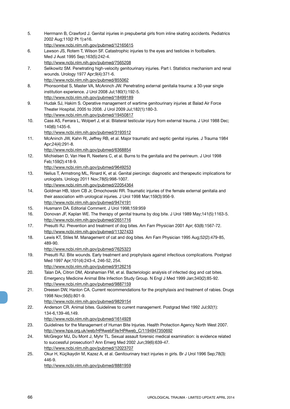- 5. Herrmann B, Crawford J. Genital injuries in prepubertal girls from inline skating accidents. Pediatrics 2002 Aug;110(2 Pt 1):e16.
- http://www.ncbi.nlm.nih.gov/pubmed/12165615
- 6. Lawson JS, Rotem T, Wilson SF. Catastrophic injuries to the eyes and testicles in footballers. Med J Aust 1995 Sep;163(5):242-4. http://www.ncbi.nlm.nih.gov/pubmed/7565208
- 7. Selikowitz SM. Penetrating high-velocity genitourinary injuries. Part I. Statistics mechanism and renal wounds. Urology 1977 Apr;9(4):371-6. http://www.ncbi.nlm.nih.gov/pubmed/855062
- 8. Phonsombat S, Master VA, McAninch JW. Penetrating external genitalia trauma: a 30-year single institution experience. J Urol 2008 Jul;180(1):192-5. http://www.ncbi.nlm.nih.gov/pubmed/18499189
- 9. Hudak SJ, Hakim S. Operative management of wartime genitourinary injuries at Balad Air Force Theater Hospital, 2005 to 2008. J Urol 2009 Jul;182(1):180-3. http://www.ncbi.nlm.nih.gov/pubmed/19450817
- 10. Cass AS, Ferrara L, Wolpert J, et al. Bilateral testicular injury from external trauma. J Urol 1988 Dec; 140(6):1435-6.

11. McAninch JW, Kahn RI, Jeffrey RB, et al. Major traumatic and septic genital injuries. J Trauma 1984 Apr;24(4):291-8.

http://www.ncbi.nlm.nih.gov/pubmed/6368854

12. Michielsen D, Van Hee R, Neetens C, et al. Burns to the genitalia and the perineum. J Urol 1998 Feb;159(2):418-9.

http://www.ncbi.nlm.nih.gov/pubmed/9649253

- 13. Nelius T, Armstrong ML, Rinard K, et al. Genital piercings: diagnostic and therapeutic implications for urologists. Urology 2011 Nov;78(5):998-1007.
- http://www.ncbi.nlm.nih.gov/pubmed/22054364 14. Goldman HB, Idom CB Jr, Dmochowski RR. Traumatic injuries of the female external genitalia and
- their association with urological injuries. J Urol 1998 Mar;159(3):956-9. http://www.ncbi.nlm.nih.gov/pubmed/9474191
- 15. Husmann DA. Editorial Comment. J Urol 1998;159:959
- 16. Donovan JF, Kaplan WE. The therapy of genital trauma by dog bite. J Urol 1989 May;141(5):1163-5. http://www.ncbi.nlm.nih.gov/pubmed/2651716
- 17. Presutti RJ. Prevention and treatment of dog bites. Am Fam Physician 2001 Apr; 63(8):1567-72. http://www.ncbi.nlm.nih.gov/pubmed/11327433
- 18. Lewis KT, Stiles M. Management of cat and dog bites. Am Fam Physician 1995 Aug;52(2):479-85, 489-90.

http://www.ncbi.nlm.nih.gov/pubmed/7625323

- 19. Presutti RJ. Bite wounds. Early treatment and prophylaxis against infectious complications. Postgrad Med 1997 Apr;101(4):243-4, 246-52, 254. http://www.ncbi.nlm.nih.gov/pubmed/9126216
- 20. Talan DA, Citron DM, Abrahamian FM, et al. Bacteriologic analysis of infected dog and cat bites. Emergency Medicine Animal Bite Infection Study Group. N Engl J Med 1999 Jan;340(2):85-92. http://www.ncbi.nlm.nih.gov/pubmed/9887159
- 21. Dreesen DW, Hanlon CA. Current recommendations for the prophylaxis and treatment of rabies. Drugs 1998 Nov;56(5):801-9.

http://www.ncbi.nlm.nih.gov/pubmed/9829154

22. Anderson CR. Animal bites. Guidelines to current management. Postgrad Med 1992 Jul;92(1): 134-6,139-46,149.

http://www.ncbi.nlm.nih.gov/pubmed/1614928

- 23. Guidelines for the Management of Human Bite Injuries. Health Protection Agency North West 2007. http://www.hpa.org.uk/web/HPAwebFile/HPAweb\_C/1194947350692
- 24. McGregor MJ, Du Mont J, Myhr TL. Sexual assault forensic medical examination: is evidence related to successful prosecution? Ann Emerg Med 2002 Jun;39(6):639-47. http://www.ncbi.nlm.nih.gov/pubmed/12023707
- 25. Okur H, Küçïkaydin M, Kazez A, et al. Genitourinary tract injuries in girls. Br J Urol 1996 Sep;78(3): 446-9.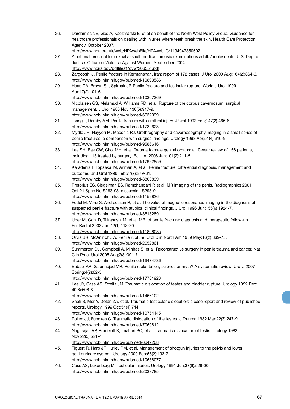26. Dardamissis E, Gee A, Kaczmarski E, et al on behalf of the North West Policy Group. Guidance for healthcare professionals on dealing with injuries where teeth break the skin. Health Care Protection Agency, October 2007.

http://www.hpa.org.uk/web/HPAwebFile/HPAweb\_C/1194947350692

- 27. A national protocol for sexual assault medical forensic examinations adults/adolescents. U.S. Dept of Justice. Office on Violence Against Women, September 2004. http://www.ncjrs.gov/pdffiles1/ovw/206554.pdf
- 28. Zargooshi J. Penile fracture in Kermanshah, Iran: report of 172 cases. J Urol 2000 Aug;164(2):364-6. http://www.ncbi.nlm.nih.gov/pubmed/10893586
- 29. Haas CA, Brown SL, Spirnak JP. Penile fracture and testicular rupture. World J Urol 1999 Apr;17(2):101-6.
	- http://www.ncbi.nlm.nih.gov/pubmed/10367369
- 30. Nicolaisen GS, Melamud A, Williams RD, et al. Rupture of the corpus cavernosum: surgical management. J Urol 1983 Nov;130(5):917-9. http://www.ncbi.nlm.nih.gov/pubmed/6632099
- 31. Tsang T, Demby AM. Penile fracture with urethral injury. J Urol 1992 Feb;147(2):466-8. http://www.ncbi.nlm.nih.gov/pubmed/1732623
- 32. Mydlo JH, Hayyeri M, Macchia RJ. Urethrography and cavernosography imaging in a small series of penile fractures: a comparison with surgical findings. Urology 1998 Apr;51(4):616-9. http://www.ncbi.nlm.nih.gov/pubmed/9586616
- 33. Lee SH, Bak CW, Choi MH, et al. Trauma to male genital organs: a 10-year review of 156 patients, including 118 treated by surgery. BJU Int 2008 Jan;101(2):211-5. http://www.ncbi.nlm.nih.gov/pubmed/17922859
- 34. Karadeniz T, Topsakal M, Ariman A, et al. Penile fracture: differential diagnosis, management and outcome. Br J Urol 1996 Feb;77(2):279-81. http://www.ncbi.nlm.nih.gov/pubmed/8800899
- 35. Pretorius ES, Siegelman ES, Ramchandani P, et al. MR imaging of the penis. Radiographics 2001 Oct;21 Spec No:S283-98, discussion S298-9. http://www.ncbi.nlm.nih.gov/pubmed/11598264
- 36. Fedel M, Venz S, Andreessen R, et al. The value of magnetic resonance imaging in the diagnosis of suspected penile fracture with atypical clinical findings. J Urol 1996 Jun;155(6):1924-7. http://www.ncbi.nlm.nih.gov/pubmed/8618289
- 37. Uder M, Gohl D, Takahashi M, et al. MRI of penile fracture: diagnosis and therapeutic follow-up. Eur Radiol 2002 Jan;12(1):113-20.
	- http://www.ncbi.nlm.nih.gov/pubmed/11868085
- 38. Orvis BR, McAninch JW. Penile rupture. Urol Clin North Am 1989 May;16(2):369-75. http://www.ncbi.nlm.nih.gov/pubmed/2652861
- 39. Summerton DJ, Campbell A, Minhas S, et al. Reconstructive surgery in penile trauma and cancer. Nat Clin Pract Urol 2005 Aug;2(8):391-7. http://www.ncbi.nlm.nih.gov/pubmed/16474736
- 40. Babaei AR, Safarinejad MR. Penile replantation, science or myth? A systematic review. Urol J 2007 Spring;4(2):62-5.
	- http://www.ncbi.nlm.nih.gov/pubmed/17701923
- 41. Lee JY, Cass AS, Streitz JM. Traumatic dislocation of testes and bladder rupture. Urology 1992 Dec; 40(6):506-8.
	- http://www.ncbi.nlm.nih.gov/pubmed/1466102
- 42. Shefi S, Mor Y, Dotan ZA, et al. Traumatic testicular dislocation: a case report and review of published reports. Urology 1999 Oct;54(4):744.
	- http://www.ncbi.nlm.nih.gov/pubmed/10754145
- 43. Pollen JJ, Funckes C. Traumatic dislocation of the testes. J Trauma 1982 Mar;22(3):247-9. http://www.ncbi.nlm.nih.gov/pubmed/7069812
- 44. Nagarajan VP, Pranikoff K, Imahori SC, et al. Traumatic dislocation of testis. Urology 1983 Nov;22(5):521-4. http://www.ncbi.nlm.nih.gov/pubmed/6649208
- 45. Tiguert R, Harb JF, Hurley PM, et al. Management of shotgun injuries to the pelvis and lower genitourinary system. Urology 2000 Feb;55(2):193-7. http://www.ncbi.nlm.nih.gov/pubmed/10688077
- 46. Cass AS, Luxenberg M. Testicular injuries. Urology 1991 Jun;37(6):528-30. http://www.ncbi.nlm.nih.gov/pubmed/2038785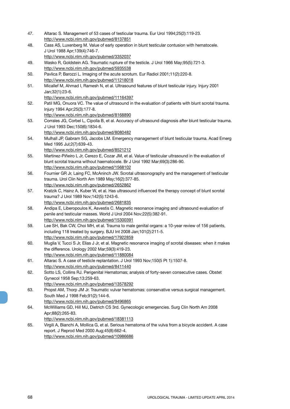47. Altarac S. Management of 53 cases of testicular trauma. Eur Urol 1994;25(2):119-23. http://www.ncbi.nlm.nih.gov/pubmed/8137851 48. Cass AS, Luxenberg M. Value of early operation in blunt testicular contusion with hematocele. J Urol 1988 Apr;139(4):746-7. http://www.ncbi.nlm.nih.gov/pubmed/3352037 49. Wasko R, Goldstein AG. Traumatic rupture of the testicle. J Urol 1966 May;95(5):721-3. http://www.ncbi.nlm.nih.gov/pubmed/5935538 50. Pavlica P, Barozzi L. Imaging of the acute scrotum. Eur Radiol 2001;11(2):220-8. http://www.ncbi.nlm.nih.gov/pubmed/11218018 51. Micallef M, Ahmad I, Ramesh N, et al. Ultrasound features of blunt testicular injury. Injury 2001 Jan;32(1):23-6. http://www.ncbi.nlm.nih.gov/pubmed/11164397 52. Patil MG, Onuora VC. The value of ultrasound in the evaluation of patients with blunt scrotal trauma. Injury 1994 Apr;25(3):177-8. http://www.ncbi.nlm.nih.gov/pubmed/8168890 53. Corrales JG, Corbel L, Cipolla B, et al. Accuracy of ultrasound diagnosis after blunt testicular trauma. J Urol 1993 Dec;150(6):1834-6. http://www.ncbi.nlm.nih.gov/pubmed/8080482 54. Mulhall JP, Gabram SG, Jacobs LM. Emergency management of blunt testicular trauma. Acad Emerg Med 1995 Jul;2(7):639-43. http://www.ncbi.nlm.nih.gov/pubmed/8521212 55. Martinez-Piñeiro L Jr, Cerezo E, Cozar JM, et al. Value of testicular ultrasound in the evaluation of blunt scrotal trauma without haematocele. Br J Urol 1992 Mar;69(3):286-90. http://www.ncbi.nlm.nih.gov/pubmed/1568102 56. Fournier GR Jr, Laing FC, McAninch JW. Scrotal ultrasonography and the management of testicular trauma. Urol Clin North Am 1989 May;16(2):377-85. http://www.ncbi.nlm.nih.gov/pubmed/2652862 57. Kratzik C, Hainz A, Kuber W, et al. Has ultrasound influenced the therapy concept of blunt scrotal trauma? J Urol 1989 Nov;142(5):1243-6. http://www.ncbi.nlm.nih.gov/pubmed/2681835 58. Andipa E, Liberopoulos K, Asvestis C. Magnetic resonance imaging and ultrasound evaluation of penile and testicular masses. World J Urol 2004 Nov;22(5):382-91. http://www.ncbi.nlm.nih.gov/pubmed/15300391 59. Lee SH, Bak CW, Choi MH, et al. Trauma to male genital organs: a 10-year review of 156 patients, including 118 treated by surgery. BJU Int 2008 Jan;101(2):211-5. http://www.ncbi.nlm.nih.gov/pubmed/17922859 60. Muglia V, Tucci S Jr, Elias J Jr, et al. Magnetic resonance imaging of scrotal diseases: when it makes the difference. Urology 2002 Mar;59(3):419-23. http://www.ncbi.nlm.nih.gov/pubmed/11880084 61. Altarac S. A case of testicle replantation. J Urol 1993 Nov;150(5 Pt 1):1507-8. http://www.ncbi.nlm.nih.gov/pubmed/8411440 62. Sotto LS, Collins RJ. Perigenital Hematomas; analysis of forty-seven consecutive cases. Obstet Gynecol 1958 Sep;13:259-63. http://www.ncbi.nlm.nih.gov/pubmed/13578292 63. Propst AM, Thorp JM Jr. Traumatic vulvar hematomas: conservative versus surgical management. South Med J 1998 Feb;91(2):144-6. http://www.ncbi.nlm.nih.gov/pubmed/9496865 64. McWilliams GD, Hill MJ, Dietrich CS 3rd. Gynecologic emergencies. Surg Clin North Am 2008 Apr;88(2):265-83. http://www.ncbi.nlm.nih.gov/pubmed/18381113 65. Virgili A, Bianchi A, Mollica G, et al. Serious hematoma of the vulva from a bicycle accident. A case report. J Reprod Med 2000 Aug;45(8):662-4. http://www.ncbi.nlm.nih.gov/pubmed/10986686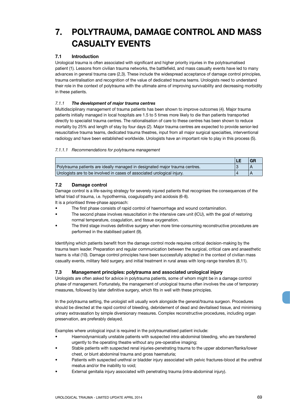# **7. POLYTRAUMA, DAMAGE CONTROL AND MASS CASUALTY EVENTS**

## **7.1 Introduction**

Urological trauma is often associated with significant and higher priority injuries in the polytraumatised patient (1). Lessons from civilian trauma networks, the battlefield, and mass casualty events have led to many advances in general trauma care (2,3). These include the widespread acceptance of damage control principles, trauma centralisation and recognition of the value of dedicated trauma teams. Urologists need to understand their role in the context of polytrauma with the ultimate aims of improving survivability and decreasing morbidity in these patients.

## *7.1.1 The development of major trauma centres*

Multidisciplinary management of trauma patients has been shown to improve outcomes (4). Major trauma patients initially managed in local hospitals are 1.5 to 5 times more likely to die than patients transported directly to specialist trauma centres. The rationalisation of care to these centres has been shown to reduce mortality by 25% and length of stay by four days (2). Major trauma centres are expected to provide senior-led resuscitative trauma teams, dedicated trauma theatres, input from all major surgical specialties, interventional radiology and have been established worldwide. Urologists have an important role to play in this process (5).

## *7.1.1.1 Recommendations for polytrauma management*

| Polytrauma patients are ideally managed in designated major trauma centres. |  |
|-----------------------------------------------------------------------------|--|
| Urologists are to be involved in cases of associated urological injury.     |  |

## **7.2 Damage control**

Damage control is a life-saving strategy for severely injured patients that recognises the consequences of the lethal triad of trauma, i.e. hypothermia, coagulopathy and acidosis (6-8).

It is a prioritised three-phase approach:

- The first phase consists of rapid control of haemorrhage and wound contamination.
- The second phase involves resuscitation in the intensive care unit (ICU), with the goal of restoring normal temperature, coagulation, and tissue oxygenation.
- The third stage involves definitive surgery when more time-consuming reconstructive procedures are performed in the stabilised patient (9).

Identifying which patients benefit from the damage control mode requires critical decision-making by the trauma team leader. Preparation and regular communication between the surgical, critical care and anaesthetic teams is vital (10). Damage control principles have been successfully adopted in the context of civilian mass casualty events, military field surgery, and initial treatment in rural areas with long-range transfers (8,11).

## **7.3 Management principles: polytrauma and associated urological injury**

Urologists are often asked for advice in polytrauma patients, some of whom might be in a damage control phase of management. Fortunately, the management of urological trauma often involves the use of temporary measures, followed by later definitive surgery, which fits in well with these principles.

In the polytrauma setting, the urologist will usually work alongside the general/trauma surgeon. Procedures should be directed at the rapid control of bleeding, debridement of dead and devitalised tissue, and minimising urinary extravasation by simple diversionary measures. Complex reconstructive procedures, including organ preservation, are preferably delayed.

Examples where urological input is required in the polytraumatised patient include:

- Haemodynamically unstable patients with suspected intra-abdominal bleeding, who are transferred urgently to the operating theatre without any pre-operative imaging;
- Stable patients with suspected renal injuries-penetrating trauma to the upper abdomen/flanks/lower chest, or blunt abdominal trauma and gross haematuria;
- Patients with suspected urethral or bladder injury associated with pelvic fractures-blood at the urethral meatus and/or the inability to void;
- External genitalia injury associated with penetrating trauma (intra-abdominal injury).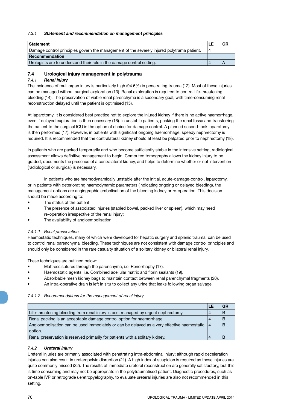## *7.3.1 Statement and recommendation on management principles*

| <b>Statement</b>                                                                           | LE |  |
|--------------------------------------------------------------------------------------------|----|--|
| Damage control principles govern the management of the severely injured polytrama patient. | 4  |  |
| Recommendation                                                                             |    |  |
| Urologists are to understand their role in the damage control setting.                     |    |  |

## **7.4 Urological injury management in polytrauma**

## *7.4.1 Renal injury*

The incidence of multiorgan injury is particularly high (94.6%) in penetrating trauma (12). Most of these injuries can be managed without surgical exploration (13). Renal exploration is required to control life-threatening bleeding (14). The preservation of viable renal parenchyma is a secondary goal, with time-consuming renal reconstruction delayed until the patient is optimised (15).

At laparotomy, it is considered best practice not to explore the injured kidney if there is no active haemorrhage, even if delayed exploration is then necessary (16). In unstable patients, packing the renal fossa and transferring the patient to the surgical ICU is the option of choice for damage control. A planned second-look laparotomy is then performed (17). However, in patients with significant ongoing haemorrhage, speedy nephrectomy is required. It is recommended that the contralateral kidney should at least be palpated prior to nephrectomy (18).

In patients who are packed temporarily and who become sufficiently stable in the intensive setting, radiological assessment allows definitive management to begin. Computed tomography allows the kidney injury to be graded, documents the presence of a contralateral kidney, and helps to determine whether or not intervention (radiological or surgical) is necessary.

In patients who are haemodynamically unstable after the initial, acute-damage-control, laparotomy, or in patients with deteriorating haemodynamic parameters (indicating ongoing or delayed bleeding), the management options are angiographic embolisation of the bleeding kidney or re-operation. This decision should be made according to:

- The status of the patient;
- The presence of associated injuries (stapled bowel, packed liver or spleen), which may need re-operation irrespective of the renal injury;
- The availability of angioembolisation.

## *7.4.1.1 Renal preservation*

Haemostatic techniques, many of which were developed for hepatic surgery and splenic trauma, can be used to control renal parenchymal bleeding. These techniques are not consistent with damage control principles and should only be considered in the rare casualty situation of a solitary kidney or bilateral renal injury.

These techniques are outlined below:

- Mattress sutures through the parenchyma, i.e. Renorrhaphy (17).
- Haemostatic agents, i.e. Combined acellular matrix and fibrin sealants (19).
- Absorbable mesh kidney bags to maintain contact between renal parenchymal fragments (20).
- An intra-operative drain is left in situ to collect any urine that leaks following organ salvage.

## *7.4.1.2 Recommendations for the management of renal injury*

|                                                                                             | LE | GR |
|---------------------------------------------------------------------------------------------|----|----|
| Life-threatening bleeding from renal injury is best managed by urgent nephrectomy.          |    |    |
| Renal packing is an acceptable damage control option for haemorrhage.                       |    |    |
| Angioembolisation can be used immediately or can be delayed as a very effective haemostatic | 4  |    |
| option.                                                                                     |    |    |
| Renal preservation is reserved primarily for patients with a solitary kidney.               |    |    |

## *7.4.2 Ureteral injury*

Ureteral injuries are primarily associated with penetrating intra-abdominal injury; although rapid deceleration injuries can also result in ureteropelvic disruption (21). A high index of suspicion is required as these injuries are quite commonly missed (22). The results of immediate ureteral reconstruction are generally satisfactory, but this is time consuming and may not be appropriate in the polytraumatised patient. Diagnostic procedures, such as on-table IVP or retrograde ueretropyelography, to evaluate ureteral injuries are also not recommended in this setting.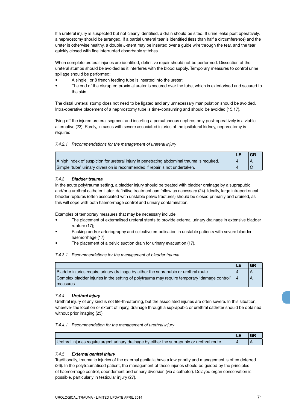If a ureteral injury is suspected but not clearly identified, a drain should be sited. If urine leaks post operatively, a nephrostomy should be arranged. If a partial ureteral tear is identified (less than half a circumference) and the ureter is otherwise healthy, a double J-stent may be inserted over a guide wire through the tear, and the tear quickly closed with fine interrupted absorbable stitches.

When complete ureteral injuries are identified, definitive repair should not be performed. Dissection of the ureteral stumps should be avoided as it interferes with the blood supply. Temporary measures to control urine spillage should be performed:

- A single j or 8 french feeding tube is inserted into the ureter;
- The end of the disrupted proximal ureter is secured over the tube, which is exteriorised and secured to the skin.

The distal ureteral stump does not need to be ligated and any unnecessary manipulation should be avoided. Intra-operative placement of a nephrostomy tube is time-consuming and should be avoided (15,17).

Tying off the injured ureteral segment and inserting a percutaneous nephrostomy post-operatively is a viable alternative (23). Rarely, in cases with severe associated injuries of the ipsilateral kidney, nephrectomy is required.

*7.4.2.1 Recommendations for the management of ureteral injury*

|                                                                                            | LE |  |
|--------------------------------------------------------------------------------------------|----|--|
| A high index of suspicion for ureteral injury in penetrating abdominal trauma is required. |    |  |
| Simple 'tube' urinary diversion is recommended if repair is not undertaken.                |    |  |

## *7.4.3 Bladder trauma*

In the acute polytrauma setting, a bladder injury should be treated with bladder drainage by a suprapubic and/or a urethral catheter. Later, definitive treatment can follow as necessary (24). Ideally, large intraperitoneal bladder ruptures (often associated with unstable pelvic fractures) should be closed primarily and drained, as this will cope with both haemorrhage control and urinary contamination.

Examples of temporary measures that may be necessary include:

- The placement of externalised ureteral stents to provide external urinary drainage in extensive bladder rupture (17);
- Packing and/or arteriography and selective embolisation in unstable patients with severe bladder haemorrhage (17);
- The placement of a pelvic suction drain for urinary evacuation (17).

#### *7.4.3.1 Recommendations for the management of bladder trauma*

|                                                                                              | LE | <b>GR</b> |
|----------------------------------------------------------------------------------------------|----|-----------|
| Bladder injuries require urinary drainage by either the suprapubic or urethral route.        |    |           |
| Complex bladder injuries in the setting of polytrauma may require temporary 'damage control' |    |           |
| measures.                                                                                    |    |           |

#### *7.4.4 Urethral injury*

Urethral injury of any kind is not life-threatening, but the associated injuries are often severe. In this situation, wherever the location or extent of injury, drainage through a suprapubic or urethral catheter should be obtained without prior imaging (25).

#### *7.4.4.1 Recommendation for the management of urethral injury*

| Urethral injuries require urgent urinary drainage by either the suprapubic or urethral route. |  |
|-----------------------------------------------------------------------------------------------|--|

## *7.4.5 External genital injury*

Traditionally, traumatic injuries of the external genitalia have a low priority and management is often deferred (26). In the polytraumatised patient, the management of these injuries should be guided by the principles of haemorrhage control, debridement and urinary diversion (via a catheter). Delayed organ conservation is possible, particularly in testicular injury (27).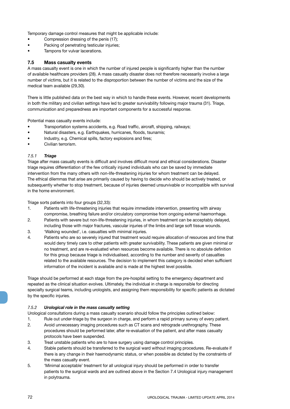Temporary damage control measures that might be applicable include:

- Compression dressing of the penis (17);
- Packing of penetrating testicular injuries;
- Tampons for vulvar lacerations.

## **7.5 Mass casualty events**

A mass casualty event is one in which the number of injured people is significantly higher than the number of available healthcare providers (28). A mass casualty disaster does not therefore necessarily involve a large number of victims, but it is related to the disproportion between the number of victims and the size of the medical team available (29,30).

There is little published data on the best way in which to handle these events. However, recent developments in both the military and civilian settings have led to greater survivability following major trauma (31). Triage, communication and preparedness are important components for a successful response.

Potential mass casualty events include:

- Transportation systems accidents, e.g. Road traffic, aircraft, shipping, railways;
- Natural disasters, e.g. Earthquakes, hurricanes, floods, tsunamis;
- Industry, e.g. Chemical spills, factory explosions and fires;
- Civilian terrorism.

## *7.5.1 Triage*

Triage after mass casualty events is difficult and involves difficult moral and ethical considerations. Disaster triage requires differentiation of the few critically injured individuals who can be saved by immediate intervention from the many others with non-life-threatening injuries for whom treatment can be delayed. The ethical dilemmas that arise are primarily caused by having to decide who should be actively treated, or subsequently whether to stop treatment, because of injuries deemed unsurvivable or incompatible with survival in the home environment.

Triage sorts patients into four groups (32,33):

- 1. Patients with life-threatening injuries that require immediate intervention, presenting with airway compromise, breathing failure and/or circulatory compromise from ongoing external haemorrhage.
- 2. Patients with severe but non-life-threatening injuries, in whom treatment can be acceptably delayed, including those with major fractures, vascular injuries of the limbs and large soft tissue wounds.
- 3. 'Walking wounded', i.e. casualties with minimal injuries.
- 4. Patients who are so severely injured that treatment would require allocation of resources and time that would deny timely care to other patients with greater survivability. These patients are given minimal or no treatment, and are re-evaluated when resources become available. There is no absolute definition for this group because triage is individualised, according to the number and severity of casualties related to the available resources. The decision to implement this category is decided when sufficient information of the incident is available and is made at the highest level possible.

Triage should be performed at each stage from the pre-hospital setting to the emergency department and repeated as the clinical situation evolves. Ultimately, the individual in charge is responsible for directing specialty surgical teams, including urologists, and assigning them responsibility for specific patients as dictated by the specific injuries.

## *7.5.2 Urological role in the mass casualty setting*

Urological consultations during a mass casualty scenario should follow the principles outlined below:

- 1. Rule out under-triage by the surgeon in charge, and perform a rapid primary survey of every patient.
- 2. Avoid unnecessary imaging procedures such as CT scans and retrograde urethrography. These procedures should be performed later, after re-evaluation of the patient, and after mass casualty protocols have been suspended.
- 3. Treat unstable patients who are to have surgery using damage control principles.
- 4. Stable patients should be transferred to the surgical ward without imaging procedures. Re-evaluate if there is any change in their haemodynamic status, or when possible as dictated by the constraints of the mass casualty event.
- 5. 'Minimal acceptable' treatment for all urological injury should be performed in order to transfer patients to the surgical wards and are outlined above in the Section 7.4 Urological injury management in polytrauma.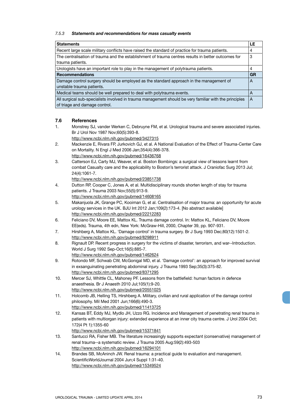## *7.5.3 Statements and recommendations for mass casualty events*

| <b>Statements</b>                                                                                      | LE        |
|--------------------------------------------------------------------------------------------------------|-----------|
| Recent large scale military conflicts have raised the standard of practice for trauma patients.        | 4         |
| The centralisation of trauma and the establishment of trauma centres results in better outcomes for    |           |
| trauma patients.                                                                                       |           |
| Urologists have an important role to play in the management of polytrauma patients.                    | 4         |
| <b>Recommendations</b>                                                                                 | <b>GR</b> |
| Damage control surgery should be employed as the standard approach in the management of                | A         |
| unstable trauma patients.                                                                              |           |
| Medical teams should be well prepared to deal with polytrauma events.                                  |           |
| All surgical sub-specialists involved in trauma management should be very familiar with the principles | A         |
| of triage and damage control.                                                                          |           |

## **7.6 References**

- 1. Monstrey SJ, vander Werken C, Debruyne FM, et al. Urological trauma and severe associated injuries. Br J Urol Nov 1987 Nov;60(5):393-8.
	- http://www.ncbi.nlm.nih.gov/pubmed/3427315
- 2. Mackenzie E, Rivara FP, Jurkovich GJ, et al. A National Evaluation of the Effect of Trauma-Center Care on Mortality. N Engl J Med 2006 Jan;354(4):366-378. http://www.ncbi.nlm.nih.gov/pubmed/16436768
- 3. Catterson EJ, Carty MJ, Weaver, et al. Boston Bombings: a surgical view of lessons learnt from combat Casualty care and the applicability to Boston's terrorist attack. J Craniofac Surg 2013 Jul; 24(4):1061-7.

http://www.ncbi.nlm.nih.gov/pubmed/23851738

- 4. Dutton RP, Cooper C, Jones A, et al. Multidisciplinary rounds shorten length of stay for trauma patients. J Trauma 2003 Nov;55(5):913-9. http://www.ncbi.nlm.nih.gov/pubmed/14608165
- 5. Makanjuola JK, Grange PC, Kooiman G, et al. Centralisation of major trauma: an opportunity for acute urology services in the UK. BJU Int 2012 Jan;109(2):173-4. [No abstract available]

http://www.ncbi.nlm.nih.gov/pubmed/22212283

- 6. Feliciano DV, Moore EE, Mattox KL. Trauma damage control. In: Mattox KL, Feliciano DV, Moore EE(eds). Trauma, 4th edn, New York: McGraw-Hill, 2000, Chapter 39, pp. 907-931.
- 7. Hirshberg A, Mattox KL. 'Damage control' in trauma surgery. Br J Surg 1993 Dec;80(12):1501-2. http://www.ncbi.nlm.nih.gov/pubmed/8298911
- 8. Rignault DP. Recent progress in surgery for the victims of disaster, terrorism, and war--Introduction. World J Surg 1992 Sep-Oct;16(5):885-7.
- http://www.ncbi.nlm.nih.gov/pubmed/1462624
- 9. Rotondo MF, Schwab CW, McGonigal MD, et al. 'Damage control': an approach for improved survival in exsanguinating penetrating abdominal injury. J Trauma 1993 Sep;35(3):375-82. http://www.ncbi.nlm.nih.gov/pubmed/8371295
- 10. Mercer SJ, Whittle CL, Mahoney PF. Lessons from the battlefield: human factors in defence anaesthesia. Br J Anaesth 2010 Jul;105(1):9-20. http://www.ncbi.nlm.nih.gov/pubmed/20551025
- 11. Holcomb JB, Helling TS, Hirshberg A. Military, civilian and rural application of the damage control philosophy. Mil Med 2001 Jun;166(6):490-3. http://www.ncbi.nlm.nih.gov/pubmed/11413725
- 12. Kansas BT, Eddy MJ, Mydlo JH, Uzzo RG. Incidence and Management of penetrating renal trauma in patients with multiorgan injury: extended experience at an inner city trauma centre. J Urol 2004 Oct; 172(4 Pt 1):1355-60

http://www.ncbi.nlm.nih.gov/pubmed/15371841

- 13. Santucci RA, Fisher MB. The literature increasingly supports expectant (conservative) management of renal trauma--a systematic review. J Trauma 2005 Aug:59(2):493-503 http://www.ncbi.nlm.nih.gov/pubmed/16294101
- 14. Brandes SB, McAninch JW. Renal trauma: a practical guide to evaluation and management. ScientificWorldJournal 2004 Jun;4 Suppl 1:31-40. http://www.ncbi.nlm.nih.gov/pubmed/15349524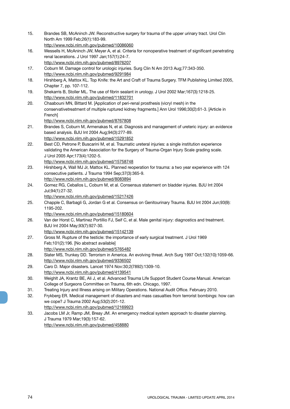| 15. | Brandes SB, McAninch JW. Reconstructive surgery for trauma of the upper urinary tract. Urol Clin<br>North Am 1999 Feb; 26(1): 183-99.    |
|-----|------------------------------------------------------------------------------------------------------------------------------------------|
|     | http://www.ncbi.nlm.nih.gov/pubmed/10086060                                                                                              |
| 16. | Wessells H, McAninch JW, Meyer A, et al. Criteria for nonoperative treatment of significant penetrating                                  |
|     | renal lacerations. J Urol 1997 Jan;157(1):24-7.                                                                                          |
|     | http://www.ncbi.nlm.nih.gov/pubmed/8976207                                                                                               |
| 17. | Coburn M. Damage control for urologic injuries. Surg Clin N Am 2013 Aug;77:343-350.                                                      |
|     | http://www.ncbi.nlm.nih.gov/pubmed/9291984                                                                                               |
| 18. | Hirshberg A, Mattox KL. Top Knife: the Art and Craft of Trauma Surgery. TFM Publishing Limited 2005,                                     |
|     | Chapter 7, pp. 107-112.                                                                                                                  |
| 19. | Shekarris B, Stoller ML. The use of fibrin sealant in urology. J Urol 2002 Mar;167(3):1218-25.                                           |
|     | http://www.ncbi.nlm.nih.gov/pubmed/11832701                                                                                              |
| 20. | Chaabouni MN, Bittard M. [Application of peri-renal prosthesis (vicryl mesh) in the                                                      |
|     | conservativetreatment of multiple ruptured kidney fragments.] Ann Urol 1996;30(2):61-3. [Article in                                      |
|     | French]                                                                                                                                  |
|     | http://www.ncbi.nlm.nih.gov/pubmed/8767808                                                                                               |
| 21. | Brandes S, Coburn M, Armenakas N, et al. Diagnosis and management of ureteric injury: an evidence                                        |
|     | based analysis. BJU Int 2004 Aug;94(3):277-89.                                                                                           |
|     | http://www.ncbi.nlm.nih.gov/pubmed/15291852                                                                                              |
| 22. | Best CD, Petrone P, Buscarini M, et al. Traumatic ureteral injuries: a single institution experience                                     |
|     | validating the American Association for the Surgery of Trauma-Organ Injury Scale grading scale.                                          |
|     | J Urol 2005 Apr; 173(4): 1202-5.                                                                                                         |
|     | http://www.ncbi.nlm.nih.gov/pubmed/15758748                                                                                              |
| 23. | Hirshberg A, Wall MJ Jr, Mattox KL. Planned reoperation for trauma: a two year experience with 124                                       |
|     | consecutive patients. J Trauma 1994 Sep;37(3):365-9.                                                                                     |
|     | http://www.ncbi.nlm.nih.gov/pubmed/8083894                                                                                               |
| 24. | Gomez RG, Ceballos L, Coburn M, et al. Consensus statement on bladder injuries. BJU Int 2004                                             |
|     | Jul;94(1):27-32.                                                                                                                         |
|     | http://www.ncbi.nlm.nih.gov/pubmed/15217426                                                                                              |
| 25. | Chapple C, Barbagli G, Jordan G et al. Consensus on Genitourinary Trauma. BJU Int 2004 Jun;93(9):                                        |
|     | 1195-202.                                                                                                                                |
|     | http://www.ncbi.nlm.nih.gov/pubmed/15180604                                                                                              |
| 26. | Van der Horst C, Martinez Portillio FJ, Seif C, et al. Male genital injury: diagnostics and treatment.<br>BJU Int 2004 May;93(7):927-30. |
|     | http://www.ncbi.nlm.nih.gov/pubmed/15142139                                                                                              |
| 27. | Gross M. Rupture of the testicle: the importance of early surgical treatment. J Urol 1969                                                |
|     | Feb;101(2):196. [No abstract available]                                                                                                  |
|     | http://www.ncbi.nlm.nih.gov/pubmed/5765482                                                                                               |
| 28. | Slater MS, Trunkey DD. Terrorism in America. An evolving threat. Arch Surg 1997 Oct;132(10):1059-66.                                     |
|     | http://www.ncbi.nlm.nih.gov/pubmed/9336502                                                                                               |
| 29. | Caro D. Major disasters. Lancet 1974 Nov:30;2(7892):1309-10.                                                                             |
|     | http://www.ncbi.nlm.nih.gov/pubmed/4139541                                                                                               |
| 30. | Weighlt JA, Krantz BE, Ali J, et al. Advanced Trauma Life Support Student Course Manual. American                                        |
|     | College of Surgeons Committee on Trauma, 6th edn. Chicago, 1997.                                                                         |
| 31. | Treating Injury and Illness arising on Military Operations. National Audit Office. February 2010.                                        |
| 32. | Frykberg ER. Medical management of disasters and mass casualties from terrorist bombings: how can                                        |
|     |                                                                                                                                          |
|     | we cope? J Trauma 2002 Aug;53(2):201-12.                                                                                                 |
|     | http://www.ncbi.nlm.nih.gov/pubmed/12169923                                                                                              |
| 33. | Jacobs LM Jr, Ramp JM, Breay JM. An emergency medical system approach to disaster planning.                                              |
|     | J Trauma 1979 Mar; 19(3): 157-62.<br>http://www.ncbi.nlm.nih.gov/pubmed/458880                                                           |
|     |                                                                                                                                          |